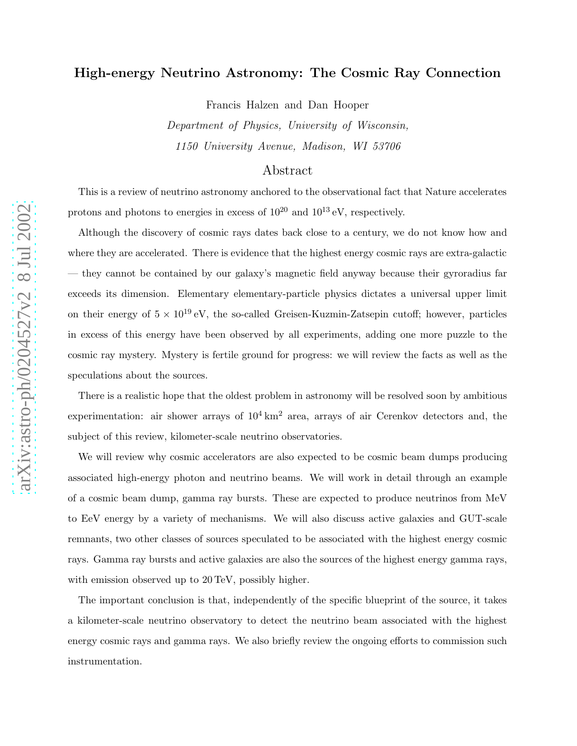# High-energy Neutrino Astronomy: The Cosmic Ray Connection

Francis Halzen and Dan Hooper

*Department of Physics, University of Wisconsin, 1150 University Avenue, Madison, WI 53706*

# Abstract

This is a review of neutrino astronomy anchored to the observational fact that Nature accelerates protons and photons to energies in excess of  $10^{20}$  and  $10^{13}$  eV, respectively.

Although the discovery of cosmic rays dates back close to a century, we do not know how and where they are accelerated. There is evidence that the highest energy cosmic rays are extra-galactic — they cannot be contained by our galaxy's magnetic field anyway because their gyroradius far exceeds its dimension. Elementary elementary-particle physics dictates a universal upper limit on their energy of  $5 \times 10^{19}$  eV, the so-called Greisen-Kuzmin-Zatsepin cutoff; however, particles in excess of this energy have been observed by all experiments, adding one more puzzle to the cosmic ray mystery. Mystery is fertile ground for progress: we will review the facts as well as the speculations about the sources.

There is a realistic hope that the oldest problem in astronomy will be resolved soon by ambitious experimentation: air shower arrays of  $10^4 \text{ km}^2$  area, arrays of air Cerenkov detectors and, the subject of this review, kilometer-scale neutrino observatories.

We will review why cosmic accelerators are also expected to be cosmic beam dumps producing associated high-energy photon and neutrino beams. We will work in detail through an example of a cosmic beam dump, gamma ray bursts. These are expected to produce neutrinos from MeV to EeV energy by a variety of mechanisms. We will also discuss active galaxies and GUT-scale remnants, two other classes of sources speculated to be associated with the highest energy cosmic rays. Gamma ray bursts and active galaxies are also the sources of the highest energy gamma rays, with emission observed up to 20 TeV, possibly higher.

The important conclusion is that, independently of the specific blueprint of the source, it takes a kilometer-scale neutrino observatory to detect the neutrino beam associated with the highest energy cosmic rays and gamma rays. We also briefly review the ongoing efforts to commission such instrumentation.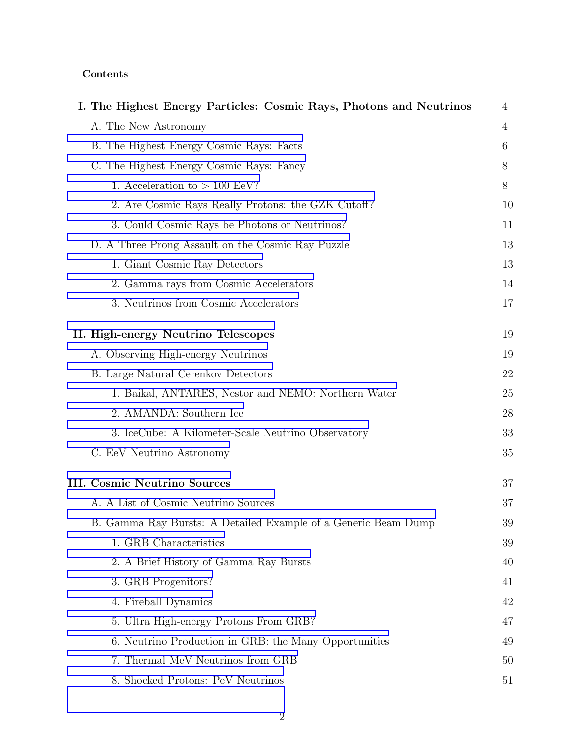# Contents

| I. The Highest Energy Particles: Cosmic Rays, Photons and Neutrinos | 4  |
|---------------------------------------------------------------------|----|
| A. The New Astronomy                                                | 4  |
| B. The Highest Energy Cosmic Rays: Facts                            | 6  |
| C. The Highest Energy Cosmic Rays: Fancy                            | 8  |
| 1. Acceleration to $> 100 \text{ EeV}$ ?                            | 8  |
| 2. Are Cosmic Rays Really Protons: the GZK Cutoff?                  | 10 |
| 3. Could Cosmic Rays be Photons or Neutrinos?                       | 11 |
| D. A Three Prong Assault on the Cosmic Ray Puzzle                   | 13 |
| 1. Giant Cosmic Ray Detectors                                       | 13 |
| 2. Gamma rays from Cosmic Accelerators                              | 14 |
| 3. Neutrinos from Cosmic Accelerators                               | 17 |
| II. High-energy Neutrino Telescopes                                 | 19 |
| A. Observing High-energy Neutrinos                                  | 19 |
| <b>B.</b> Large Natural Cerenkov Detectors                          | 22 |
| 1. Baikal, ANTARES, Nestor and NEMO: Northern Water                 | 25 |
| 2. AMANDA: Southern Ice                                             | 28 |
| 3. IceCube: A Kilometer-Scale Neutrino Observatory                  | 33 |
| C. EeV Neutrino Astronomy                                           | 35 |
| <b>III. Cosmic Neutrino Sources</b>                                 | 37 |
| A. A List of Cosmic Neutrino Sources                                | 37 |
| B. Gamma Ray Bursts: A Detailed Example of a Generic Beam Dump      | 39 |
| 1. GRB Characteristics                                              | 39 |
| 2. A Brief History of Gamma Ray Bursts                              | 40 |
| 3. GRB Progenitors?                                                 | 41 |
| 4. Fireball Dynamics                                                | 42 |
| 5. Ultra High-energy Protons From GRB?                              | 47 |
| 6. Neutrino Production in GRB: the Many Opportunities               | 49 |
| 7. Thermal MeV Neutrinos from GRB                                   | 50 |
| 8. Shocked Protons: PeV Neutrinos                                   | 51 |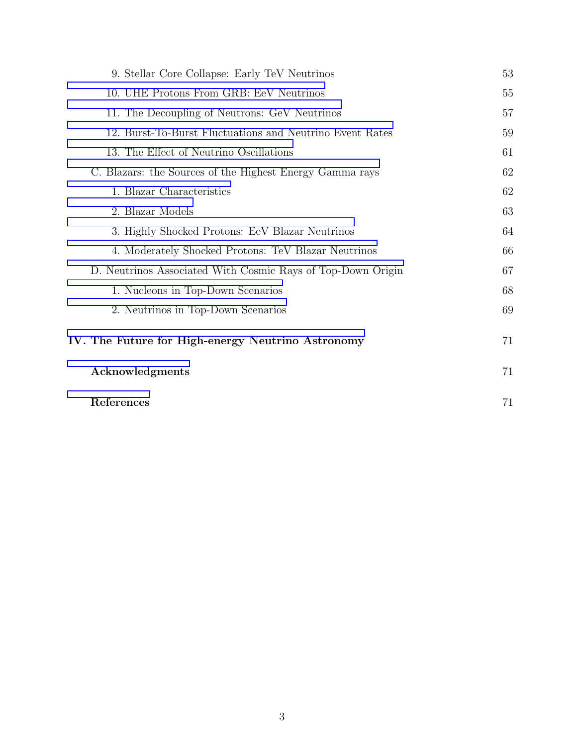| 9. Stellar Core Collapse: Early TeV Neutrinos               | 53 |
|-------------------------------------------------------------|----|
| 10. UHE Protons From GRB: EeV Neutrinos                     | 55 |
| 11. The Decoupling of Neutrons: GeV Neutrinos               | 57 |
| 12. Burst-To-Burst Fluctuations and Neutrino Event Rates    | 59 |
| 13. The Effect of Neutrino Oscillations                     | 61 |
| C. Blazars: the Sources of the Highest Energy Gamma rays    | 62 |
| 1. Blazar Characteristics                                   | 62 |
| 2. Blazar Models                                            | 63 |
| 3. Highly Shocked Protons: EeV Blazar Neutrinos             | 64 |
| 4. Moderately Shocked Protons: TeV Blazar Neutrinos         | 66 |
| D. Neutrinos Associated With Cosmic Rays of Top-Down Origin | 67 |
| 1. Nucleons in Top-Down Scenarios                           | 68 |
| 2. Neutrinos in Top-Down Scenarios                          | 69 |
| IV. The Future for High-energy Neutrino Astronomy           | 71 |
| Acknowledgments                                             | 71 |
| References                                                  | 71 |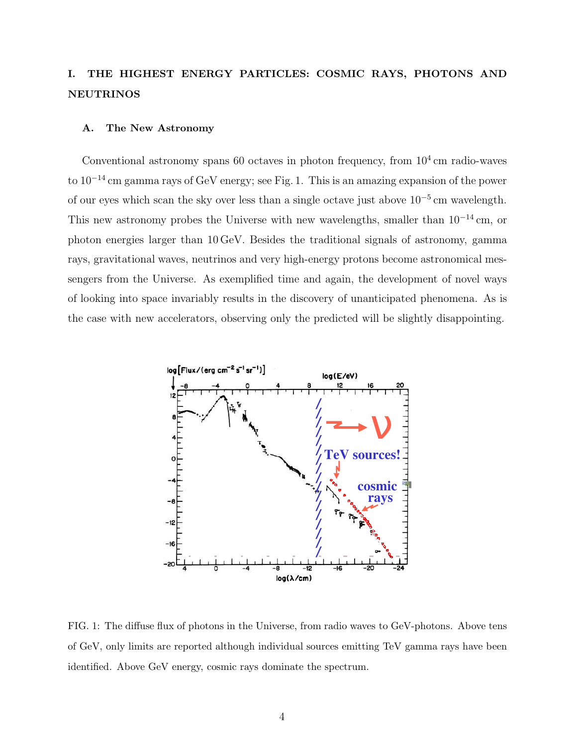# I. THE HIGHEST ENERGY PARTICLES: COSMIC RAYS, PHOTONS AND NEUTRINOS

#### A. The New Astronomy

Conventional astronomy spans 60 octaves in photon frequency, from  $10^4$  cm radio-waves to 10<sup>−</sup><sup>14</sup> cm gamma rays of GeV energy; see Fig. 1. This is an amazing expansion of the power of our eyes which scan the sky over less than a single octave just above  $10^{-5}$  cm wavelength. This new astronomy probes the Universe with new wavelengths, smaller than  $10^{-14}$  cm, or photon energies larger than 10 GeV. Besides the traditional signals of astronomy, gamma rays, gravitational waves, neutrinos and very high-energy protons become astronomical messengers from the Universe. As exemplified time and again, the development of novel ways of looking into space invariably results in the discovery of unanticipated phenomena. As is the case with new accelerators, observing only the predicted will be slightly disappointing.



FIG. 1: The diffuse flux of photons in the Universe, from radio waves to GeV-photons. Above tens of GeV, only limits are reported although individual sources emitting TeV gamma rays have been identified. Above GeV energy, cosmic rays dominate the spectrum.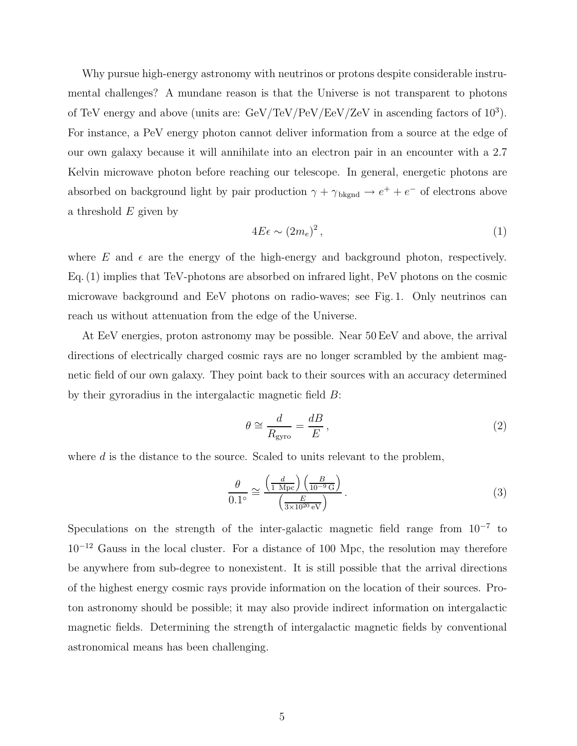<span id="page-4-0"></span>Why pursue high-energy astronomy with neutrinos or protons despite considerable instrumental challenges? A mundane reason is that the Universe is not transparent to photons of TeV energy and above (units are: GeV/TeV/PeV/EeV/ZeV in ascending factors of 10<sup>3</sup>). For instance, a PeV energy photon cannot deliver information from a source at the edge of our own galaxy because it will annihilate into an electron pair in an encounter with a 2.7 Kelvin microwave photon before reaching our telescope. In general, energetic photons are absorbed on background light by pair production  $\gamma + \gamma_{\text{bkgnd}} \to e^+ + e^-$  of electrons above a threshold  $E$  given by

$$
4E\epsilon \sim (2m_e)^2\,,\tag{1}
$$

where E and  $\epsilon$  are the energy of the high-energy and background photon, respectively. Eq. (1) implies that TeV-photons are absorbed on infrared light, PeV photons on the cosmic microwave background and EeV photons on radio-waves; see Fig. 1. Only neutrinos can reach us without attenuation from the edge of the Universe.

At EeV energies, proton astronomy may be possible. Near 50 EeV and above, the arrival directions of electrically charged cosmic rays are no longer scrambled by the ambient magnetic field of our own galaxy. They point back to their sources with an accuracy determined by their gyroradius in the intergalactic magnetic field B:

$$
\theta \cong \frac{d}{R_{\rm gyro}} = \frac{dB}{E},\tag{2}
$$

where d is the distance to the source. Scaled to units relevant to the problem,

$$
\frac{\theta}{0.1^{\circ}} \cong \frac{\left(\frac{d}{1 \text{ Mpc}}\right) \left(\frac{B}{10^{-9} \text{ G}}\right)}{\left(\frac{E}{3 \times 10^{20} \text{ eV}}\right)}.
$$
\n(3)

Speculations on the strength of the inter-galactic magnetic field range from  $10^{-7}$  to  $10^{-12}$  Gauss in the local cluster. For a distance of 100 Mpc, the resolution may therefore be anywhere from sub-degree to nonexistent. It is still possible that the arrival directions of the highest energy cosmic rays provide information on the location of their sources. Proton astronomy should be possible; it may also provide indirect information on intergalactic magnetic fields. Determining the strength of intergalactic magnetic fields by conventional astronomical means has been challenging.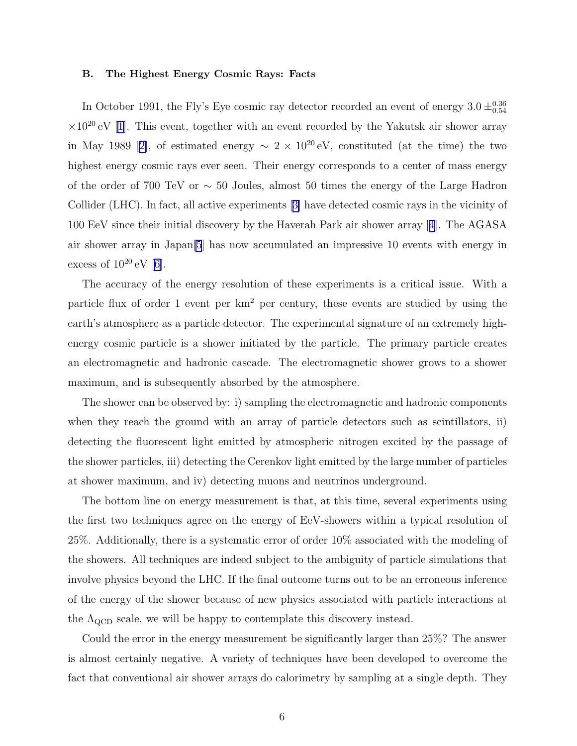#### B. The Highest Energy Cosmic Rays: Facts

In October 1991, the Fly's Eye cosmic ray detector recorded an event of energy  $3.0 \pm_{0.54}^{0.36}$  $\times10^{20}$  eV [\[1](#page-70-0)]. This event, together with an event recorded by the Yakutsk air shower array inMay 1989 [[2\]](#page-71-0), of estimated energy  $\sim 2 \times 10^{20}$  eV, constituted (at the time) the two highest energy cosmic rays ever seen. Their energy corresponds to a center of mass energy of the order of 700 TeV or ∼ 50 Joules, almost 50 times the energy of the Large Hadron Collider (LHC). In fact, all active experiments[[3\]](#page-71-0) have detected cosmic rays in the vicinity of 100 EeV since their initial discovery by the Haverah Park air shower array[[4](#page-71-0)]. The AGASA air shower array in Japan[\[5](#page-71-0)] has now accumulated an impressive 10 events with energy in excess of  $10^{20}$  eV [\[6\]](#page-71-0).

The accuracy of the energy resolution of these experiments is a critical issue. With a particle flux of order 1 event per km<sup>2</sup> per century, these events are studied by using the earth's atmosphere as a particle detector. The experimental signature of an extremely highenergy cosmic particle is a shower initiated by the particle. The primary particle creates an electromagnetic and hadronic cascade. The electromagnetic shower grows to a shower maximum, and is subsequently absorbed by the atmosphere.

The shower can be observed by: i) sampling the electromagnetic and hadronic components when they reach the ground with an array of particle detectors such as scintillators, ii) detecting the fluorescent light emitted by atmospheric nitrogen excited by the passage of the shower particles, iii) detecting the Cerenkov light emitted by the large number of particles at shower maximum, and iv) detecting muons and neutrinos underground.

The bottom line on energy measurement is that, at this time, several experiments using the first two techniques agree on the energy of EeV-showers within a typical resolution of 25%. Additionally, there is a systematic error of order 10% associated with the modeling of the showers. All techniques are indeed subject to the ambiguity of particle simulations that involve physics beyond the LHC. If the final outcome turns out to be an erroneous inference of the energy of the shower because of new physics associated with particle interactions at the  $\Lambda_{\rm QCD}$  scale, we will be happy to contemplate this discovery instead.

Could the error in the energy measurement be significantly larger than 25%? The answer is almost certainly negative. A variety of techniques have been developed to overcome the fact that conventional air shower arrays do calorimetry by sampling at a single depth. They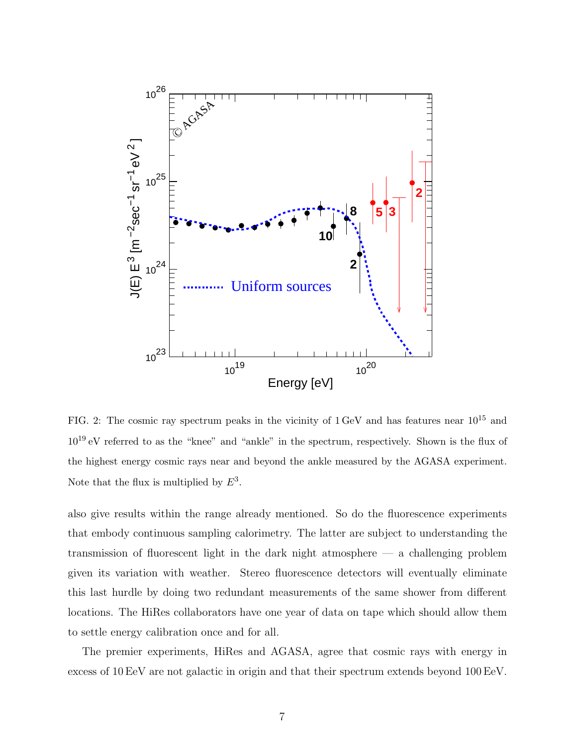

FIG. 2: The cosmic ray spectrum peaks in the vicinity of  $1 \text{ GeV}$  and has features near  $10^{15}$  and  $10^{19}$  eV referred to as the "knee" and "ankle" in the spectrum, respectively. Shown is the flux of the highest energy cosmic rays near and beyond the ankle measured by the AGASA experiment. Note that the flux is multiplied by  $E^3$ .

also give results within the range already mentioned. So do the fluorescence experiments that embody continuous sampling calorimetry. The latter are subject to understanding the transmission of fluorescent light in the dark night atmosphere — a challenging problem given its variation with weather. Stereo fluorescence detectors will eventually eliminate this last hurdle by doing two redundant measurements of the same shower from different locations. The HiRes collaborators have one year of data on tape which should allow them to settle energy calibration once and for all.

The premier experiments, HiRes and AGASA, agree that cosmic rays with energy in excess of 10 EeV are not galactic in origin and that their spectrum extends beyond 100 EeV.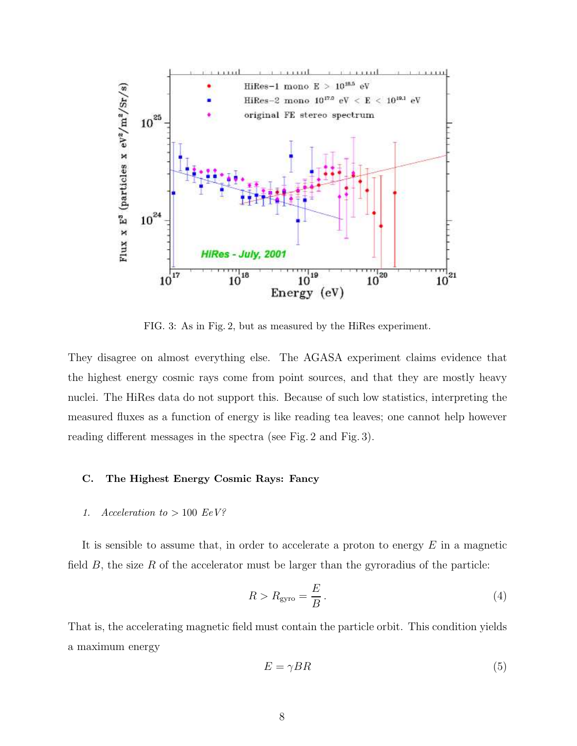<span id="page-7-0"></span>

FIG. 3: As in Fig. 2, but as measured by the HiRes experiment.

They disagree on almost everything else. The AGASA experiment claims evidence that the highest energy cosmic rays come from point sources, and that they are mostly heavy nuclei. The HiRes data do not support this. Because of such low statistics, interpreting the measured fluxes as a function of energy is like reading tea leaves; one cannot help however reading different messages in the spectra (see Fig. 2 and Fig. 3).

#### C. The Highest Energy Cosmic Rays: Fancy

*1. Acceleration to* > 100 *EeV?*

It is sensible to assume that, in order to accelerate a proton to energy  $E$  in a magnetic field  $B$ , the size  $R$  of the accelerator must be larger than the gyroradius of the particle:

$$
R > R_{\text{gyro}} = \frac{E}{B} \,. \tag{4}
$$

That is, the accelerating magnetic field must contain the particle orbit. This condition yields a maximum energy

$$
E = \gamma BR \tag{5}
$$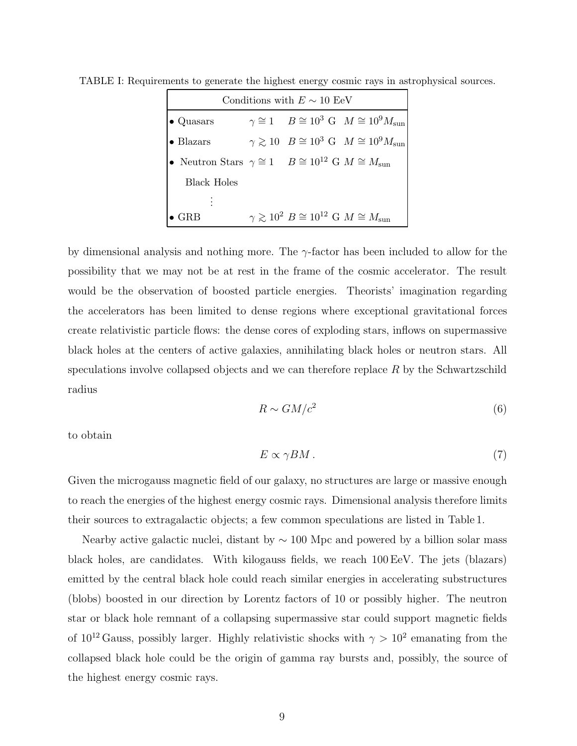| Conditions with $E \sim 10$ EeV                                               |  |                                                                         |                                                                    |  |  |  |
|-------------------------------------------------------------------------------|--|-------------------------------------------------------------------------|--------------------------------------------------------------------|--|--|--|
| $\bullet$ Quasars                                                             |  |                                                                         | $\gamma \cong 1$ $B \cong 10^3$ G $M \cong 10^9 M_{\text{sun}}$    |  |  |  |
| $\bullet$ Blazars                                                             |  |                                                                         | $\gamma \gtrsim 10$ $B \cong 10^3$ G $M \cong 10^9 M_{\text{sun}}$ |  |  |  |
| • Neutron Stars $\gamma \cong 1$ $B \cong 10^{12}$ G $M \cong M_{\text{sun}}$ |  |                                                                         |                                                                    |  |  |  |
| <b>Black Holes</b>                                                            |  |                                                                         |                                                                    |  |  |  |
|                                                                               |  |                                                                         |                                                                    |  |  |  |
| GRB                                                                           |  | $\gamma \gtrsim 10^2 B \cong 10^{12} \text{ G } M \cong M_{\text{sun}}$ |                                                                    |  |  |  |

<span id="page-8-0"></span>TABLE I: Requirements to generate the highest energy cosmic rays in astrophysical sources.

by dimensional analysis and nothing more. The  $\gamma$ -factor has been included to allow for the possibility that we may not be at rest in the frame of the cosmic accelerator. The result would be the observation of boosted particle energies. Theorists' imagination regarding the accelerators has been limited to dense regions where exceptional gravitational forces create relativistic particle flows: the dense cores of exploding stars, inflows on supermassive black holes at the centers of active galaxies, annihilating black holes or neutron stars. All speculations involve collapsed objects and we can therefore replace  $R$  by the Schwartzschild radius

$$
R \sim GM/c^2 \tag{6}
$$

to obtain

$$
E \propto \gamma BM \,. \tag{7}
$$

Given the microgauss magnetic field of our galaxy, no structures are large or massive enough to reach the energies of the highest energy cosmic rays. Dimensional analysis therefore limits their sources to extragalactic objects; a few common speculations are listed in Table 1.

Nearby active galactic nuclei, distant by ∼ 100 Mpc and powered by a billion solar mass black holes, are candidates. With kilogauss fields, we reach 100 EeV. The jets (blazars) emitted by the central black hole could reach similar energies in accelerating substructures (blobs) boosted in our direction by Lorentz factors of 10 or possibly higher. The neutron star or black hole remnant of a collapsing supermassive star could support magnetic fields of  $10^{12}$  Gauss, possibly larger. Highly relativistic shocks with  $\gamma > 10^2$  emanating from the collapsed black hole could be the origin of gamma ray bursts and, possibly, the source of the highest energy cosmic rays.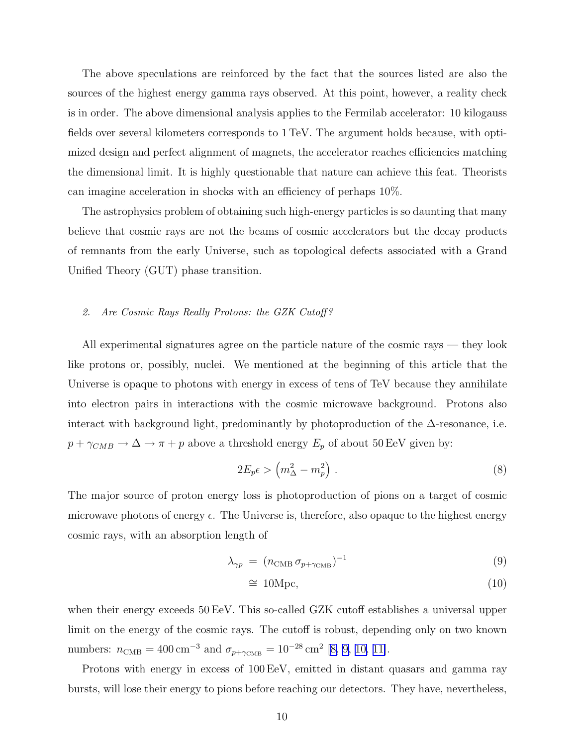The above speculations are reinforced by the fact that the sources listed are also the sources of the highest energy gamma rays observed. At this point, however, a reality check is in order. The above dimensional analysis applies to the Fermilab accelerator: 10 kilogauss fields over several kilometers corresponds to 1 TeV. The argument holds because, with optimized design and perfect alignment of magnets, the accelerator reaches efficiencies matching the dimensional limit. It is highly questionable that nature can achieve this feat. Theorists can imagine acceleration in shocks with an efficiency of perhaps 10%.

The astrophysics problem of obtaining such high-energy particles is so daunting that many believe that cosmic rays are not the beams of cosmic accelerators but the decay products of remnants from the early Universe, such as topological defects associated with a Grand Unified Theory (GUT) phase transition.

# *2. Are Cosmic Rays Really Protons: the GZK Cutoff?*

All experimental signatures agree on the particle nature of the cosmic rays — they look like protons or, possibly, nuclei. We mentioned at the beginning of this article that the Universe is opaque to photons with energy in excess of tens of TeV because they annihilate into electron pairs in interactions with the cosmic microwave background. Protons also interact with background light, predominantly by photoproduction of the  $\Delta$ -resonance, i.e.  $p + \gamma_{CMB} \rightarrow \Delta \rightarrow \pi + p$  above a threshold energy  $E_p$  of about 50 EeV given by:

$$
2E_p \epsilon > \left(m_\Delta^2 - m_p^2\right). \tag{8}
$$

The major source of proton energy loss is photoproduction of pions on a target of cosmic microwave photons of energy  $\epsilon$ . The Universe is, therefore, also opaque to the highest energy cosmic rays, with an absorption length of

$$
\lambda_{\gamma p} = (n_{\text{CMB}} \,\sigma_{p + \gamma_{\text{CMB}}})^{-1} \tag{9}
$$

$$
\cong 10 \text{Mpc}, \tag{10}
$$

when their energy exceeds 50 EeV. This so-called GZK cutoff establishes a universal upper limit on the energy of the cosmic rays. The cutoff is robust, depending only on two known numbers:  $n_{\text{CMB}} = 400 \text{ cm}^{-3}$  and  $\sigma_{p+\gamma_{\text{CMB}}} = 10^{-28} \text{ cm}^2$  [[8, 9, 10, 11\]](#page-71-0).

Protons with energy in excess of 100 EeV, emitted in distant quasars and gamma ray bursts, will lose their energy to pions before reaching our detectors. They have, nevertheless,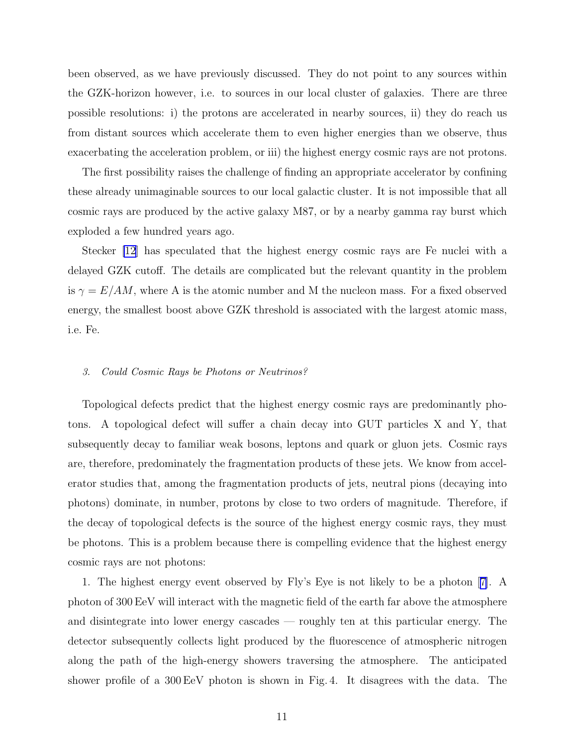been observed, as we have previously discussed. They do not point to any sources within the GZK-horizon however, i.e. to sources in our local cluster of galaxies. There are three possible resolutions: i) the protons are accelerated in nearby sources, ii) they do reach us from distant sources which accelerate them to even higher energies than we observe, thus exacerbating the acceleration problem, or iii) the highest energy cosmic rays are not protons.

The first possibility raises the challenge of finding an appropriate accelerator by confining these already unimaginable sources to our local galactic cluster. It is not impossible that all cosmic rays are produced by the active galaxy M87, or by a nearby gamma ray burst which exploded a few hundred years ago.

Stecker [\[12](#page-71-0)] has speculated that the highest energy cosmic rays are Fe nuclei with a delayed GZK cutoff. The details are complicated but the relevant quantity in the problem is  $\gamma = E/AM$ , where A is the atomic number and M the nucleon mass. For a fixed observed energy, the smallest boost above GZK threshold is associated with the largest atomic mass, i.e. Fe.

# *3. Could Cosmic Rays be Photons or Neutrinos?*

Topological defects predict that the highest energy cosmic rays are predominantly photons. A topological defect will suffer a chain decay into GUT particles X and Y, that subsequently decay to familiar weak bosons, leptons and quark or gluon jets. Cosmic rays are, therefore, predominately the fragmentation products of these jets. We know from accelerator studies that, among the fragmentation products of jets, neutral pions (decaying into photons) dominate, in number, protons by close to two orders of magnitude. Therefore, if the decay of topological defects is the source of the highest energy cosmic rays, they must be photons. This is a problem because there is compelling evidence that the highest energy cosmic rays are not photons:

1. The highest energy event observed by Fly's Eye is not likely to be a photon[[7\]](#page-71-0). A photon of 300 EeV will interact with the magnetic field of the earth far above the atmosphere and disintegrate into lower energy cascades — roughly ten at this particular energy. The detector subsequently collects light produced by the fluorescence of atmospheric nitrogen along the path of the high-energy showers traversing the atmosphere. The anticipated shower profile of a 300 EeV photon is shown in Fig. 4. It disagrees with the data. The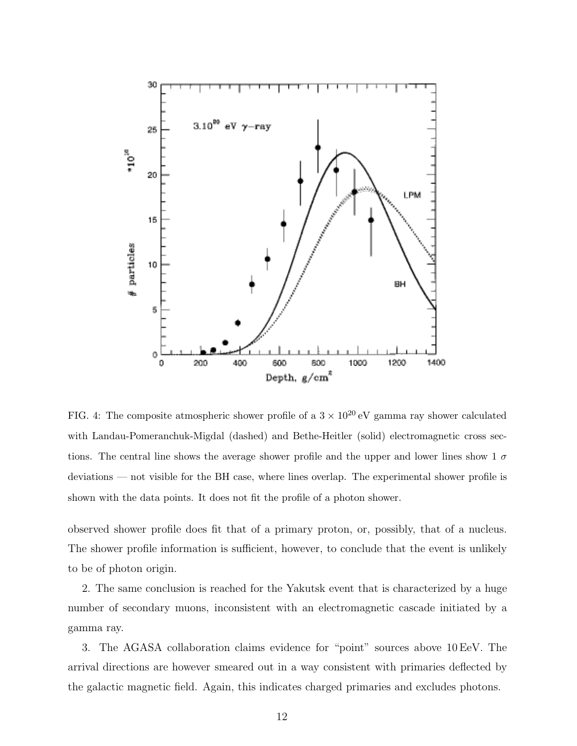<span id="page-11-0"></span>

FIG. 4: The composite atmospheric shower profile of a  $3 \times 10^{20}$  eV gamma ray shower calculated with Landau-Pomeranchuk-Migdal (dashed) and Bethe-Heitler (solid) electromagnetic cross sections. The central line shows the average shower profile and the upper and lower lines show 1  $\sigma$ deviations — not visible for the BH case, where lines overlap. The experimental shower profile is shown with the data points. It does not fit the profile of a photon shower.

observed shower profile does fit that of a primary proton, or, possibly, that of a nucleus. The shower profile information is sufficient, however, to conclude that the event is unlikely to be of photon origin.

2. The same conclusion is reached for the Yakutsk event that is characterized by a huge number of secondary muons, inconsistent with an electromagnetic cascade initiated by a gamma ray.

3. The AGASA collaboration claims evidence for "point" sources above 10 EeV. The arrival directions are however smeared out in a way consistent with primaries deflected by the galactic magnetic field. Again, this indicates charged primaries and excludes photons.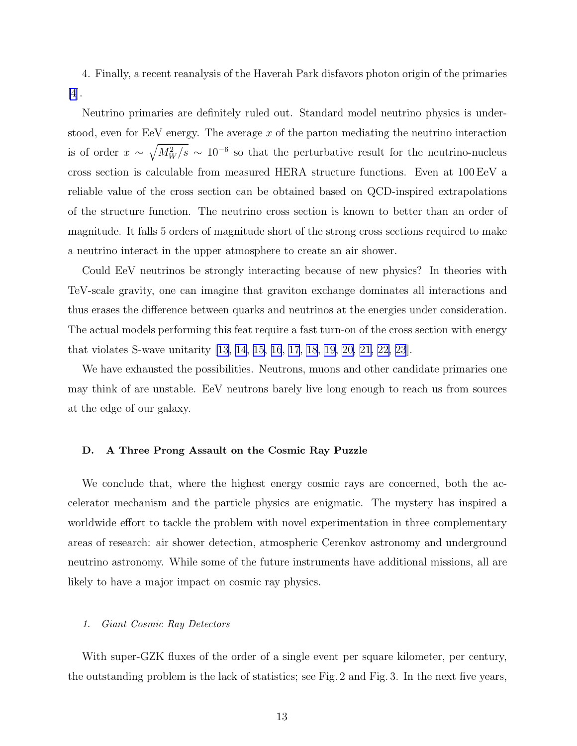4. Finally, a recent reanalysis of the Haverah Park disfavors photon origin of the primaries  $|4|$ .

Neutrino primaries are definitely ruled out. Standard model neutrino physics is understood, even for EeV energy. The average  $x$  of the parton mediating the neutrino interaction is of order  $x \sim \sqrt{M_W^2/s} \sim 10^{-6}$  so that the perturbative result for the neutrino-nucleus cross section is calculable from measured HERA structure functions. Even at 100 EeV a reliable value of the cross section can be obtained based on QCD-inspired extrapolations of the structure function. The neutrino cross section is known to better than an order of magnitude. It falls 5 orders of magnitude short of the strong cross sections required to make a neutrino interact in the upper atmosphere to create an air shower.

Could EeV neutrinos be strongly interacting because of new physics? In theories with TeV-scale gravity, one can imagine that graviton exchange dominates all interactions and thus erases the difference between quarks and neutrinos at the energies under consideration. The actual models performing this feat require a fast turn-on of the cross section with energy that violates S-wave unitarity [\[13, 14, 15, 16](#page-71-0), [17](#page-71-0), [18](#page-71-0), [19](#page-71-0), [20, 21, 22, 23](#page-71-0)].

We have exhausted the possibilities. Neutrons, muons and other candidate primaries one may think of are unstable. EeV neutrons barely live long enough to reach us from sources at the edge of our galaxy.

### D. A Three Prong Assault on the Cosmic Ray Puzzle

We conclude that, where the highest energy cosmic rays are concerned, both the accelerator mechanism and the particle physics are enigmatic. The mystery has inspired a worldwide effort to tackle the problem with novel experimentation in three complementary areas of research: air shower detection, atmospheric Cerenkov astronomy and underground neutrino astronomy. While some of the future instruments have additional missions, all are likely to have a major impact on cosmic ray physics.

#### *1. Giant Cosmic Ray Detectors*

With super-GZK fluxes of the order of a single event per square kilometer, per century, the outstanding problem is the lack of statistics; see Fig. 2 and Fig. 3. In the next five years,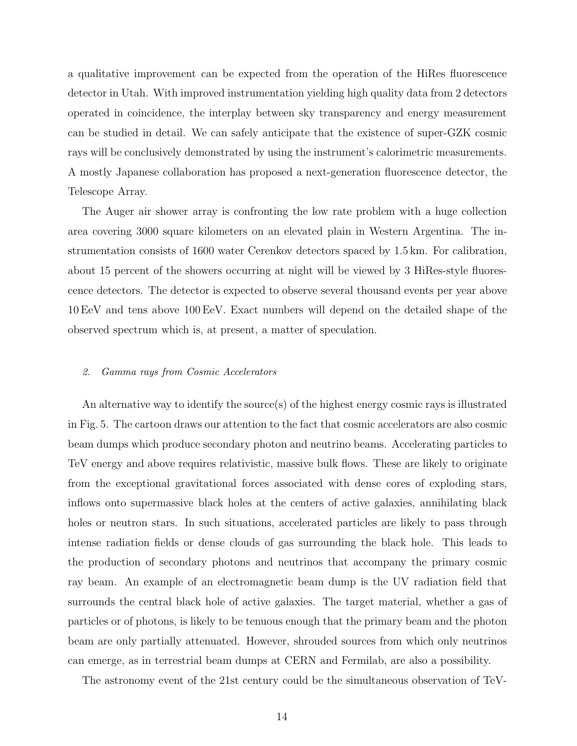a qualitative improvement can be expected from the operation of the HiRes fluorescence detector in Utah. With improved instrumentation yielding high quality data from 2 detectors operated in coincidence, the interplay between sky transparency and energy measurement can be studied in detail. We can safely anticipate that the existence of super-GZK cosmic rays will be conclusively demonstrated by using the instrument's calorimetric measurements. A mostly Japanese collaboration has proposed a next-generation fluorescence detector, the Telescope Array.

The Auger air shower array is confronting the low rate problem with a huge collection area covering 3000 square kilometers on an elevated plain in Western Argentina. The instrumentation consists of 1600 water Cerenkov detectors spaced by 1.5 km. For calibration, about 15 percent of the showers occurring at night will be viewed by 3 HiRes-style fluorescence detectors. The detector is expected to observe several thousand events per year above 10 EeV and tens above 100 EeV. Exact numbers will depend on the detailed shape of the observed spectrum which is, at present, a matter of speculation.

# *2. Gamma rays from Cosmic Accelerators*

An alternative way to identify the source(s) of the highest energy cosmic rays is illustrated in Fig. 5. The cartoon draws our attention to the fact that cosmic accelerators are also cosmic beam dumps which produce secondary photon and neutrino beams. Accelerating particles to TeV energy and above requires relativistic, massive bulk flows. These are likely to originate from the exceptional gravitational forces associated with dense cores of exploding stars, inflows onto supermassive black holes at the centers of active galaxies, annihilating black holes or neutron stars. In such situations, accelerated particles are likely to pass through intense radiation fields or dense clouds of gas surrounding the black hole. This leads to the production of secondary photons and neutrinos that accompany the primary cosmic ray beam. An example of an electromagnetic beam dump is the UV radiation field that surrounds the central black hole of active galaxies. The target material, whether a gas of particles or of photons, is likely to be tenuous enough that the primary beam and the photon beam are only partially attenuated. However, shrouded sources from which only neutrinos can emerge, as in terrestrial beam dumps at CERN and Fermilab, are also a possibility.

The astronomy event of the 21st century could be the simultaneous observation of TeV-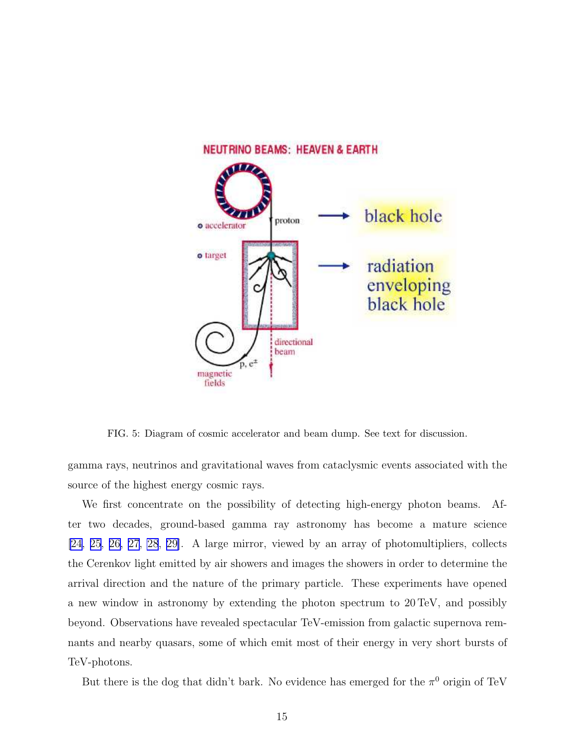

FIG. 5: Diagram of cosmic accelerator and beam dump. See text for discussion.

gamma rays, neutrinos and gravitational waves from cataclysmic events associated with the source of the highest energy cosmic rays.

We first concentrate on the possibility of detecting high-energy photon beams. After two decades, ground-based gamma ray astronomy has become a mature science [\[24](#page-71-0), [25](#page-71-0), [26, 27, 28](#page-72-0), [29\]](#page-72-0). A large mirror, viewed by an array of photomultipliers, collects the Cerenkov light emitted by air showers and images the showers in order to determine the arrival direction and the nature of the primary particle. These experiments have opened a new window in astronomy by extending the photon spectrum to 20 TeV, and possibly beyond. Observations have revealed spectacular TeV-emission from galactic supernova remnants and nearby quasars, some of which emit most of their energy in very short bursts of TeV-photons.

But there is the dog that didn't bark. No evidence has emerged for the  $\pi^0$  origin of TeV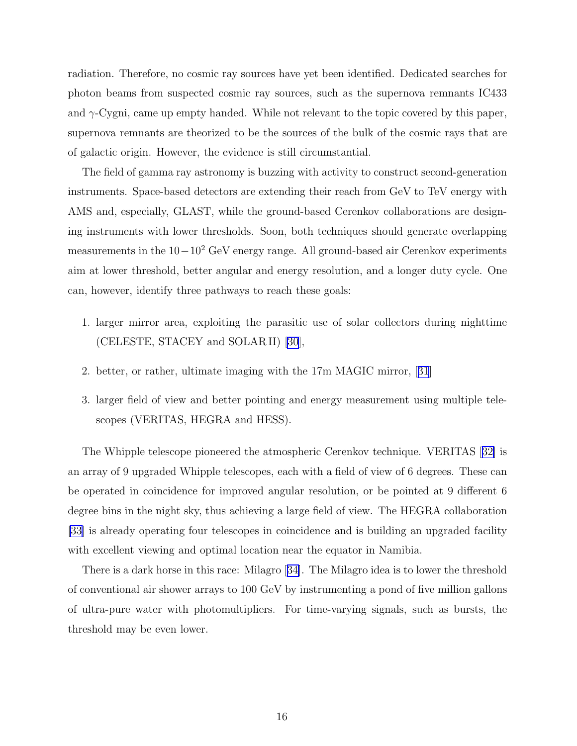radiation. Therefore, no cosmic ray sources have yet been identified. Dedicated searches for photon beams from suspected cosmic ray sources, such as the supernova remnants IC433 and  $\gamma$ -Cygni, came up empty handed. While not relevant to the topic covered by this paper, supernova remnants are theorized to be the sources of the bulk of the cosmic rays that are of galactic origin. However, the evidence is still circumstantial.

The field of gamma ray astronomy is buzzing with activity to construct second-generation instruments. Space-based detectors are extending their reach from GeV to TeV energy with AMS and, especially, GLAST, while the ground-based Cerenkov collaborations are designing instruments with lower thresholds. Soon, both techniques should generate overlapping measurements in the  $10-10^2$  GeV energy range. All ground-based air Cerenkov experiments aim at lower threshold, better angular and energy resolution, and a longer duty cycle. One can, however, identify three pathways to reach these goals:

- 1. larger mirror area, exploiting the parasitic use of solar collectors during nighttime (CELESTE, STACEY and SOLAR II) [\[30\]](#page-72-0),
- 2. better, or rather, ultimate imaging with the 17m MAGIC mirror,[[31](#page-72-0)]
- 3. larger field of view and better pointing and energy measurement using multiple telescopes (VERITAS, HEGRA and HESS).

The Whipple telescope pioneered the atmospheric Cerenkov technique. VERITAS[[32\]](#page-72-0) is an array of 9 upgraded Whipple telescopes, each with a field of view of 6 degrees. These can be operated in coincidence for improved angular resolution, or be pointed at 9 different 6 degree bins in the night sky, thus achieving a large field of view. The HEGRA collaboration [\[33](#page-72-0)] is already operating four telescopes in coincidence and is building an upgraded facility with excellent viewing and optimal location near the equator in Namibia.

There is a dark horse in this race: Milagro[[34\]](#page-72-0). The Milagro idea is to lower the threshold of conventional air shower arrays to 100 GeV by instrumenting a pond of five million gallons of ultra-pure water with photomultipliers. For time-varying signals, such as bursts, the threshold may be even lower.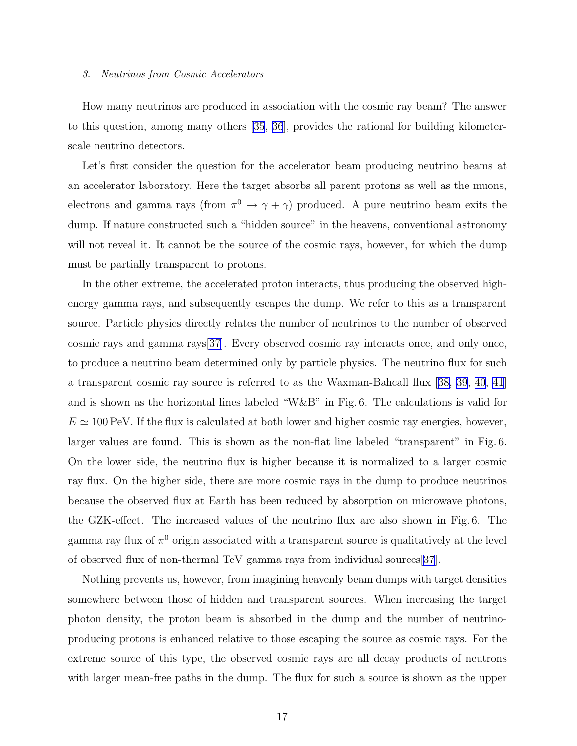#### *3. Neutrinos from Cosmic Accelerators*

How many neutrinos are produced in association with the cosmic ray beam? The answer to this question, among many others [\[35](#page-72-0), [36](#page-72-0)], provides the rational for building kilometerscale neutrino detectors.

Let's first consider the question for the accelerator beam producing neutrino beams at an accelerator laboratory. Here the target absorbs all parent protons as well as the muons, electrons and gamma rays (from  $\pi^0 \to \gamma + \gamma$ ) produced. A pure neutrino beam exits the dump. If nature constructed such a "hidden source" in the heavens, conventional astronomy will not reveal it. It cannot be the source of the cosmic rays, however, for which the dump must be partially transparent to protons.

In the other extreme, the accelerated proton interacts, thus producing the observed highenergy gamma rays, and subsequently escapes the dump. We refer to this as a transparent source. Particle physics directly relates the number of neutrinos to the number of observed cosmic rays and gamma rays[\[37](#page-72-0)]. Every observed cosmic ray interacts once, and only once, to produce a neutrino beam determined only by particle physics. The neutrino flux for such a transparent cosmic ray source is referred to as the Waxman-Bahcall flux [\[38, 39](#page-72-0), [40, 41](#page-72-0)] and is shown as the horizontal lines labeled "W&B" in Fig. 6. The calculations is valid for  $E \simeq 100 \,\text{PeV}$ . If the flux is calculated at both lower and higher cosmic ray energies, however, larger values are found. This is shown as the non-flat line labeled "transparent" in Fig. 6. On the lower side, the neutrino flux is higher because it is normalized to a larger cosmic ray flux. On the higher side, there are more cosmic rays in the dump to produce neutrinos because the observed flux at Earth has been reduced by absorption on microwave photons, the GZK-effect. The increased values of the neutrino flux are also shown in Fig. 6. The gamma ray flux of  $\pi^0$  origin associated with a transparent source is qualitatively at the level of observed flux of non-thermal TeV gamma rays from individual sources[[37](#page-72-0)].

Nothing prevents us, however, from imagining heavenly beam dumps with target densities somewhere between those of hidden and transparent sources. When increasing the target photon density, the proton beam is absorbed in the dump and the number of neutrinoproducing protons is enhanced relative to those escaping the source as cosmic rays. For the extreme source of this type, the observed cosmic rays are all decay products of neutrons with larger mean-free paths in the dump. The flux for such a source is shown as the upper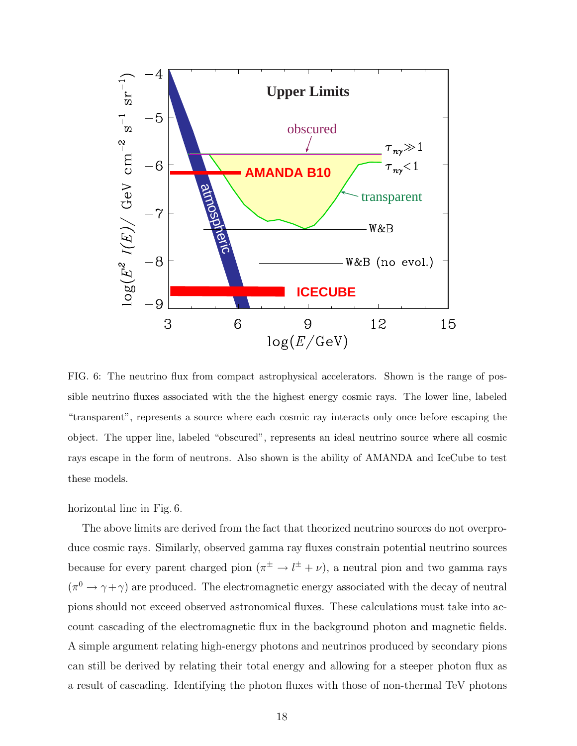<span id="page-17-0"></span>

FIG. 6: The neutrino flux from compact astrophysical accelerators. Shown is the range of possible neutrino fluxes associated with the the highest energy cosmic rays. The lower line, labeled "transparent", represents a source where each cosmic ray interacts only once before escaping the object. The upper line, labeled "obscured", represents an ideal neutrino source where all cosmic rays escape in the form of neutrons. Also shown is the ability of AMANDA and IceCube to test these models.

horizontal line in Fig. 6.

The above limits are derived from the fact that theorized neutrino sources do not overproduce cosmic rays. Similarly, observed gamma ray fluxes constrain potential neutrino sources because for every parent charged pion  $(\pi^{\pm} \to l^{\pm} + \nu)$ , a neutral pion and two gamma rays  $(\pi^0 \to \gamma + \gamma)$  are produced. The electromagnetic energy associated with the decay of neutral pions should not exceed observed astronomical fluxes. These calculations must take into account cascading of the electromagnetic flux in the background photon and magnetic fields. A simple argument relating high-energy photons and neutrinos produced by secondary pions can still be derived by relating their total energy and allowing for a steeper photon flux as a result of cascading. Identifying the photon fluxes with those of non-thermal TeV photons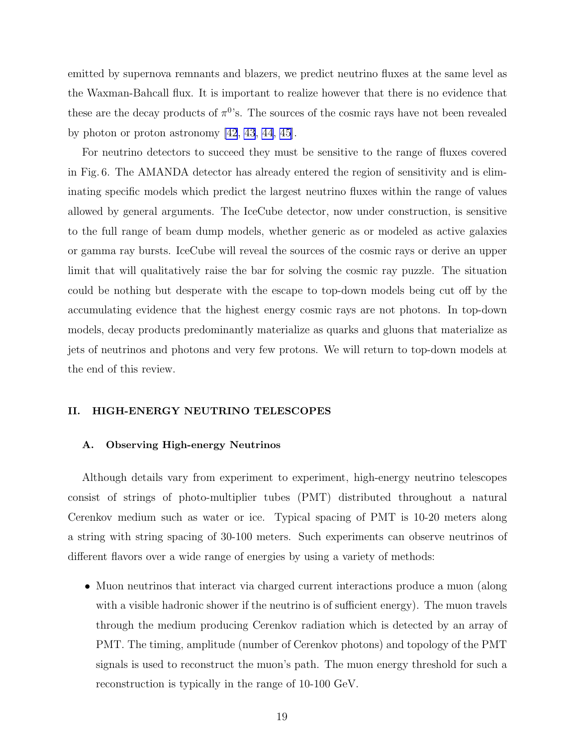emitted by supernova remnants and blazers, we predict neutrino fluxes at the same level as the Waxman-Bahcall flux. It is important to realize however that there is no evidence that these are the decay products of  $\pi^{0}$ 's. The sources of the cosmic rays have not been revealed by photon or proton astronomy [\[42](#page-72-0), [43](#page-72-0), [44](#page-72-0), [45\]](#page-72-0).

For neutrino detectors to succeed they must be sensitive to the range of fluxes covered in Fig. 6. The AMANDA detector has already entered the region of sensitivity and is eliminating specific models which predict the largest neutrino fluxes within the range of values allowed by general arguments. The IceCube detector, now under construction, is sensitive to the full range of beam dump models, whether generic as or modeled as active galaxies or gamma ray bursts. IceCube will reveal the sources of the cosmic rays or derive an upper limit that will qualitatively raise the bar for solving the cosmic ray puzzle. The situation could be nothing but desperate with the escape to top-down models being cut off by the accumulating evidence that the highest energy cosmic rays are not photons. In top-down models, decay products predominantly materialize as quarks and gluons that materialize as jets of neutrinos and photons and very few protons. We will return to top-down models at the end of this review.

# II. HIGH-ENERGY NEUTRINO TELESCOPES

#### A. Observing High-energy Neutrinos

Although details vary from experiment to experiment, high-energy neutrino telescopes consist of strings of photo-multiplier tubes (PMT) distributed throughout a natural Cerenkov medium such as water or ice. Typical spacing of PMT is 10-20 meters along a string with string spacing of 30-100 meters. Such experiments can observe neutrinos of different flavors over a wide range of energies by using a variety of methods:

• Muon neutrinos that interact via charged current interactions produce a muon (along with a visible hadronic shower if the neutrino is of sufficient energy). The muon travels through the medium producing Cerenkov radiation which is detected by an array of PMT. The timing, amplitude (number of Cerenkov photons) and topology of the PMT signals is used to reconstruct the muon's path. The muon energy threshold for such a reconstruction is typically in the range of 10-100 GeV.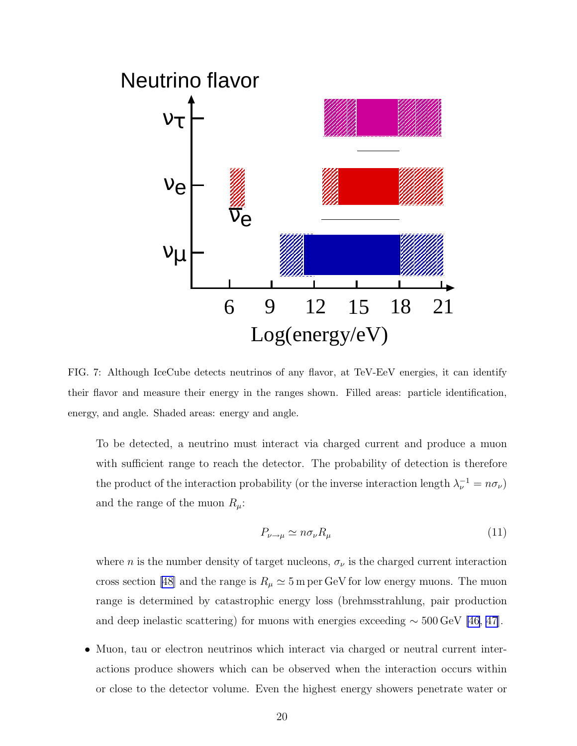<span id="page-19-0"></span>

FIG. 7: Although IceCube detects neutrinos of any flavor, at TeV-EeV energies, it can identify their flavor and measure their energy in the ranges shown. Filled areas: particle identification, energy, and angle. Shaded areas: energy and angle.

To be detected, a neutrino must interact via charged current and produce a muon with sufficient range to reach the detector. The probability of detection is therefore the product of the interaction probability (or the inverse interaction length  $\lambda_{\nu}^{-1} = n\sigma_{\nu}$ ) and the range of the muon  $R_{\mu}$ :

$$
P_{\nu \to \mu} \simeq n \sigma_{\nu} R_{\mu} \tag{11}
$$

where *n* is the number density of target nucleons,  $\sigma_{\nu}$  is the charged current interaction cross section [\[48\]](#page-72-0) and the range is  $R_{\mu} \simeq 5 \,\text{m}$  per GeV for low energy muons. The muon range is determined by catastrophic energy loss (brehmsstrahlung, pair production and deep inelastic scattering) for muons with energies exceeding  $\sim 500 \,\text{GeV}$  [\[46](#page-72-0), [47\]](#page-72-0).

• Muon, tau or electron neutrinos which interact via charged or neutral current interactions produce showers which can be observed when the interaction occurs within or close to the detector volume. Even the highest energy showers penetrate water or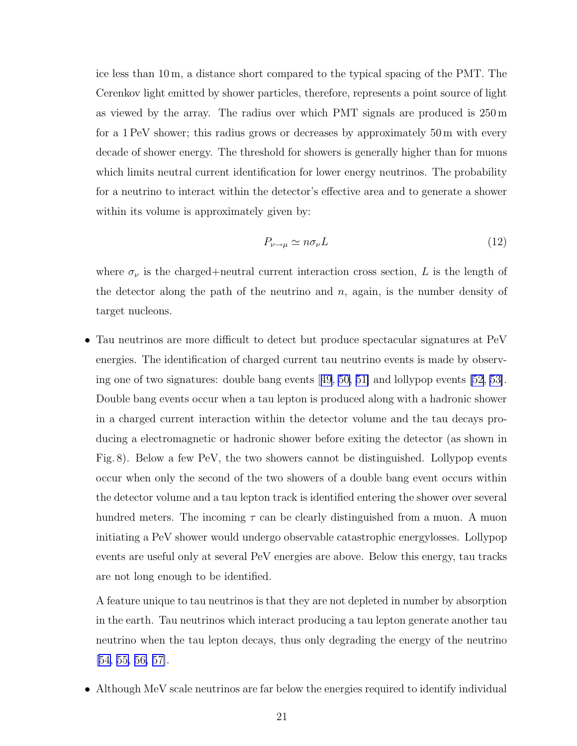ice less than 10 m, a distance short compared to the typical spacing of the PMT. The Cerenkov light emitted by shower particles, therefore, represents a point source of light as viewed by the array. The radius over which PMT signals are produced is 250 m for a 1 PeV shower; this radius grows or decreases by approximately 50 m with every decade of shower energy. The threshold for showers is generally higher than for muons which limits neutral current identification for lower energy neutrinos. The probability for a neutrino to interact within the detector's effective area and to generate a shower within its volume is approximately given by:

$$
P_{\nu \to \mu} \simeq n \sigma_{\nu} L \tag{12}
$$

where  $\sigma_{\nu}$  is the charged+neutral current interaction cross section, L is the length of the detector along the path of the neutrino and  $n$ , again, is the number density of target nucleons.

• Tau neutrinos are more difficult to detect but produce spectacular signatures at PeV energies. The identification of charged current tau neutrino events is made by observing one of two signatures: double bang events[[49](#page-73-0), [50, 51\]](#page-73-0) and lollypop events [\[52](#page-73-0), [53\]](#page-73-0). Double bang events occur when a tau lepton is produced along with a hadronic shower in a charged current interaction within the detector volume and the tau decays producing a electromagnetic or hadronic shower before exiting the detector (as shown in Fig. 8). Below a few PeV, the two showers cannot be distinguished. Lollypop events occur when only the second of the two showers of a double bang event occurs within the detector volume and a tau lepton track is identified entering the shower over several hundred meters. The incoming  $\tau$  can be clearly distinguished from a muon. A muon initiating a PeV shower would undergo observable catastrophic energylosses. Lollypop events are useful only at several PeV energies are above. Below this energy, tau tracks are not long enough to be identified.

A feature unique to tau neutrinos is that they are not depleted in number by absorption in the earth. Tau neutrinos which interact producing a tau lepton generate another tau neutrino when the tau lepton decays, thus only degrading the energy of the neutrino [\[54, 55, 56, 57\]](#page-73-0).

• Although MeV scale neutrinos are far below the energies required to identify individual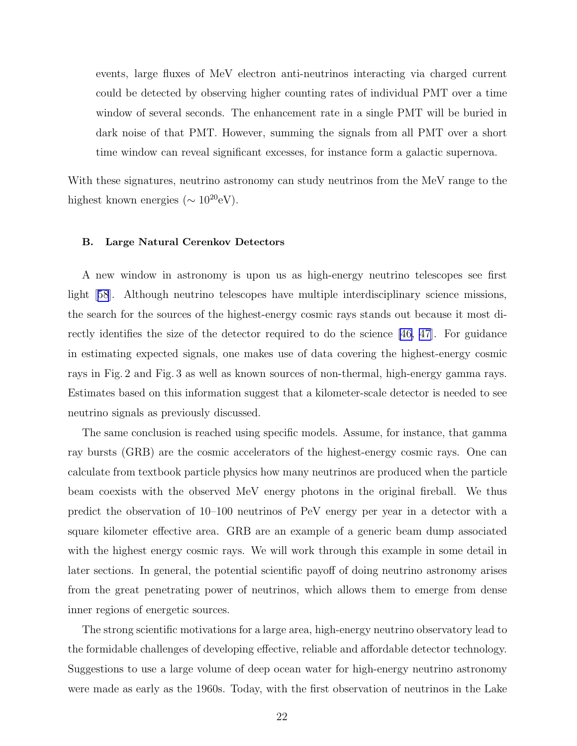events, large fluxes of MeV electron anti-neutrinos interacting via charged current could be detected by observing higher counting rates of individual PMT over a time window of several seconds. The enhancement rate in a single PMT will be buried in dark noise of that PMT. However, summing the signals from all PMT over a short time window can reveal significant excesses, for instance form a galactic supernova.

With these signatures, neutrino astronomy can study neutrinos from the MeV range to the highest known energies ( $\sim 10^{20} \text{eV}$ ).

#### B. Large Natural Cerenkov Detectors

A new window in astronomy is upon us as high-energy neutrino telescopes see first light[[58](#page-73-0)]. Although neutrino telescopes have multiple interdisciplinary science missions, the search for the sources of the highest-energy cosmic rays stands out because it most directly identifies the size of the detector required to do the science [\[46](#page-72-0), [47](#page-72-0)]. For guidance in estimating expected signals, one makes use of data covering the highest-energy cosmic rays in Fig. 2 and Fig. 3 as well as known sources of non-thermal, high-energy gamma rays. Estimates based on this information suggest that a kilometer-scale detector is needed to see neutrino signals as previously discussed.

The same conclusion is reached using specific models. Assume, for instance, that gamma ray bursts (GRB) are the cosmic accelerators of the highest-energy cosmic rays. One can calculate from textbook particle physics how many neutrinos are produced when the particle beam coexists with the observed MeV energy photons in the original fireball. We thus predict the observation of 10–100 neutrinos of PeV energy per year in a detector with a square kilometer effective area. GRB are an example of a generic beam dump associated with the highest energy cosmic rays. We will work through this example in some detail in later sections. In general, the potential scientific payoff of doing neutrino astronomy arises from the great penetrating power of neutrinos, which allows them to emerge from dense inner regions of energetic sources.

The strong scientific motivations for a large area, high-energy neutrino observatory lead to the formidable challenges of developing effective, reliable and affordable detector technology. Suggestions to use a large volume of deep ocean water for high-energy neutrino astronomy were made as early as the 1960s. Today, with the first observation of neutrinos in the Lake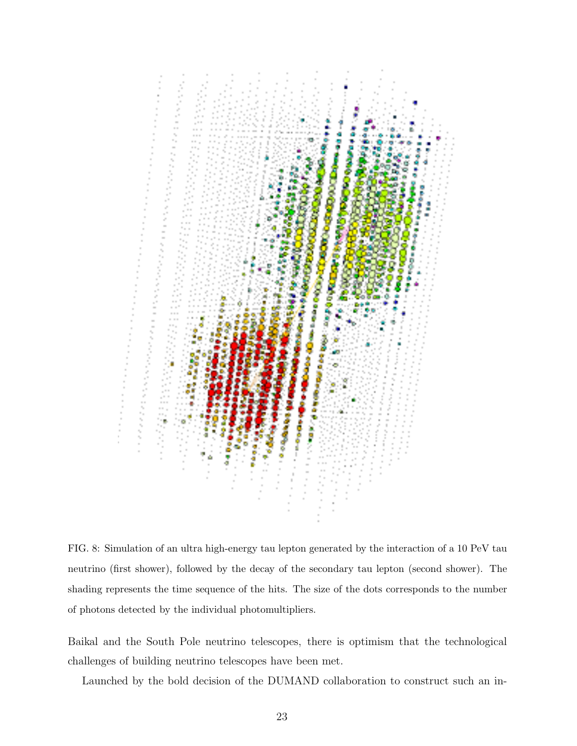<span id="page-22-0"></span>

FIG. 8: Simulation of an ultra high-energy tau lepton generated by the interaction of a 10 PeV tau neutrino (first shower), followed by the decay of the secondary tau lepton (second shower). The shading represents the time sequence of the hits. The size of the dots corresponds to the number of photons detected by the individual photomultipliers.

Baikal and the South Pole neutrino telescopes, there is optimism that the technological challenges of building neutrino telescopes have been met.

Launched by the bold decision of the DUMAND collaboration to construct such an in-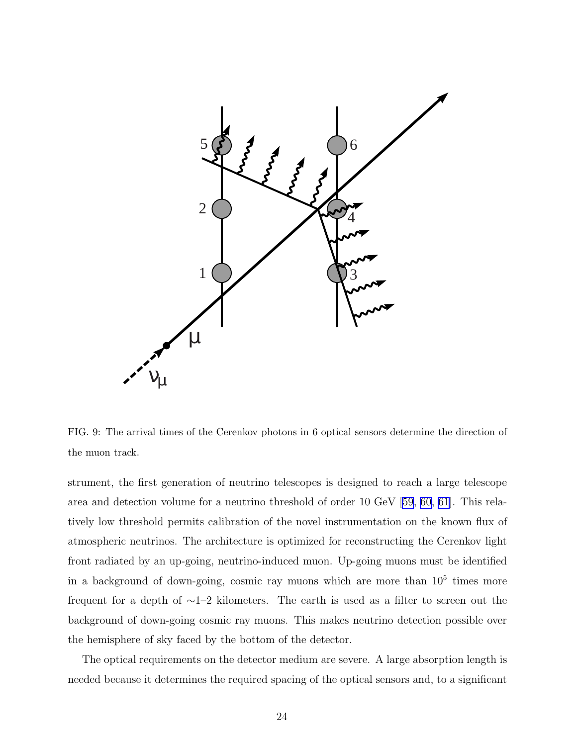<span id="page-23-0"></span>

FIG. 9: The arrival times of the Cerenkov photons in 6 optical sensors determine the direction of the muon track.

strument, the first generation of neutrino telescopes is designed to reach a large telescope area and detection volume for a neutrino threshold of order 10 GeV [\[59](#page-73-0), [60](#page-73-0), [61\]](#page-73-0). This relatively low threshold permits calibration of the novel instrumentation on the known flux of atmospheric neutrinos. The architecture is optimized for reconstructing the Cerenkov light front radiated by an up-going, neutrino-induced muon. Up-going muons must be identified in a background of down-going, cosmic ray muons which are more than  $10<sup>5</sup>$  times more frequent for a depth of ∼1–2 kilometers. The earth is used as a filter to screen out the background of down-going cosmic ray muons. This makes neutrino detection possible over the hemisphere of sky faced by the bottom of the detector.

The optical requirements on the detector medium are severe. A large absorption length is needed because it determines the required spacing of the optical sensors and, to a significant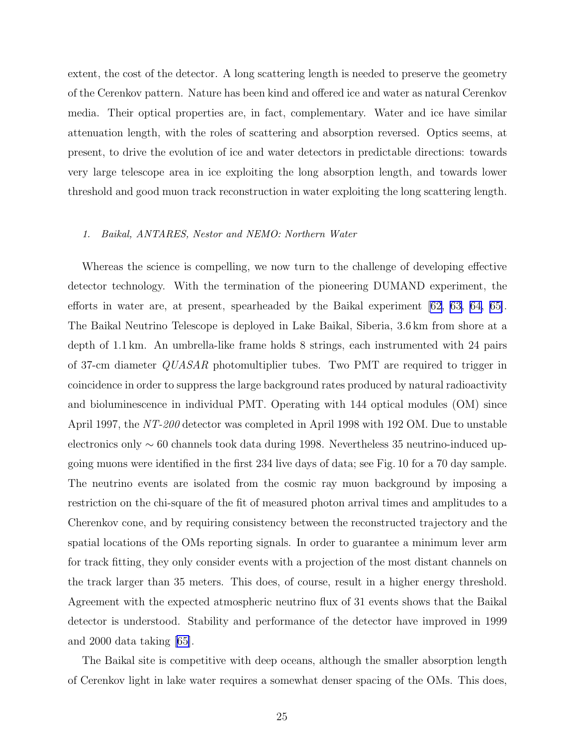extent, the cost of the detector. A long scattering length is needed to preserve the geometry of the Cerenkov pattern. Nature has been kind and offered ice and water as natural Cerenkov media. Their optical properties are, in fact, complementary. Water and ice have similar attenuation length, with the roles of scattering and absorption reversed. Optics seems, at present, to drive the evolution of ice and water detectors in predictable directions: towards very large telescope area in ice exploiting the long absorption length, and towards lower threshold and good muon track reconstruction in water exploiting the long scattering length.

#### *1. Baikal, ANTARES, Nestor and NEMO: Northern Water*

Whereas the science is compelling, we now turn to the challenge of developing effective detector technology. With the termination of the pioneering DUMAND experiment, the efforts in water are, at present, spearheaded by the Baikal experiment [\[62, 63, 64, 65\]](#page-73-0). The Baikal Neutrino Telescope is deployed in Lake Baikal, Siberia, 3.6 km from shore at a depth of 1.1 km. An umbrella-like frame holds 8 strings, each instrumented with 24 pairs of 37-cm diameter *QUASAR* photomultiplier tubes. Two PMT are required to trigger in coincidence in order to suppress the large background rates produced by natural radioactivity and bioluminescence in individual PMT. Operating with 144 optical modules (OM) since April 1997, the *NT-200* detector was completed in April 1998 with 192 OM. Due to unstable electronics only ∼ 60 channels took data during 1998. Nevertheless 35 neutrino-induced upgoing muons were identified in the first 234 live days of data; see Fig. 10 for a 70 day sample. The neutrino events are isolated from the cosmic ray muon background by imposing a restriction on the chi-square of the fit of measured photon arrival times and amplitudes to a Cherenkov cone, and by requiring consistency between the reconstructed trajectory and the spatial locations of the OMs reporting signals. In order to guarantee a minimum lever arm for track fitting, they only consider events with a projection of the most distant channels on the track larger than 35 meters. This does, of course, result in a higher energy threshold. Agreement with the expected atmospheric neutrino flux of 31 events shows that the Baikal detector is understood. Stability and performance of the detector have improved in 1999 and 2000 data taking [\[65\]](#page-73-0).

The Baikal site is competitive with deep oceans, although the smaller absorption length of Cerenkov light in lake water requires a somewhat denser spacing of the OMs. This does,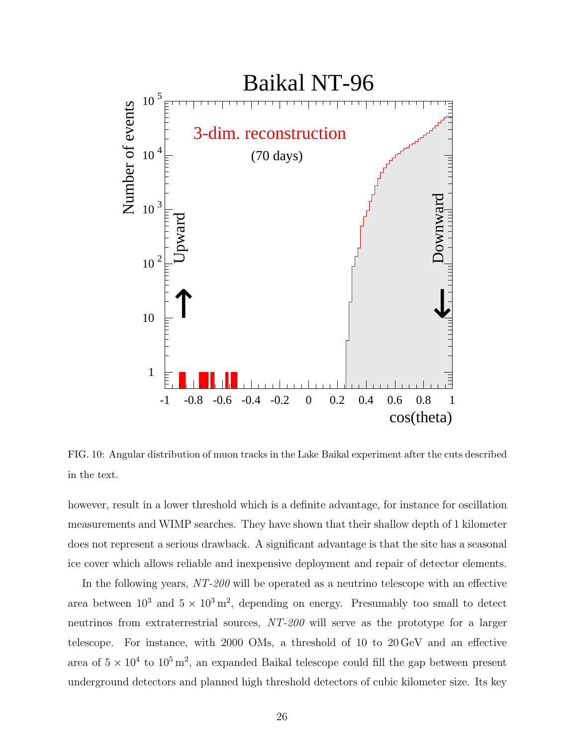<span id="page-25-0"></span>

FIG. 10: Angular distribution of muon tracks in the Lake Baikal experiment after the cuts described in the text.

however, result in a lower threshold which is a definite advantage, for instance for oscillation measurements and WIMP searches. They have shown that their shallow depth of 1 kilometer does not represent a serious drawback. A significant advantage is that the site has a seasonal ice cover which allows reliable and inexpensive deployment and repair of detector elements.

In the following years, *NT-200* will be operated as a neutrino telescope with an effective area between  $10^3$  and  $5 \times 10^3$  m<sup>2</sup>, depending on energy. Presumably too small to detect neutrinos from extraterrestrial sources, *NT-200* will serve as the prototype for a larger telescope. For instance, with 2000 OMs, a threshold of 10 to 20 GeV and an effective area of  $5 \times 10^4$  to  $10^5 \,\mathrm{m}^2$ , an expanded Baikal telescope could fill the gap between present underground detectors and planned high threshold detectors of cubic kilometer size. Its key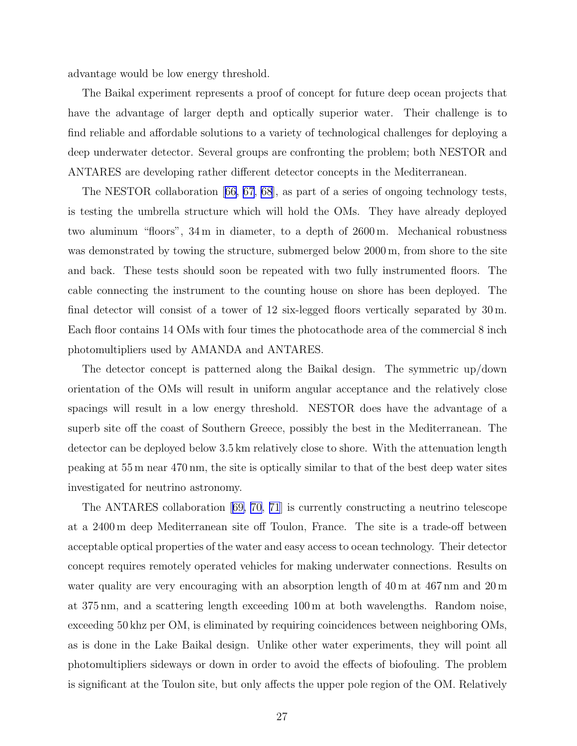advantage would be low energy threshold.

The Baikal experiment represents a proof of concept for future deep ocean projects that have the advantage of larger depth and optically superior water. Their challenge is to find reliable and affordable solutions to a variety of technological challenges for deploying a deep underwater detector. Several groups are confronting the problem; both NESTOR and ANTARES are developing rather different detector concepts in the Mediterranean.

The NESTOR collaboration[[66, 67, 68](#page-73-0)], as part of a series of ongoing technology tests, is testing the umbrella structure which will hold the OMs. They have already deployed two aluminum "floors", 34 m in diameter, to a depth of 2600 m. Mechanical robustness was demonstrated by towing the structure, submerged below 2000 m, from shore to the site and back. These tests should soon be repeated with two fully instrumented floors. The cable connecting the instrument to the counting house on shore has been deployed. The final detector will consist of a tower of 12 six-legged floors vertically separated by 30 m. Each floor contains 14 OMs with four times the photocathode area of the commercial 8 inch photomultipliers used by AMANDA and ANTARES.

The detector concept is patterned along the Baikal design. The symmetric up/down orientation of the OMs will result in uniform angular acceptance and the relatively close spacings will result in a low energy threshold. NESTOR does have the advantage of a superb site off the coast of Southern Greece, possibly the best in the Mediterranean. The detector can be deployed below 3.5 km relatively close to shore. With the attenuation length peaking at 55 m near 470 nm, the site is optically similar to that of the best deep water sites investigated for neutrino astronomy.

The ANTARES collaboration[[69, 70, 71](#page-73-0)] is currently constructing a neutrino telescope at a 2400 m deep Mediterranean site off Toulon, France. The site is a trade-off between acceptable optical properties of the water and easy access to ocean technology. Their detector concept requires remotely operated vehicles for making underwater connections. Results on water quality are very encouraging with an absorption length of 40 m at 467 nm and 20 m at 375 nm, and a scattering length exceeding 100 m at both wavelengths. Random noise, exceeding 50 khz per OM, is eliminated by requiring coincidences between neighboring OMs, as is done in the Lake Baikal design. Unlike other water experiments, they will point all photomultipliers sideways or down in order to avoid the effects of biofouling. The problem is significant at the Toulon site, but only affects the upper pole region of the OM. Relatively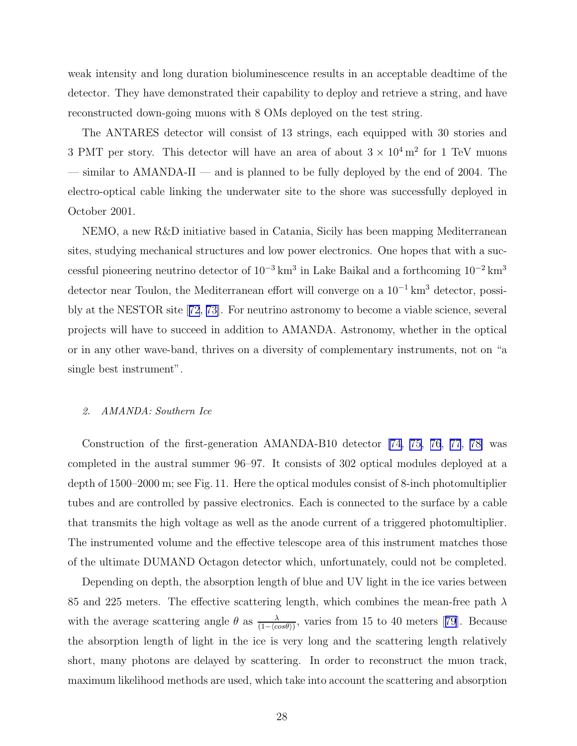weak intensity and long duration bioluminescence results in an acceptable deadtime of the detector. They have demonstrated their capability to deploy and retrieve a string, and have reconstructed down-going muons with 8 OMs deployed on the test string.

The ANTARES detector will consist of 13 strings, each equipped with 30 stories and 3 PMT per story. This detector will have an area of about  $3 \times 10^4 \,\mathrm{m}^2$  for 1 TeV muons  $-$  similar to AMANDA-II  $-$  and is planned to be fully deployed by the end of 2004. The electro-optical cable linking the underwater site to the shore was successfully deployed in October 2001.

NEMO, a new R&D initiative based in Catania, Sicily has been mapping Mediterranean sites, studying mechanical structures and low power electronics. One hopes that with a successful pioneering neutrino detector of  $10^{-3}$  km<sup>3</sup> in Lake Baikal and a forthcoming  $10^{-2}$  km<sup>3</sup> detector near Toulon, the Mediterranean effort will converge on a 10<sup>−</sup><sup>1</sup> km<sup>3</sup> detector, possibly at the NESTOR site[[72](#page-73-0), [73\]](#page-74-0). For neutrino astronomy to become a viable science, several projects will have to succeed in addition to AMANDA. Astronomy, whether in the optical or in any other wave-band, thrives on a diversity of complementary instruments, not on "a single best instrument".

#### *2. AMANDA: Southern Ice*

Construction of the first-generation AMANDA-B10 detector [\[74, 75](#page-74-0), [76](#page-74-0), [77](#page-74-0), [78\]](#page-74-0) was completed in the austral summer 96–97. It consists of 302 optical modules deployed at a depth of 1500–2000 m; see Fig. 11. Here the optical modules consist of 8-inch photomultiplier tubes and are controlled by passive electronics. Each is connected to the surface by a cable that transmits the high voltage as well as the anode current of a triggered photomultiplier. The instrumented volume and the effective telescope area of this instrument matches those of the ultimate DUMAND Octagon detector which, unfortunately, could not be completed.

Depending on depth, the absorption length of blue and UV light in the ice varies between 85 and 225 meters. The effective scattering length, which combines the mean-free path  $\lambda$ withthe average scattering angle  $\theta$  as  $\frac{\lambda}{(1-\langle cos\theta \rangle)}$ , varies from 15 to 40 meters [[79](#page-74-0)]. Because the absorption length of light in the ice is very long and the scattering length relatively short, many photons are delayed by scattering. In order to reconstruct the muon track, maximum likelihood methods are used, which take into account the scattering and absorption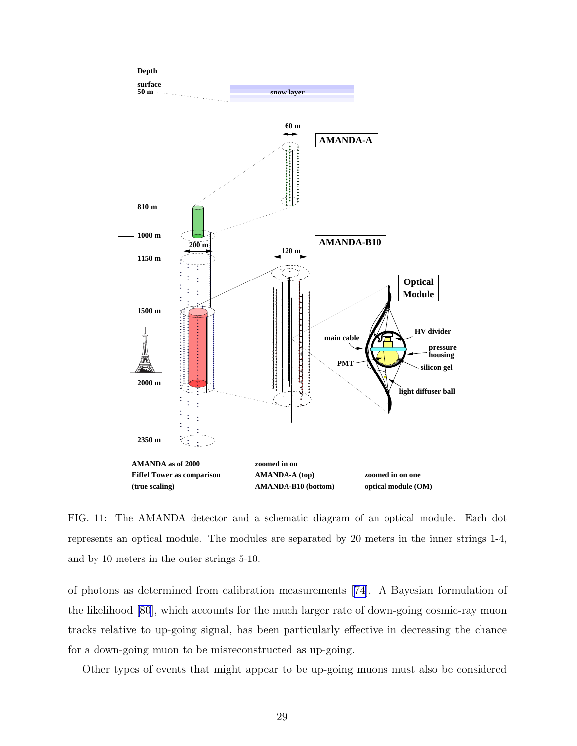

FIG. 11: The AMANDA detector and a schematic diagram of an optical module. Each dot represents an optical module. The modules are separated by 20 meters in the inner strings 1-4, and by 10 meters in the outer strings 5-10.

of photons as determined from calibration measurements [\[74\]](#page-74-0). A Bayesian formulation of the likelihood [\[80](#page-74-0)], which accounts for the much larger rate of down-going cosmic-ray muon tracks relative to up-going signal, has been particularly effective in decreasing the chance for a down-going muon to be misreconstructed as up-going.

Other types of events that might appear to be up-going muons must also be considered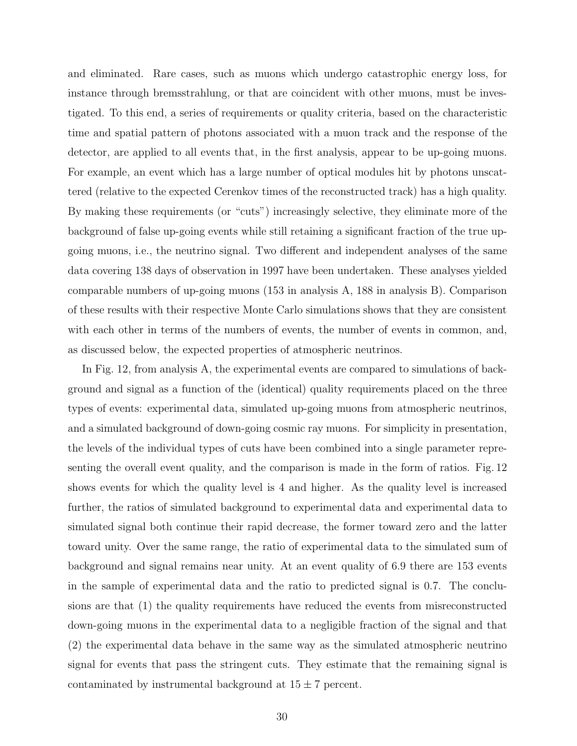and eliminated. Rare cases, such as muons which undergo catastrophic energy loss, for instance through bremsstrahlung, or that are coincident with other muons, must be investigated. To this end, a series of requirements or quality criteria, based on the characteristic time and spatial pattern of photons associated with a muon track and the response of the detector, are applied to all events that, in the first analysis, appear to be up-going muons. For example, an event which has a large number of optical modules hit by photons unscattered (relative to the expected Cerenkov times of the reconstructed track) has a high quality. By making these requirements (or "cuts") increasingly selective, they eliminate more of the background of false up-going events while still retaining a significant fraction of the true upgoing muons, i.e., the neutrino signal. Two different and independent analyses of the same data covering 138 days of observation in 1997 have been undertaken. These analyses yielded comparable numbers of up-going muons (153 in analysis A, 188 in analysis B). Comparison of these results with their respective Monte Carlo simulations shows that they are consistent with each other in terms of the numbers of events, the number of events in common, and, as discussed below, the expected properties of atmospheric neutrinos.

In Fig. 12, from analysis A, the experimental events are compared to simulations of background and signal as a function of the (identical) quality requirements placed on the three types of events: experimental data, simulated up-going muons from atmospheric neutrinos, and a simulated background of down-going cosmic ray muons. For simplicity in presentation, the levels of the individual types of cuts have been combined into a single parameter representing the overall event quality, and the comparison is made in the form of ratios. Fig. 12 shows events for which the quality level is 4 and higher. As the quality level is increased further, the ratios of simulated background to experimental data and experimental data to simulated signal both continue their rapid decrease, the former toward zero and the latter toward unity. Over the same range, the ratio of experimental data to the simulated sum of background and signal remains near unity. At an event quality of 6.9 there are 153 events in the sample of experimental data and the ratio to predicted signal is 0.7. The conclusions are that (1) the quality requirements have reduced the events from misreconstructed down-going muons in the experimental data to a negligible fraction of the signal and that (2) the experimental data behave in the same way as the simulated atmospheric neutrino signal for events that pass the stringent cuts. They estimate that the remaining signal is contaminated by instrumental background at  $15 \pm 7$  percent.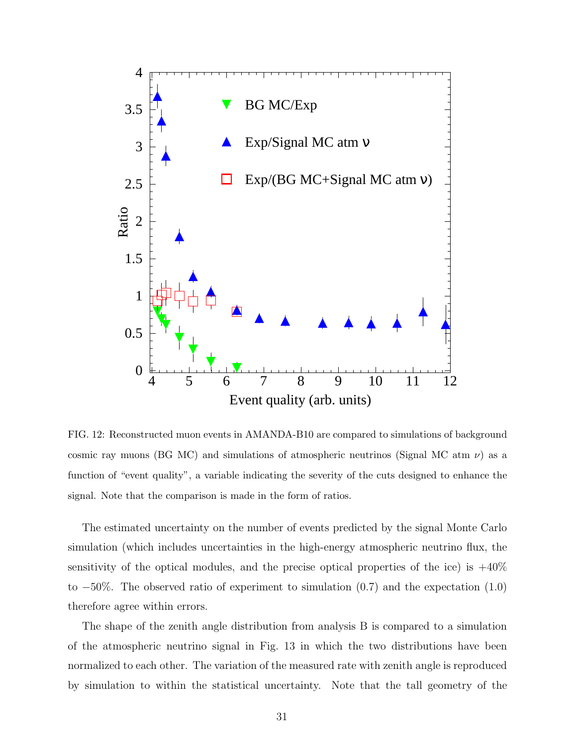

FIG. 12: Reconstructed muon events in AMANDA-B10 are compared to simulations of background cosmic ray muons (BG MC) and simulations of atmospheric neutrinos (Signal MC atm  $\nu$ ) as a function of "event quality", a variable indicating the severity of the cuts designed to enhance the signal. Note that the comparison is made in the form of ratios.

The estimated uncertainty on the number of events predicted by the signal Monte Carlo simulation (which includes uncertainties in the high-energy atmospheric neutrino flux, the sensitivity of the optical modules, and the precise optical properties of the ice) is  $+40\%$ to −50%. The observed ratio of experiment to simulation (0.7) and the expectation (1.0) therefore agree within errors.

The shape of the zenith angle distribution from analysis B is compared to a simulation of the atmospheric neutrino signal in Fig. 13 in which the two distributions have been normalized to each other. The variation of the measured rate with zenith angle is reproduced by simulation to within the statistical uncertainty. Note that the tall geometry of the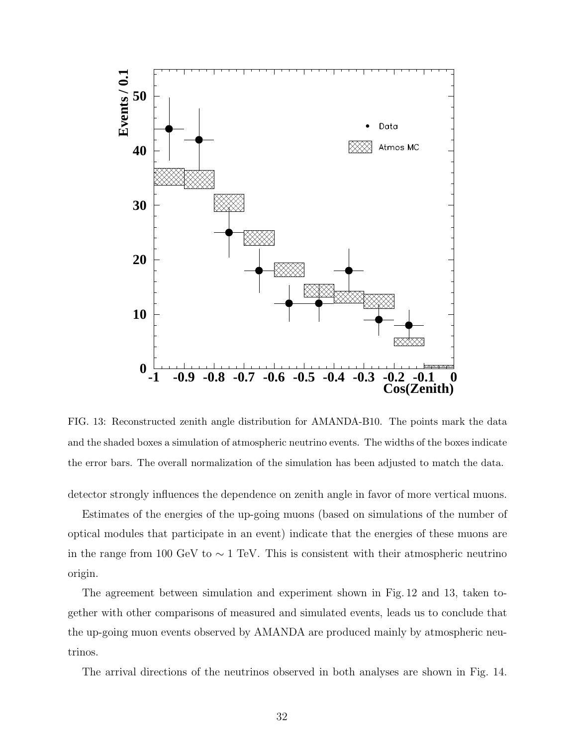

FIG. 13: Reconstructed zenith angle distribution for AMANDA-B10. The points mark the data and the shaded boxes a simulation of atmospheric neutrino events. The widths of the boxes indicate the error bars. The overall normalization of the simulation has been adjusted to match the data.

detector strongly influences the dependence on zenith angle in favor of more vertical muons.

Estimates of the energies of the up-going muons (based on simulations of the number of optical modules that participate in an event) indicate that the energies of these muons are in the range from 100 GeV to  $\sim 1$  TeV. This is consistent with their atmospheric neutrino origin.

The agreement between simulation and experiment shown in Fig. 12 and 13, taken together with other comparisons of measured and simulated events, leads us to conclude that the up-going muon events observed by AMANDA are produced mainly by atmospheric neutrinos.

The arrival directions of the neutrinos observed in both analyses are shown in Fig. 14.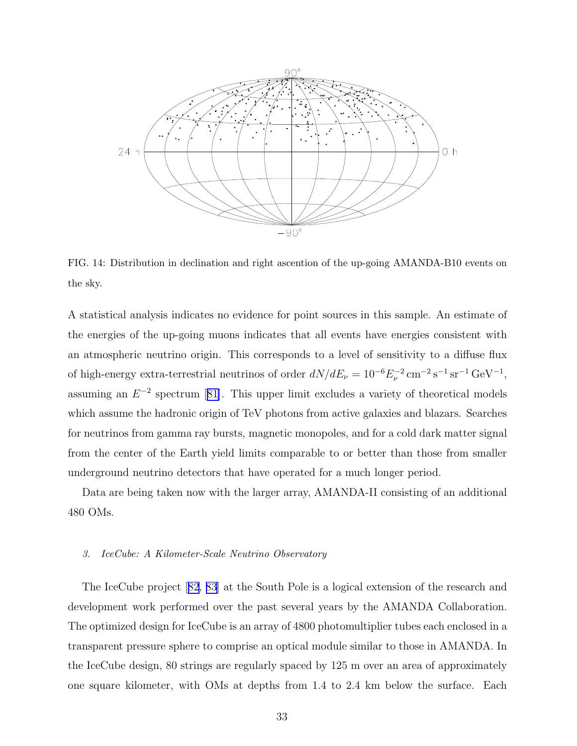<span id="page-32-0"></span>

FIG. 14: Distribution in declination and right ascention of the up-going AMANDA-B10 events on the sky.

A statistical analysis indicates no evidence for point sources in this sample. An estimate of the energies of the up-going muons indicates that all events have energies consistent with an atmospheric neutrino origin. This corresponds to a level of sensitivity to a diffuse flux of high-energy extra-terrestrial neutrinos of order  $dN/dE_{\nu} = 10^{-6} E_{\nu}^{-2} \text{ cm}^{-2} \text{ s}^{-1} \text{ sr}^{-1} \text{ GeV}^{-1}$ , assumingan  $E^{-2}$  spectrum [[81\]](#page-74-0). This upper limit excludes a variety of theoretical models which assume the hadronic origin of TeV photons from active galaxies and blazars. Searches for neutrinos from gamma ray bursts, magnetic monopoles, and for a cold dark matter signal from the center of the Earth yield limits comparable to or better than those from smaller underground neutrino detectors that have operated for a much longer period.

Data are being taken now with the larger array, AMANDA-II consisting of an additional 480 OMs.

#### *3. IceCube: A Kilometer-Scale Neutrino Observatory*

The IceCube project[[82](#page-74-0), [83](#page-74-0)] at the South Pole is a logical extension of the research and development work performed over the past several years by the AMANDA Collaboration. The optimized design for IceCube is an array of 4800 photomultiplier tubes each enclosed in a transparent pressure sphere to comprise an optical module similar to those in AMANDA. In the IceCube design, 80 strings are regularly spaced by 125 m over an area of approximately one square kilometer, with OMs at depths from 1.4 to 2.4 km below the surface. Each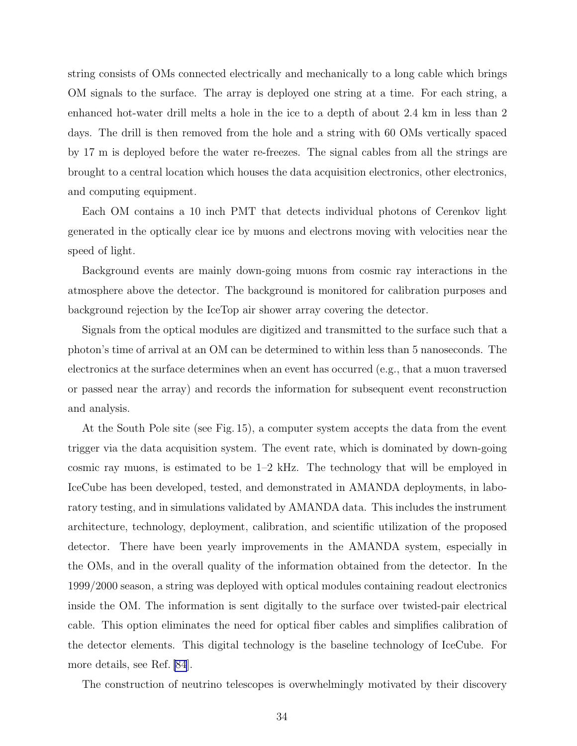string consists of OMs connected electrically and mechanically to a long cable which brings OM signals to the surface. The array is deployed one string at a time. For each string, a enhanced hot-water drill melts a hole in the ice to a depth of about 2.4 km in less than 2 days. The drill is then removed from the hole and a string with 60 OMs vertically spaced by 17 m is deployed before the water re-freezes. The signal cables from all the strings are brought to a central location which houses the data acquisition electronics, other electronics, and computing equipment.

Each OM contains a 10 inch PMT that detects individual photons of Cerenkov light generated in the optically clear ice by muons and electrons moving with velocities near the speed of light.

Background events are mainly down-going muons from cosmic ray interactions in the atmosphere above the detector. The background is monitored for calibration purposes and background rejection by the IceTop air shower array covering the detector.

Signals from the optical modules are digitized and transmitted to the surface such that a photon's time of arrival at an OM can be determined to within less than 5 nanoseconds. The electronics at the surface determines when an event has occurred (e.g., that a muon traversed or passed near the array) and records the information for subsequent event reconstruction and analysis.

At the South Pole site (see Fig. 15), a computer system accepts the data from the event trigger via the data acquisition system. The event rate, which is dominated by down-going cosmic ray muons, is estimated to be  $1-2$  kHz. The technology that will be employed in IceCube has been developed, tested, and demonstrated in AMANDA deployments, in laboratory testing, and in simulations validated by AMANDA data. This includes the instrument architecture, technology, deployment, calibration, and scientific utilization of the proposed detector. There have been yearly improvements in the AMANDA system, especially in the OMs, and in the overall quality of the information obtained from the detector. In the 1999/2000 season, a string was deployed with optical modules containing readout electronics inside the OM. The information is sent digitally to the surface over twisted-pair electrical cable. This option eliminates the need for optical fiber cables and simplifies calibration of the detector elements. This digital technology is the baseline technology of IceCube. For more details, see Ref. [\[84](#page-74-0)].

The construction of neutrino telescopes is overwhelmingly motivated by their discovery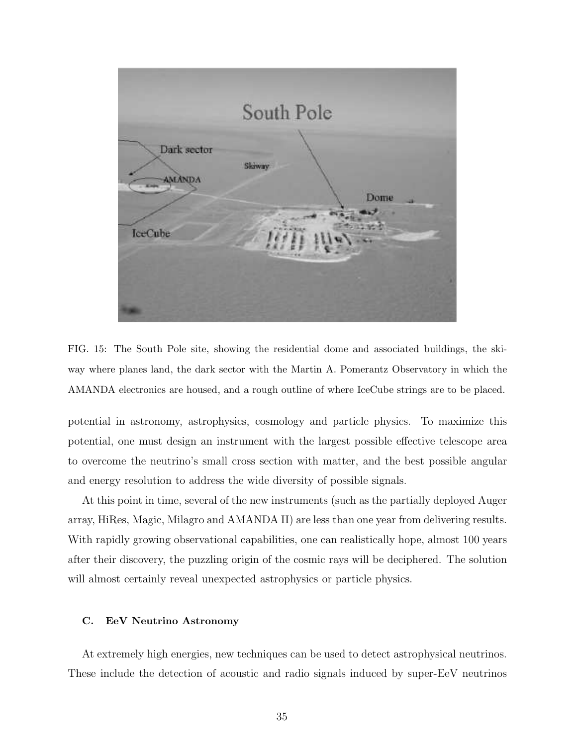<span id="page-34-0"></span>

FIG. 15: The South Pole site, showing the residential dome and associated buildings, the skiway where planes land, the dark sector with the Martin A. Pomerantz Observatory in which the AMANDA electronics are housed, and a rough outline of where IceCube strings are to be placed.

potential in astronomy, astrophysics, cosmology and particle physics. To maximize this potential, one must design an instrument with the largest possible effective telescope area to overcome the neutrino's small cross section with matter, and the best possible angular and energy resolution to address the wide diversity of possible signals.

At this point in time, several of the new instruments (such as the partially deployed Auger array, HiRes, Magic, Milagro and AMANDA II) are less than one year from delivering results. With rapidly growing observational capabilities, one can realistically hope, almost 100 years after their discovery, the puzzling origin of the cosmic rays will be deciphered. The solution will almost certainly reveal unexpected astrophysics or particle physics.

# C. EeV Neutrino Astronomy

At extremely high energies, new techniques can be used to detect astrophysical neutrinos. These include the detection of acoustic and radio signals induced by super-EeV neutrinos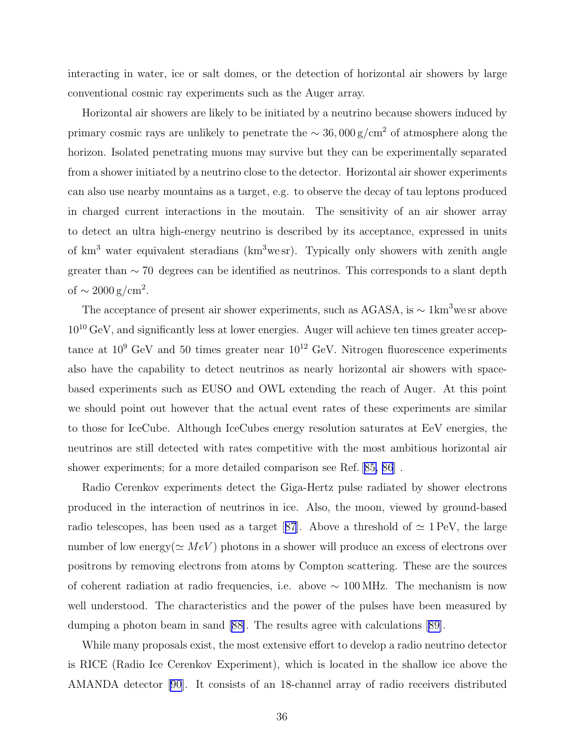interacting in water, ice or salt domes, or the detection of horizontal air showers by large conventional cosmic ray experiments such as the Auger array.

Horizontal air showers are likely to be initiated by a neutrino because showers induced by primary cosmic rays are unlikely to penetrate the  $\sim 36,000 \text{ g/cm}^2$  of atmosphere along the horizon. Isolated penetrating muons may survive but they can be experimentally separated from a shower initiated by a neutrino close to the detector. Horizontal air shower experiments can also use nearby mountains as a target, e.g. to observe the decay of tau leptons produced in charged current interactions in the moutain. The sensitivity of an air shower array to detect an ultra high-energy neutrino is described by its acceptance, expressed in units of  $km<sup>3</sup>$  water equivalent steradians ( $km<sup>3</sup>$ we sr). Typically only showers with zenith angle greater than ∼ 70 degrees can be identified as neutrinos. This corresponds to a slant depth of  $\sim 2000 \text{ g/cm}^2$ .

The acceptance of present air shower experiments, such as AGASA, is  $\sim 1 \text{km}^3$  we sr above  $10^{10}$  GeV, and significantly less at lower energies. Auger will achieve ten times greater acceptance at  $10^9$  GeV and 50 times greater near  $10^{12}$  GeV. Nitrogen fluorescence experiments also have the capability to detect neutrinos as nearly horizontal air showers with spacebased experiments such as EUSO and OWL extending the reach of Auger. At this point we should point out however that the actual event rates of these experiments are similar to those for IceCube. Although IceCubes energy resolution saturates at EeV energies, the neutrinos are still detected with rates competitive with the most ambitious horizontal air shower experiments; for a more detailed comparison see Ref. [[85, 86](#page-74-0)] .

Radio Cerenkov experiments detect the Giga-Hertz pulse radiated by shower electrons produced in the interaction of neutrinos in ice. Also, the moon, viewed by ground-based radiotelescopes, has been used as a target [[87](#page-74-0)]. Above a threshold of  $\simeq 1 \,\text{PeV}$ , the large number of low energy( $\simeq MeV$ ) photons in a shower will produce an excess of electrons over positrons by removing electrons from atoms by Compton scattering. These are the sources of coherent radiation at radio frequencies, i.e. above ∼ 100 MHz. The mechanism is now well understood. The characteristics and the power of the pulses have been measured by dumping a photon beam in sand [\[88\]](#page-74-0). The results agree with calculations[[89\]](#page-74-0).

While many proposals exist, the most extensive effort to develop a radio neutrino detector is RICE (Radio Ice Cerenkov Experiment), which is located in the shallow ice above the AMANDA detector [\[90\]](#page-74-0). It consists of an 18-channel array of radio receivers distributed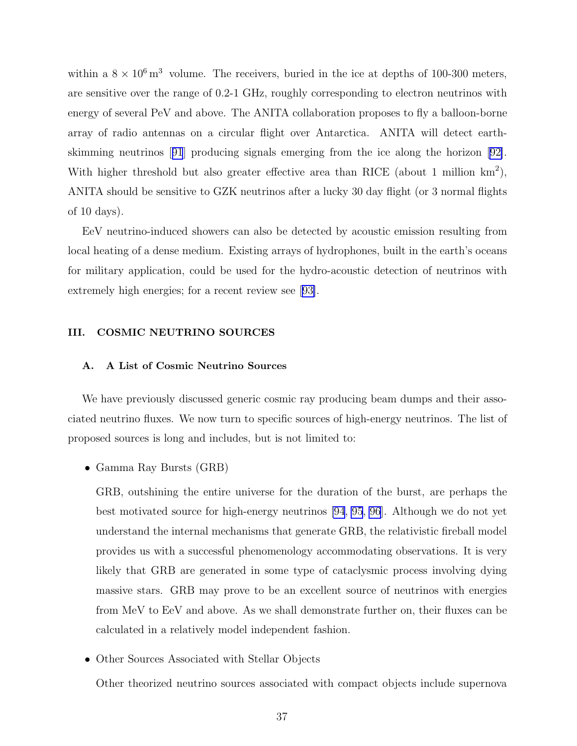within a  $8 \times 10^6$  m<sup>3</sup> volume. The receivers, buried in the ice at depths of 100-300 meters, are sensitive over the range of 0.2-1 GHz, roughly corresponding to electron neutrinos with energy of several PeV and above. The ANITA collaboration proposes to fly a balloon-borne array of radio antennas on a circular flight over Antarctica. ANITA will detect earthskimming neutrinos[[91](#page-74-0)] producing signals emerging from the ice along the horizon [\[92\]](#page-74-0). With higher threshold but also greater effective area than RICE (about 1 million  $km^2$ ), ANITA should be sensitive to GZK neutrinos after a lucky 30 day flight (or 3 normal flights of 10 days).

EeV neutrino-induced showers can also be detected by acoustic emission resulting from local heating of a dense medium. Existing arrays of hydrophones, built in the earth's oceans for military application, could be used for the hydro-acoustic detection of neutrinos with extremely high energies; for a recent review see[[93\]](#page-74-0).

## III. COSMIC NEUTRINO SOURCES

### A. A List of Cosmic Neutrino Sources

We have previously discussed generic cosmic ray producing beam dumps and their associated neutrino fluxes. We now turn to specific sources of high-energy neutrinos. The list of proposed sources is long and includes, but is not limited to:

• Gamma Ray Bursts (GRB)

GRB, outshining the entire universe for the duration of the burst, are perhaps the best motivated source for high-energy neutrinos [\[94](#page-75-0), [95](#page-75-0), [96](#page-75-0)]. Although we do not yet understand the internal mechanisms that generate GRB, the relativistic fireball model provides us with a successful phenomenology accommodating observations. It is very likely that GRB are generated in some type of cataclysmic process involving dying massive stars. GRB may prove to be an excellent source of neutrinos with energies from MeV to EeV and above. As we shall demonstrate further on, their fluxes can be calculated in a relatively model independent fashion.

• Other Sources Associated with Stellar Objects

Other theorized neutrino sources associated with compact objects include supernova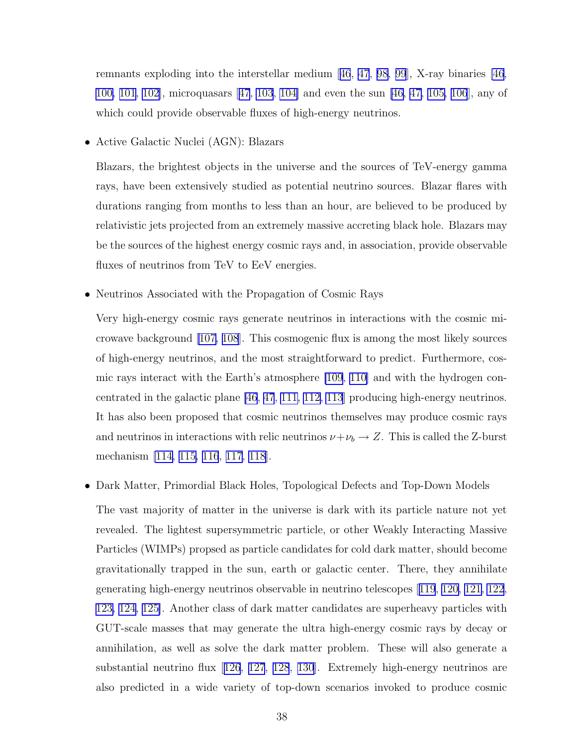remnants exploding into the interstellar medium[[46](#page-72-0), [47](#page-72-0), [98, 99](#page-75-0)], X-ray binaries [\[46,](#page-72-0) [100, 101](#page-75-0), [102\]](#page-75-0), microquasars[[47](#page-72-0), [103](#page-75-0), [104\]](#page-75-0) and even the sun [\[46](#page-72-0), [47,](#page-72-0) [105, 106](#page-75-0)], any of which could provide observable fluxes of high-energy neutrinos.

• Active Galactic Nuclei (AGN): Blazars

Blazars, the brightest objects in the universe and the sources of TeV-energy gamma rays, have been extensively studied as potential neutrino sources. Blazar flares with durations ranging from months to less than an hour, are believed to be produced by relativistic jets projected from an extremely massive accreting black hole. Blazars may be the sources of the highest energy cosmic rays and, in association, provide observable fluxes of neutrinos from TeV to EeV energies.

• Neutrinos Associated with the Propagation of Cosmic Rays

Very high-energy cosmic rays generate neutrinos in interactions with the cosmic microwave background [\[107, 108](#page-75-0)]. This cosmogenic flux is among the most likely sources of high-energy neutrinos, and the most straightforward to predict. Furthermore, cosmic rays interact with the Earth's atmosphere [\[109](#page-75-0), [110\]](#page-75-0) and with the hydrogen concentrated in the galactic plane [\[46](#page-72-0), [47](#page-72-0), [111, 112, 113](#page-75-0)] producing high-energy neutrinos. It has also been proposed that cosmic neutrinos themselves may produce cosmic rays and neutrinos in interactions with relic neutrinos  $\nu + \nu_b \rightarrow Z$ . This is called the Z-burst mechanism [\[114, 115,](#page-75-0) [116](#page-76-0), [117](#page-76-0), [118\]](#page-76-0).

• Dark Matter, Primordial Black Holes, Topological Defects and Top-Down Models

The vast majority of matter in the universe is dark with its particle nature not yet revealed. The lightest supersymmetric particle, or other Weakly Interacting Massive Particles (WIMPs) propsed as particle candidates for cold dark matter, should become gravitationally trapped in the sun, earth or galactic center. There, they annihilate generating high-energy neutrinos observable in neutrino telescopes[[119](#page-76-0), [120, 121, 122](#page-76-0), [123, 124](#page-76-0), [125\]](#page-76-0). Another class of dark matter candidates are superheavy particles with GUT-scale masses that may generate the ultra high-energy cosmic rays by decay or annihilation, as well as solve the dark matter problem. These will also generate a substantial neutrino flux[[126](#page-76-0), [127](#page-76-0), [128](#page-76-0), [130](#page-76-0)]. Extremely high-energy neutrinos are also predicted in a wide variety of top-down scenarios invoked to produce cosmic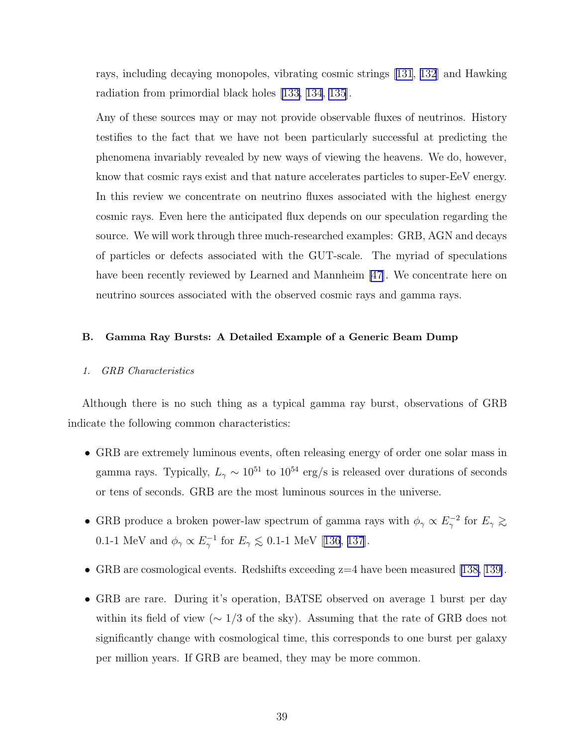rays, including decaying monopoles, vibrating cosmic strings[[131](#page-76-0), [132](#page-76-0)] and Hawking radiation from primordial black holes [\[133, 134](#page-76-0), [135](#page-77-0)].

Any of these sources may or may not provide observable fluxes of neutrinos. History testifies to the fact that we have not been particularly successful at predicting the phenomena invariably revealed by new ways of viewing the heavens. We do, however, know that cosmic rays exist and that nature accelerates particles to super-EeV energy. In this review we concentrate on neutrino fluxes associated with the highest energy cosmic rays. Even here the anticipated flux depends on our speculation regarding the source. We will work through three much-researched examples: GRB, AGN and decays of particles or defects associated with the GUT-scale. The myriad of speculations have been recently reviewed by Learned and Mannheim [\[47\]](#page-72-0). We concentrate here on neutrino sources associated with the observed cosmic rays and gamma rays.

# B. Gamma Ray Bursts: A Detailed Example of a Generic Beam Dump

### *1. GRB Characteristics*

Although there is no such thing as a typical gamma ray burst, observations of GRB indicate the following common characteristics:

- GRB are extremely luminous events, often releasing energy of order one solar mass in gamma rays. Typically,  $L_{\gamma} \sim 10^{51}$  to  $10^{54}$  erg/s is released over durations of seconds or tens of seconds. GRB are the most luminous sources in the universe.
- GRB produce a broken power-law spectrum of gamma rays with  $\phi_{\gamma} \propto E_{\gamma}^{-2}$  for  $E_{\gamma} \gtrsim$ 0.1-1MeV and  $\phi_{\gamma} \propto E_{\gamma}^{-1}$  for  $E_{\gamma} \lesssim 0.1$ -1 MeV [[136](#page-77-0), [137](#page-77-0)].
- GRB are cosmological events. Redshifts exceeding  $z=4$  have been measured [\[138, 139\]](#page-77-0).
- GRB are rare. During it's operation, BATSE observed on average 1 burst per day within its field of view ( $\sim 1/3$  of the sky). Assuming that the rate of GRB does not significantly change with cosmological time, this corresponds to one burst per galaxy per million years. If GRB are beamed, they may be more common.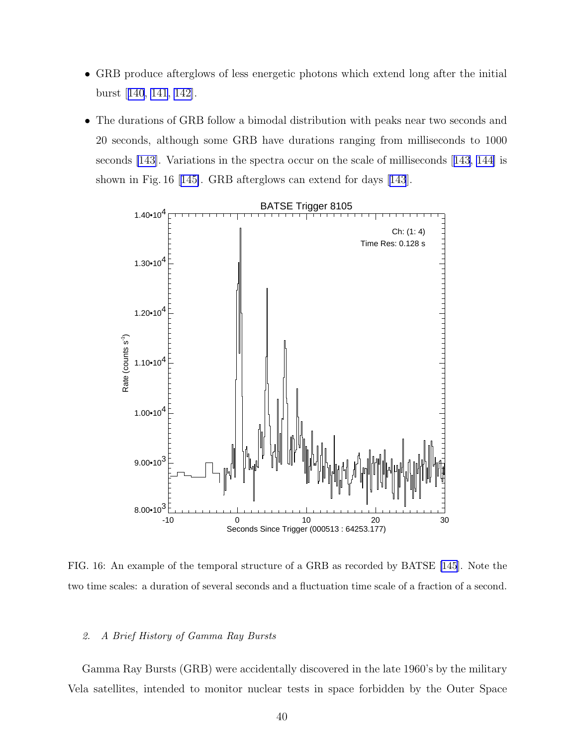- GRB produce afterglows of less energetic photons which extend long after the initial burst[[140](#page-77-0), [141](#page-77-0), [142\]](#page-77-0).
- The durations of GRB follow a bimodal distribution with peaks near two seconds and 20 seconds, although some GRB have durations ranging from milliseconds to 1000 seconds [\[143\]](#page-77-0). Variations in the spectra occur on the scale of milliseconds[[143](#page-77-0), [144\]](#page-77-0) is shown in Fig. 16[[145\]](#page-77-0). GRB afterglows can extend for days[[143](#page-77-0)].



FIG. 16: An example of the temporal structure of a GRB as recorded by BATSE [\[145](#page-77-0)]. Note the two time scales: a duration of several seconds and a fluctuation time scale of a fraction of a second.

# *2. A Brief History of Gamma Ray Bursts*

Gamma Ray Bursts (GRB) were accidentally discovered in the late 1960's by the military Vela satellites, intended to monitor nuclear tests in space forbidden by the Outer Space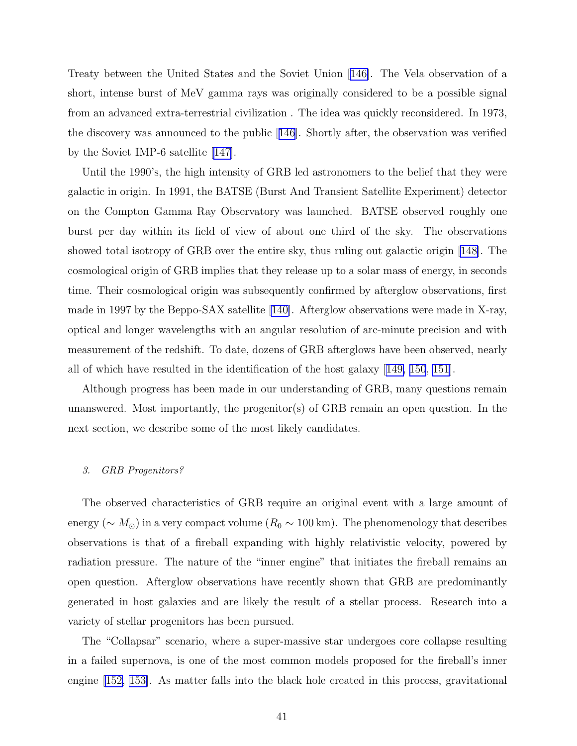Treaty between the United States and the Soviet Union[[146\]](#page-77-0). The Vela observation of a short, intense burst of MeV gamma rays was originally considered to be a possible signal from an advanced extra-terrestrial civilization . The idea was quickly reconsidered. In 1973, the discovery was announced to the public[[146](#page-77-0)]. Shortly after, the observation was verified by the Soviet IMP-6 satellite [\[147\]](#page-77-0).

Until the 1990's, the high intensity of GRB led astronomers to the belief that they were galactic in origin. In 1991, the BATSE (Burst And Transient Satellite Experiment) detector on the Compton Gamma Ray Observatory was launched. BATSE observed roughly one burst per day within its field of view of about one third of the sky. The observations showed total isotropy of GRB over the entire sky, thus ruling out galactic origin[[148\]](#page-77-0). The cosmological origin of GRB implies that they release up to a solar mass of energy, in seconds time. Their cosmological origin was subsequently confirmed by afterglow observations, first made in 1997 by the Beppo-SAX satellite [\[140\]](#page-77-0). Afterglow observations were made in X-ray, optical and longer wavelengths with an angular resolution of arc-minute precision and with measurement of the redshift. To date, dozens of GRB afterglows have been observed, nearly all of which have resulted in the identification of the host galaxy[[149, 150](#page-77-0), [151](#page-77-0)].

Although progress has been made in our understanding of GRB, many questions remain unanswered. Most importantly, the progenitor(s) of GRB remain an open question. In the next section, we describe some of the most likely candidates.

## *3. GRB Progenitors?*

The observed characteristics of GRB require an original event with a large amount of energy ( $\sim M_{\odot}$ ) in a very compact volume ( $R_0 \sim 100 \text{ km}$ ). The phenomenology that describes observations is that of a fireball expanding with highly relativistic velocity, powered by radiation pressure. The nature of the "inner engine" that initiates the fireball remains an open question. Afterglow observations have recently shown that GRB are predominantly generated in host galaxies and are likely the result of a stellar process. Research into a variety of stellar progenitors has been pursued.

The "Collapsar" scenario, where a super-massive star undergoes core collapse resulting in a failed supernova, is one of the most common models proposed for the fireball's inner engine [\[152, 153\]](#page-77-0). As matter falls into the black hole created in this process, gravitational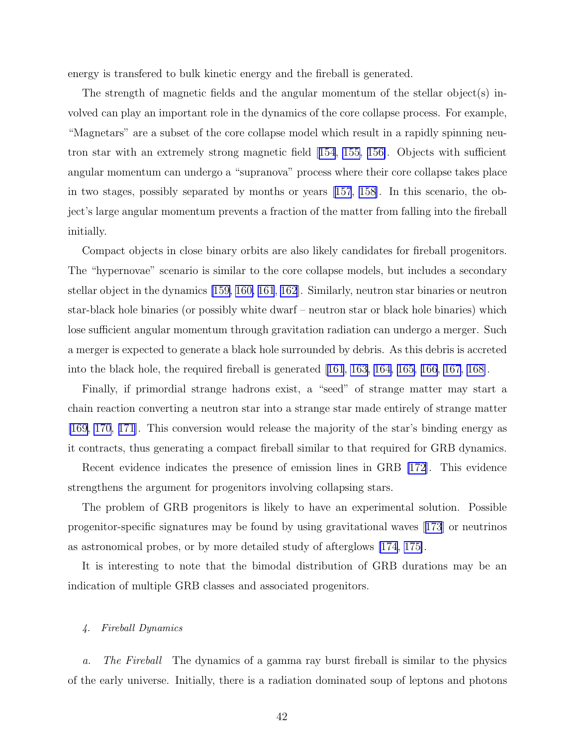energy is transfered to bulk kinetic energy and the fireball is generated.

The strength of magnetic fields and the angular momentum of the stellar object(s) involved can play an important role in the dynamics of the core collapse process. For example, "Magnetars" are a subset of the core collapse model which result in a rapidly spinning neutron star with an extremely strong magnetic field[[154](#page-77-0), [155, 156\]](#page-77-0). Objects with sufficient angular momentum can undergo a "supranova" process where their core collapse takes place in two stages, possibly separated by months or years[[157](#page-77-0), [158\]](#page-77-0). In this scenario, the object's large angular momentum prevents a fraction of the matter from falling into the fireball initially.

Compact objects in close binary orbits are also likely candidates for fireball progenitors. The "hypernovae" scenario is similar to the core collapse models, but includes a secondary stellar object in the dynamics [\[159,](#page-77-0) [160, 161](#page-78-0), [162](#page-78-0)]. Similarly, neutron star binaries or neutron star-black hole binaries (or possibly white dwarf – neutron star or black hole binaries) which lose sufficient angular momentum through gravitation radiation can undergo a merger. Such a merger is expected to generate a black hole surrounded by debris. As this debris is accreted into the black hole, the required fireball is generated[[161](#page-78-0), [163](#page-78-0), [164, 165, 166](#page-78-0), [167, 168\]](#page-78-0).

Finally, if primordial strange hadrons exist, a "seed" of strange matter may start a chain reaction converting a neutron star into a strange star made entirely of strange matter [\[169, 170, 171](#page-78-0)]. This conversion would release the majority of the star's binding energy as it contracts, thus generating a compact fireball similar to that required for GRB dynamics.

Recent evidence indicates the presence of emission lines in GRB [\[172\]](#page-78-0). This evidence strengthens the argument for progenitors involving collapsing stars.

The problem of GRB progenitors is likely to have an experimental solution. Possible progenitor-specific signatures may be found by using gravitational waves[[173](#page-78-0)] or neutrinos as astronomical probes, or by more detailed study of afterglows [\[174, 175\]](#page-78-0).

It is interesting to note that the bimodal distribution of GRB durations may be an indication of multiple GRB classes and associated progenitors.

### *4. Fireball Dynamics*

*a. The Fireball* The dynamics of a gamma ray burst fireball is similar to the physics of the early universe. Initially, there is a radiation dominated soup of leptons and photons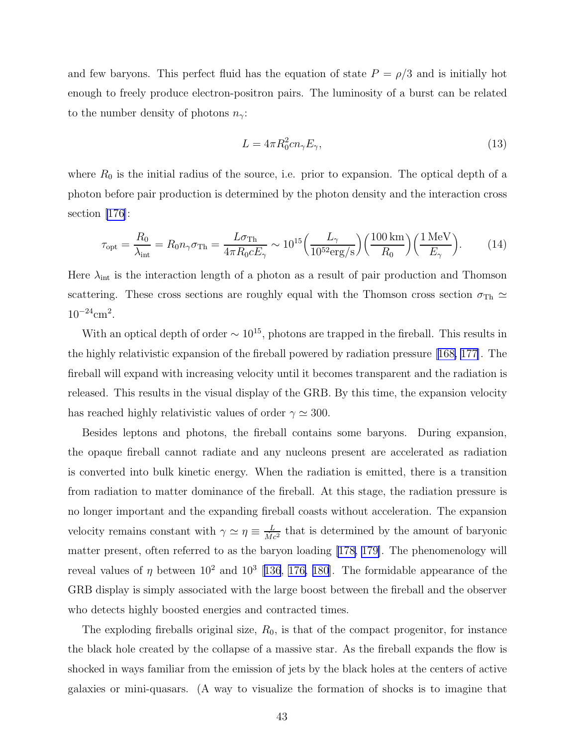and few baryons. This perfect fluid has the equation of state  $P = \rho/3$  and is initially hot enough to freely produce electron-positron pairs. The luminosity of a burst can be related to the number density of photons  $n_{\gamma}$ :

$$
L = 4\pi R_0^2 c n_\gamma E_\gamma,\tag{13}
$$

where  $R_0$  is the initial radius of the source, i.e. prior to expansion. The optical depth of a photon before pair production is determined by the photon density and the interaction cross section  $|176|$ :

$$
\tau_{\rm opt} = \frac{R_0}{\lambda_{\rm int}} = R_0 n_\gamma \sigma_{\rm Th} = \frac{L \sigma_{\rm Th}}{4\pi R_0 c E_\gamma} \sim 10^{15} \left(\frac{L_\gamma}{10^{52} \text{erg/s}}\right) \left(\frac{100 \text{ km}}{R_0}\right) \left(\frac{1 \text{ MeV}}{E_\gamma}\right). \tag{14}
$$

Here  $\lambda_{int}$  is the interaction length of a photon as a result of pair production and Thomson scattering. These cross sections are roughly equal with the Thomson cross section  $\sigma_{\text{Th}} \simeq$  $10^{-24}$  cm<sup>2</sup>.

With an optical depth of order  $\sim 10^{15}$ , photons are trapped in the fireball. This results in the highly relativistic expansion of the fireball powered by radiation pressure [\[168, 177\]](#page-78-0). The fireball will expand with increasing velocity until it becomes transparent and the radiation is released. This results in the visual display of the GRB. By this time, the expansion velocity has reached highly relativistic values of order  $\gamma \simeq 300$ .

Besides leptons and photons, the fireball contains some baryons. During expansion, the opaque fireball cannot radiate and any nucleons present are accelerated as radiation is converted into bulk kinetic energy. When the radiation is emitted, there is a transition from radiation to matter dominance of the fireball. At this stage, the radiation pressure is no longer important and the expanding fireball coasts without acceleration. The expansion velocity remains constant with  $\gamma \simeq \eta \equiv \frac{L}{Mc^2}$  that is determined by the amount of baryonic matter present, often referred to as the baryon loading [\[178, 179\]](#page-78-0). The phenomenology will reveal values of  $\eta$  between  $10^2$  and  $10^3$  [[136](#page-77-0), [176, 180](#page-78-0)]. The formidable appearance of the GRB display is simply associated with the large boost between the fireball and the observer who detects highly boosted energies and contracted times.

The exploding fireballs original size,  $R_0$ , is that of the compact progenitor, for instance the black hole created by the collapse of a massive star. As the fireball expands the flow is shocked in ways familiar from the emission of jets by the black holes at the centers of active galaxies or mini-quasars. (A way to visualize the formation of shocks is to imagine that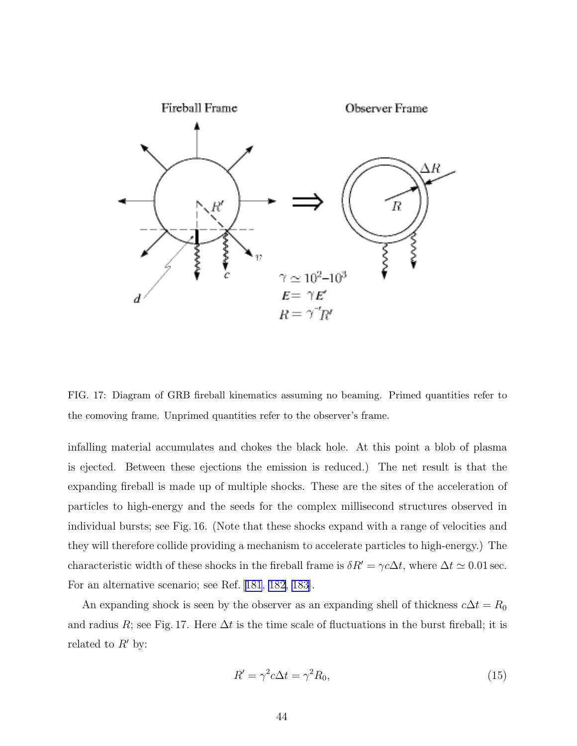

FIG. 17: Diagram of GRB fireball kinematics assuming no beaming. Primed quantities refer to the comoving frame. Unprimed quantities refer to the observer's frame.

infalling material accumulates and chokes the black hole. At this point a blob of plasma is ejected. Between these ejections the emission is reduced.) The net result is that the expanding fireball is made up of multiple shocks. These are the sites of the acceleration of particles to high-energy and the seeds for the complex millisecond structures observed in individual bursts; see Fig. 16. (Note that these shocks expand with a range of velocities and they will therefore collide providing a mechanism to accelerate particles to high-energy.) The characteristic width of these shocks in the fireball frame is  $\delta R' = \gamma c \Delta t$ , where  $\Delta t \simeq 0.01$  sec. For an alternative scenario; see Ref.[[181](#page-78-0), [182](#page-78-0), [183\]](#page-78-0).

An expanding shock is seen by the observer as an expanding shell of thickness  $c\Delta t = R_0$ and radius R; see Fig. 17. Here  $\Delta t$  is the time scale of fluctuations in the burst fireball; it is related to  $R'$  by:

$$
R' = \gamma^2 c \Delta t = \gamma^2 R_0,\tag{15}
$$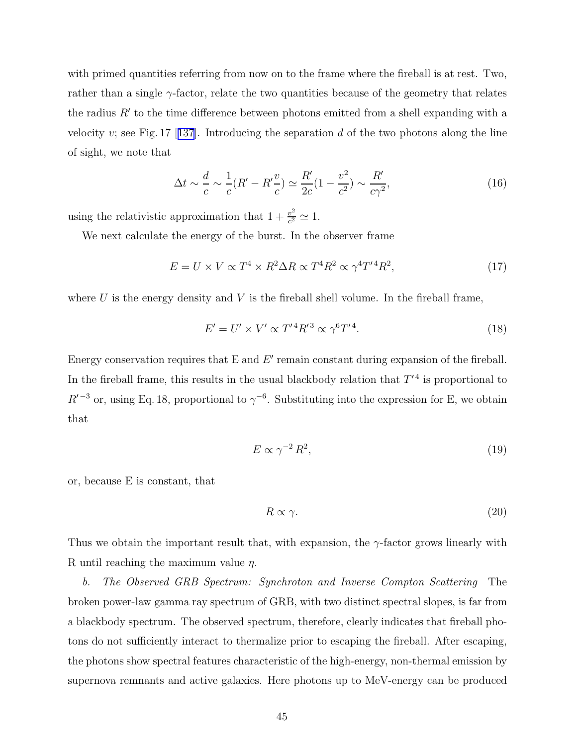with primed quantities referring from now on to the frame where the fireball is at rest. Two, rather than a single  $\gamma$ -factor, relate the two quantities because of the geometry that relates the radius  $R'$  to the time difference between photons emitted from a shell expanding with a velocityv; see Fig. 17 [[137](#page-77-0)]. Introducing the separation d of the two photons along the line of sight, we note that

$$
\Delta t \sim \frac{d}{c} \sim \frac{1}{c} (R' - R'\frac{v}{c}) \simeq \frac{R'}{2c} (1 - \frac{v^2}{c^2}) \sim \frac{R'}{c\gamma^2},\tag{16}
$$

using the relativistic approximation that  $1 + \frac{v^2}{c^2}$  $\frac{v^2}{c^2} \simeq 1.$ 

We next calculate the energy of the burst. In the observer frame

$$
E = U \times V \propto T^4 \times R^2 \Delta R \propto T^4 R^2 \propto \gamma^4 T'^4 R^2,\tag{17}
$$

where  $U$  is the energy density and  $V$  is the fireball shell volume. In the fireball frame,

$$
E' = U' \times V' \propto T'^4 R'^3 \propto \gamma^6 T'^4. \tag{18}
$$

Energy conservation requires that  $E$  and  $E'$  remain constant during expansion of the fireball. In the fireball frame, this results in the usual blackbody relation that  $T^{\prime 4}$  is proportional to  $R'$ <sup>-3</sup> or, using Eq. 18, proportional to  $\gamma$ <sup>-6</sup>. Substituting into the expression for E, we obtain that

$$
E \propto \gamma^{-2} R^2,\tag{19}
$$

or, because E is constant, that

 $R \propto \gamma.$  (20)

Thus we obtain the important result that, with expansion, the  $\gamma$ -factor grows linearly with R until reaching the maximum value  $\eta$ .

*b. The Observed GRB Spectrum: Synchroton and Inverse Compton Scattering* The broken power-law gamma ray spectrum of GRB, with two distinct spectral slopes, is far from a blackbody spectrum. The observed spectrum, therefore, clearly indicates that fireball photons do not sufficiently interact to thermalize prior to escaping the fireball. After escaping, the photons show spectral features characteristic of the high-energy, non-thermal emission by supernova remnants and active galaxies. Here photons up to MeV-energy can be produced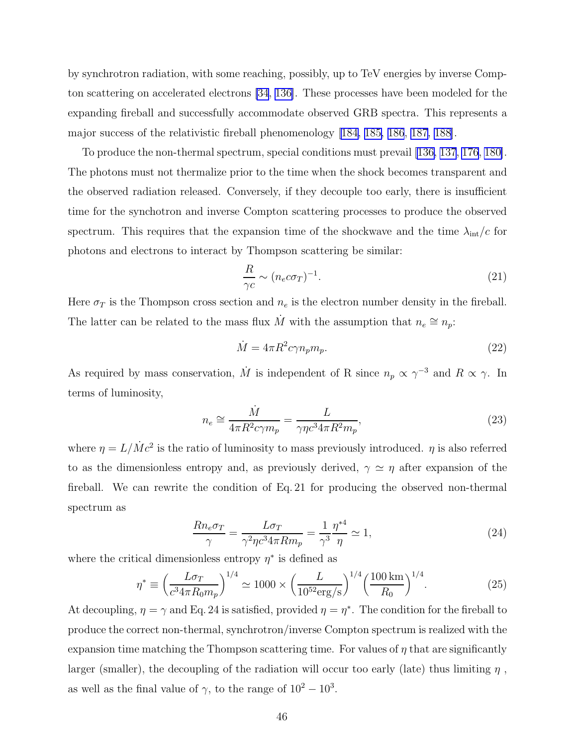by synchrotron radiation, with some reaching, possibly, up to TeV energies by inverse Compton scattering on accelerated electrons [\[34](#page-72-0), [136\]](#page-77-0). These processes have been modeled for the expanding fireball and successfully accommodate observed GRB spectra. This represents a major success of the relativistic fireball phenomenology [\[184, 185, 186](#page-78-0), [187](#page-79-0), [188\]](#page-79-0).

To produce the non-thermal spectrum, special conditions must prevail [\[136, 137](#page-77-0), [176](#page-78-0), [180\]](#page-78-0). The photons must not thermalize prior to the time when the shock becomes transparent and the observed radiation released. Conversely, if they decouple too early, there is insufficient time for the synchotron and inverse Compton scattering processes to produce the observed spectrum. This requires that the expansion time of the shockwave and the time  $\lambda_{\rm int}/c$  for photons and electrons to interact by Thompson scattering be similar:

$$
\frac{R}{\gamma c} \sim (n_e c \sigma_T)^{-1}.
$$
\n(21)

Here  $\sigma_T$  is the Thompson cross section and  $n_e$  is the electron number density in the fireball. The latter can be related to the mass flux  $\dot{M}$  with the assumption that  $n_e \cong n_p$ .

$$
\dot{M} = 4\pi R^2 c \gamma n_p m_p. \tag{22}
$$

As required by mass conservation,  $\dot{M}$  is independent of R since  $n_p \propto \gamma^{-3}$  and  $R \propto \gamma$ . In terms of luminosity,

$$
n_e \cong \frac{\dot{M}}{4\pi R^2 c \gamma m_p} = \frac{L}{\gamma \eta c^3 4\pi R^2 m_p},\tag{23}
$$

where  $\eta = L/\dot{M}c^2$  is the ratio of luminosity to mass previously introduced.  $\eta$  is also referred to as the dimensionless entropy and, as previously derived,  $\gamma \simeq \eta$  after expansion of the fireball. We can rewrite the condition of Eq. 21 for producing the observed non-thermal spectrum as

$$
\frac{Rn_e\sigma_T}{\gamma} = \frac{L\sigma_T}{\gamma^2 \eta c^3 4\pi R m_p} = \frac{1}{\gamma^3} \frac{\eta^{*4}}{\eta} \simeq 1,\tag{24}
$$

where the critical dimensionless entropy  $\eta^*$  is defined as

$$
\eta^* \equiv \left(\frac{L\sigma_T}{c^3 4\pi R_0 m_p}\right)^{1/4} \simeq 1000 \times \left(\frac{L}{10^{52} \text{erg/s}}\right)^{1/4} \left(\frac{100 \text{ km}}{R_0}\right)^{1/4}.\tag{25}
$$

At decoupling,  $\eta = \gamma$  and Eq. 24 is satisfied, provided  $\eta = \eta^*$ . The condition for the fireball to produce the correct non-thermal, synchrotron/inverse Compton spectrum is realized with the expansion time matching the Thompson scattering time. For values of  $\eta$  that are significantly larger (smaller), the decoupling of the radiation will occur too early (late) thus limiting  $\eta$ , as well as the final value of  $\gamma$ , to the range of  $10^2 - 10^3$ .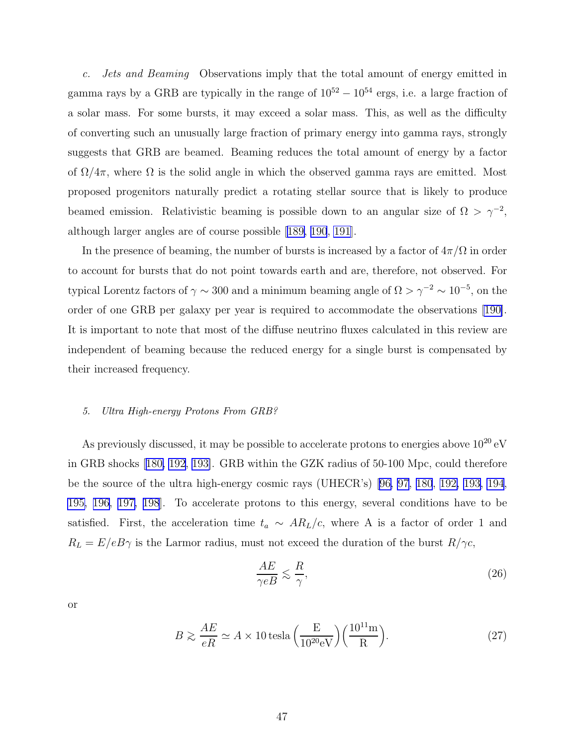*c. Jets and Beaming* Observations imply that the total amount of energy emitted in gamma rays by a GRB are typically in the range of  $10^{52} - 10^{54}$  ergs, i.e. a large fraction of a solar mass. For some bursts, it may exceed a solar mass. This, as well as the difficulty of converting such an unusually large fraction of primary energy into gamma rays, strongly suggests that GRB are beamed. Beaming reduces the total amount of energy by a factor of  $\Omega/4\pi$ , where  $\Omega$  is the solid angle in which the observed gamma rays are emitted. Most proposed progenitors naturally predict a rotating stellar source that is likely to produce beamed emission. Relativistic beaming is possible down to an angular size of  $\Omega > \gamma^{-2}$ , although larger angles are of course possible [\[189, 190](#page-79-0), [191](#page-79-0)].

In the presence of beaming, the number of bursts is increased by a factor of  $4\pi/\Omega$  in order to account for bursts that do not point towards earth and are, therefore, not observed. For typical Lorentz factors of  $\gamma \sim 300$  and a minimum beaming angle of  $\Omega > \gamma^{-2} \sim 10^{-5}$ , on the order of one GRB per galaxy per year is required to accommodate the observations [\[190\]](#page-79-0). It is important to note that most of the diffuse neutrino fluxes calculated in this review are independent of beaming because the reduced energy for a single burst is compensated by their increased frequency.

## *5. Ultra High-energy Protons From GRB?*

As previously discussed, it may be possible to accelerate protons to energies above  $10^{20}$  eV in GRB shocks[[180,](#page-78-0) [192, 193\]](#page-79-0). GRB within the GZK radius of 50-100 Mpc, could therefore be the source of the ultra high-energy cosmic rays (UHECR's) [[96, 97](#page-75-0), [180](#page-78-0), [192, 193, 194](#page-79-0), [195, 196](#page-79-0), [197, 198](#page-79-0)]. To accelerate protons to this energy, several conditions have to be satisfied. First, the acceleration time  $t_a \sim AR_L/c$ , where A is a factor of order 1 and  $R_L = E/eB\gamma$  is the Larmor radius, must not exceed the duration of the burst  $R/\gamma c$ ,

$$
\frac{AE}{\gamma eB} \lesssim \frac{R}{\gamma},\tag{26}
$$

or

$$
B \gtrsim \frac{AE}{eR} \simeq A \times 10 \text{ tesla} \left(\frac{E}{10^{20} \text{eV}}\right) \left(\frac{10^{11} \text{m}}{R}\right). \tag{27}
$$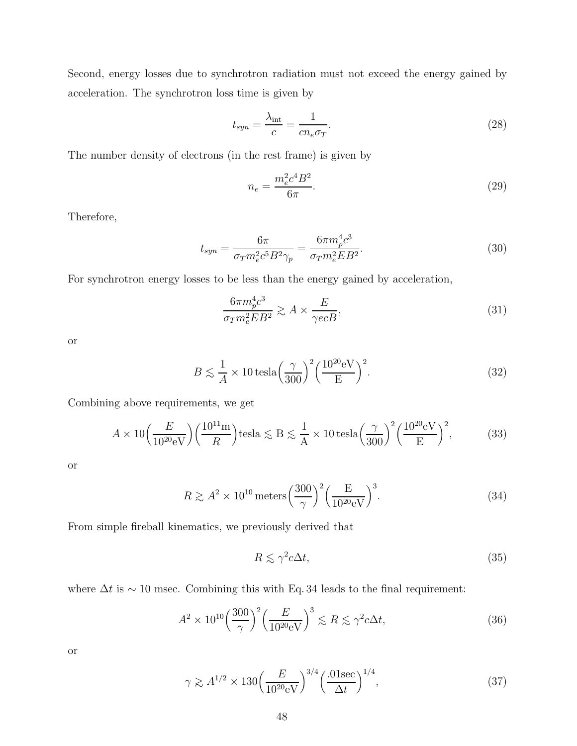Second, energy losses due to synchrotron radiation must not exceed the energy gained by acceleration. The synchrotron loss time is given by

$$
t_{syn} = \frac{\lambda_{\text{int}}}{c} = \frac{1}{cn_e \sigma_T}.
$$
\n(28)

The number density of electrons (in the rest frame) is given by

$$
n_e = \frac{m_e^2 c^4 B^2}{6\pi}.
$$
\n(29)

Therefore,

$$
t_{syn} = \frac{6\pi}{\sigma_T m_e^2 c^5 B^2 \gamma_p} = \frac{6\pi m_p^4 c^3}{\sigma_T m_e^2 E B^2}.
$$
\n(30)

For synchrotron energy losses to be less than the energy gained by acceleration,

$$
\frac{6\pi m_p^4 c^3}{\sigma_T m_e^2 E B^2} \gtrsim A \times \frac{E}{\gamma e c B},\tag{31}
$$

or

$$
B \lesssim \frac{1}{A} \times 10 \text{ tesla} \left(\frac{\gamma}{300}\right)^2 \left(\frac{10^{20} \text{eV}}{\text{E}}\right)^2. \tag{32}
$$

Combining above requirements, we get

$$
A \times 10\left(\frac{E}{10^{20} \text{eV}}\right) \left(\frac{10^{11} \text{m}}{R}\right) \text{tesla} \lesssim B \lesssim \frac{1}{\text{A}} \times 10 \text{ tesla} \left(\frac{\gamma}{300}\right)^2 \left(\frac{10^{20} \text{eV}}{\text{E}}\right)^2,\tag{33}
$$

or

$$
R \gtrsim A^2 \times 10^{10} \text{ meters} \left(\frac{300}{\gamma}\right)^2 \left(\frac{\text{E}}{10^{20} \text{eV}}\right)^3. \tag{34}
$$

From simple fireball kinematics, we previously derived that

$$
R \lesssim \gamma^2 c \Delta t,\tag{35}
$$

where  $\Delta t$  is  $\sim 10$  msec. Combining this with Eq. 34 leads to the final requirement:

$$
A^2 \times 10^{10} \left(\frac{300}{\gamma}\right)^2 \left(\frac{E}{10^{20} \text{eV}}\right)^3 \lesssim R \lesssim \gamma^2 c \Delta t,\tag{36}
$$

or

$$
\gamma \gtrsim A^{1/2} \times 130 \left(\frac{E}{10^{20} \text{eV}}\right)^{3/4} \left(\frac{.01 \text{sec}}{\Delta t}\right)^{1/4},
$$
\n(37)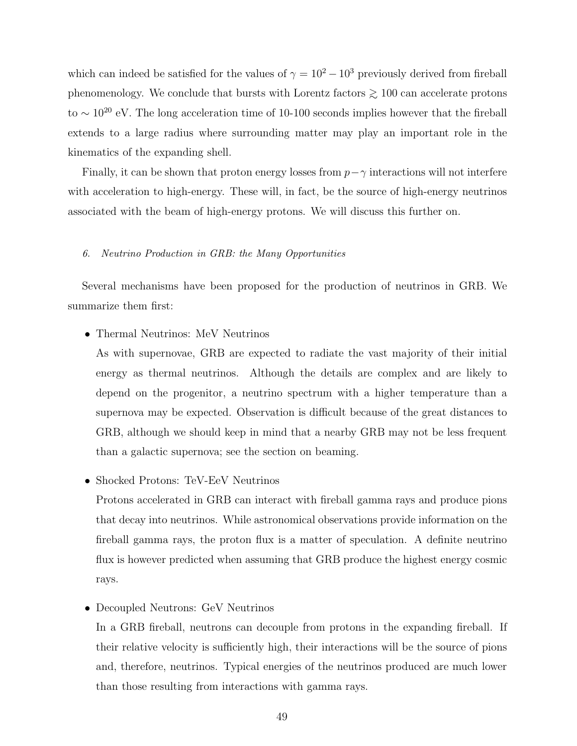which can indeed be satisfied for the values of  $\gamma = 10^2 - 10^3$  previously derived from fireball phenomenology. We conclude that bursts with Lorentz factors  $\gtrsim 100$  can accelerate protons to  $\sim 10^{20}$  eV. The long acceleration time of 10-100 seconds implies however that the fireball extends to a large radius where surrounding matter may play an important role in the kinematics of the expanding shell.

Finally, it can be shown that proton energy losses from  $p-\gamma$  interactions will not interfere with acceleration to high-energy. These will, in fact, be the source of high-energy neutrinos associated with the beam of high-energy protons. We will discuss this further on.

# *6. Neutrino Production in GRB: the Many Opportunities*

Several mechanisms have been proposed for the production of neutrinos in GRB. We summarize them first:

• Thermal Neutrinos: MeV Neutrinos

As with supernovae, GRB are expected to radiate the vast majority of their initial energy as thermal neutrinos. Although the details are complex and are likely to depend on the progenitor, a neutrino spectrum with a higher temperature than a supernova may be expected. Observation is difficult because of the great distances to GRB, although we should keep in mind that a nearby GRB may not be less frequent than a galactic supernova; see the section on beaming.

• Shocked Protons: TeV-EeV Neutrinos

Protons accelerated in GRB can interact with fireball gamma rays and produce pions that decay into neutrinos. While astronomical observations provide information on the fireball gamma rays, the proton flux is a matter of speculation. A definite neutrino flux is however predicted when assuming that GRB produce the highest energy cosmic rays.

• Decoupled Neutrons: GeV Neutrinos

In a GRB fireball, neutrons can decouple from protons in the expanding fireball. If their relative velocity is sufficiently high, their interactions will be the source of pions and, therefore, neutrinos. Typical energies of the neutrinos produced are much lower than those resulting from interactions with gamma rays.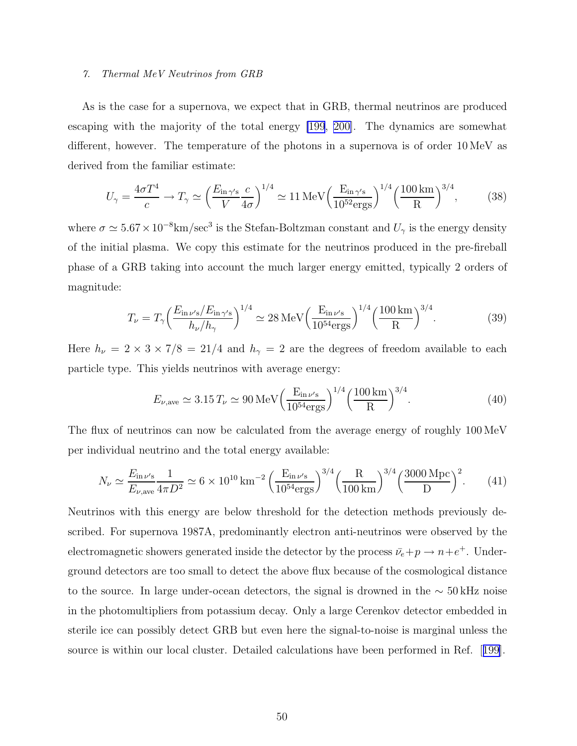### *7. Thermal MeV Neutrinos from GRB*

As is the case for a supernova, we expect that in GRB, thermal neutrinos are produced escaping with the majority of the total energy [\[199](#page-79-0), [200\]](#page-79-0). The dynamics are somewhat different, however. The temperature of the photons in a supernova is of order 10 MeV as derived from the familiar estimate:

$$
U_{\gamma} = \frac{4\sigma T^4}{c} \to T_{\gamma} \simeq \left(\frac{E_{\rm in \gamma's}}{V} \frac{c}{4\sigma}\right)^{1/4} \simeq 11 \,\text{MeV} \left(\frac{E_{\rm in \gamma's}}{10^{52} \text{ergs}}\right)^{1/4} \left(\frac{100 \,\text{km}}{\text{R}}\right)^{3/4},\tag{38}
$$

where  $\sigma \simeq 5.67 \times 10^{-8}$ km/sec<sup>3</sup> is the Stefan-Boltzman constant and  $U_{\gamma}$  is the energy density of the initial plasma. We copy this estimate for the neutrinos produced in the pre-fireball phase of a GRB taking into account the much larger energy emitted, typically 2 orders of magnitude:

$$
T_{\nu} = T_{\gamma} \left( \frac{E_{\text{in}\,\nu's}/E_{\text{in}\,\gamma's}}{h_{\nu}/h_{\gamma}} \right)^{1/4} \simeq 28 \,\text{MeV} \left( \frac{E_{\text{in}\,\nu's}}{10^{54} \text{ergs}} \right)^{1/4} \left( \frac{100 \,\text{km}}{\text{R}} \right)^{3/4} . \tag{39}
$$

Here  $h_{\nu} = 2 \times 3 \times 7/8 = 21/4$  and  $h_{\gamma} = 2$  are the degrees of freedom available to each particle type. This yields neutrinos with average energy:

$$
E_{\nu,\text{ave}} \simeq 3.15 \, T_{\nu} \simeq 90 \, \text{MeV} \left(\frac{E_{\text{in}\,\nu/\text{s}}}{10^{54} \text{ergs}}\right)^{1/4} \left(\frac{100 \, \text{km}}{\text{R}}\right)^{3/4}.
$$
 (40)

The flux of neutrinos can now be calculated from the average energy of roughly 100 MeV per individual neutrino and the total energy available:

$$
N_{\nu} \simeq \frac{E_{\text{in}\,\nu's}}{E_{\nu,\text{ave}}} \frac{1}{4\pi D^2} \simeq 6 \times 10^{10} \,\text{km}^{-2} \left(\frac{E_{\text{in}\,\nu's}}{10^{54} \text{ergs}}\right)^{3/4} \left(\frac{R}{100 \,\text{km}}\right)^{3/4} \left(\frac{3000 \,\text{Mpc}}{D}\right)^2. \tag{41}
$$

Neutrinos with this energy are below threshold for the detection methods previously described. For supernova 1987A, predominantly electron anti-neutrinos were observed by the electromagnetic showers generated inside the detector by the process  $\bar{\nu}_e + p \to n + e^+$ . Underground detectors are too small to detect the above flux because of the cosmological distance to the source. In large under-ocean detectors, the signal is drowned in the ∼ 50 kHz noise in the photomultipliers from potassium decay. Only a large Cerenkov detector embedded in sterile ice can possibly detect GRB but even here the signal-to-noise is marginal unless the source is within our local cluster. Detailed calculations have been performed in Ref.[[199](#page-79-0)].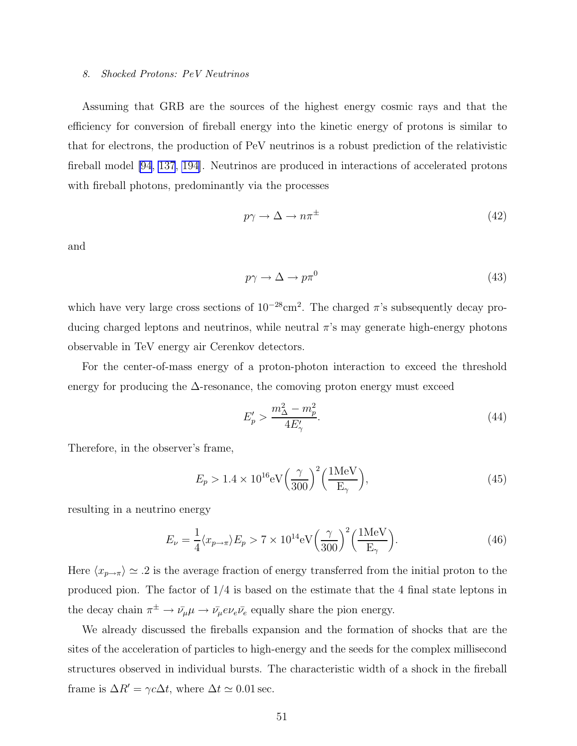## *8. Shocked Protons: PeV Neutrinos*

Assuming that GRB are the sources of the highest energy cosmic rays and that the efficiency for conversion of fireball energy into the kinetic energy of protons is similar to that for electrons, the production of PeV neutrinos is a robust prediction of the relativistic fireball model [\[94](#page-75-0), [137](#page-77-0), [194](#page-79-0)]. Neutrinos are produced in interactions of accelerated protons with fireball photons, predominantly via the processes

$$
p\gamma \to \Delta \to n\pi^{\pm} \tag{42}
$$

and

$$
p\gamma \to \Delta \to p\pi^0 \tag{43}
$$

which have very large cross sections of  $10^{-28}$ cm<sup>2</sup>. The charged  $\pi$ 's subsequently decay producing charged leptons and neutrinos, while neutral  $\pi$ 's may generate high-energy photons observable in TeV energy air Cerenkov detectors.

For the center-of-mass energy of a proton-photon interaction to exceed the threshold energy for producing the  $\Delta$ -resonance, the comoving proton energy must exceed

$$
E'_p > \frac{m_{\Delta}^2 - m_p^2}{4E'_\gamma}.
$$
\n(44)

Therefore, in the observer's frame,

$$
E_p > 1.4 \times 10^{16} \text{eV} \left(\frac{\gamma}{300}\right)^2 \left(\frac{1 \text{MeV}}{\text{E}_{\gamma}}\right),\tag{45}
$$

resulting in a neutrino energy

$$
E_{\nu} = \frac{1}{4} \langle x_{p \to \pi} \rangle E_p > 7 \times 10^{14} \, \text{eV} \left(\frac{\gamma}{300}\right)^2 \left(\frac{1 \, \text{MeV}}{E_{\gamma}}\right). \tag{46}
$$

Here  $\langle x_{p\to\pi} \rangle \simeq .2$  is the average fraction of energy transferred from the initial proton to the produced pion. The factor of 1/4 is based on the estimate that the 4 final state leptons in the decay chain  $\pi^{\pm} \to \bar{\nu_{\mu}} \mu \to \bar{\nu_{\mu}} e \nu_e \bar{\nu_e}$  equally share the pion energy.

We already discussed the fireballs expansion and the formation of shocks that are the sites of the acceleration of particles to high-energy and the seeds for the complex millisecond structures observed in individual bursts. The characteristic width of a shock in the fireball frame is  $\Delta R' = \gamma c \Delta t$ , where  $\Delta t \simeq 0.01$  sec.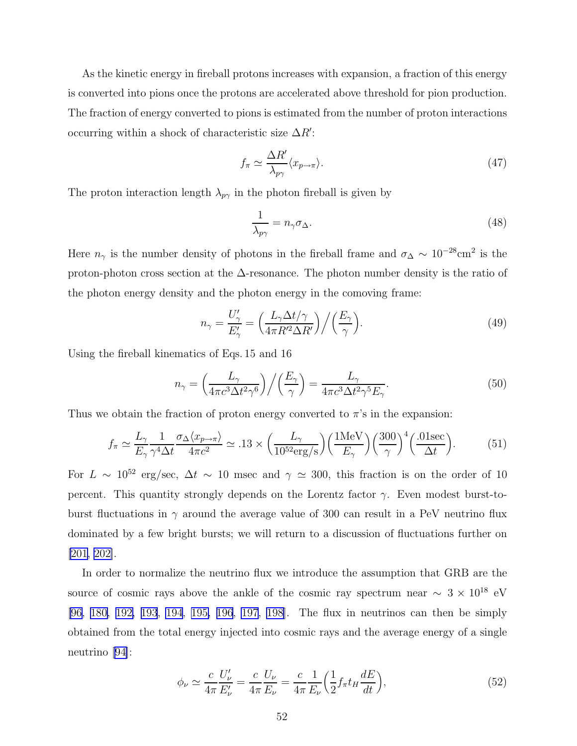As the kinetic energy in fireball protons increases with expansion, a fraction of this energy is converted into pions once the protons are accelerated above threshold for pion production. The fraction of energy converted to pions is estimated from the number of proton interactions occurring within a shock of characteristic size  $\Delta R'$ :

$$
f_{\pi} \simeq \frac{\Delta R'}{\lambda_{p\gamma}} \langle x_{p \to \pi} \rangle. \tag{47}
$$

The proton interaction length  $\lambda_{p\gamma}$  in the photon fireball is given by

$$
\frac{1}{\lambda_{p\gamma}} = n_{\gamma}\sigma_{\Delta}.\tag{48}
$$

Here  $n_{\gamma}$  is the number density of photons in the fireball frame and  $\sigma_{\Delta} \sim 10^{-28}$ cm<sup>2</sup> is the proton-photon cross section at the  $\Delta$ -resonance. The photon number density is the ratio of the photon energy density and the photon energy in the comoving frame:

$$
n_{\gamma} = \frac{U_{\gamma}'}{E_{\gamma}'} = \left(\frac{L_{\gamma}\Delta t/\gamma}{4\pi R'^{2}\Delta R'}\right) / \left(\frac{E_{\gamma}}{\gamma}\right).
$$
\n(49)

Using the fireball kinematics of Eqs. 15 and 16

$$
n_{\gamma} = \left(\frac{L_{\gamma}}{4\pi c^3 \Delta t^2 \gamma^6}\right) \Big/ \left(\frac{E_{\gamma}}{\gamma}\right) = \frac{L_{\gamma}}{4\pi c^3 \Delta t^2 \gamma^5 E_{\gamma}}.
$$
\n(50)

Thus we obtain the fraction of proton energy converted to  $\pi$ 's in the expansion:

$$
f_{\pi} \simeq \frac{L_{\gamma}}{E_{\gamma}} \frac{1}{\gamma^4 \Delta t} \frac{\sigma_{\Delta} \langle x_{p \to \pi} \rangle}{4 \pi c^2} \simeq .13 \times \left(\frac{L_{\gamma}}{10^{52} \text{erg/s}}\right) \left(\frac{1 \text{MeV}}{E_{\gamma}}\right) \left(\frac{300}{\gamma}\right)^4 \left(\frac{.01 \text{sec}}{\Delta t}\right). \tag{51}
$$

For  $L \sim 10^{52}$  erg/sec,  $\Delta t \sim 10$  msec and  $\gamma \simeq 300$ , this fraction is on the order of 10 percent. This quantity strongly depends on the Lorentz factor  $\gamma$ . Even modest burst-toburst fluctuations in  $\gamma$  around the average value of 300 can result in a PeV neutrino flux dominated by a few bright bursts; we will return to a discussion of fluctuations further on [\[201, 202\]](#page-79-0).

In order to normalize the neutrino flux we introduce the assumption that GRB are the source of cosmic rays above the ankle of the cosmic ray spectrum near  $\sim 3 \times 10^{18}$  eV [\[96](#page-75-0), [180,](#page-78-0) [192, 193](#page-79-0), [194, 195, 196](#page-79-0), [197](#page-79-0), [198\]](#page-79-0). The flux in neutrinos can then be simply obtained from the total energy injected into cosmic rays and the average energy of a single neutrino [\[94\]](#page-75-0):

$$
\phi_{\nu} \simeq \frac{c}{4\pi} \frac{U_{\nu}'}{E_{\nu}'} = \frac{c}{4\pi} \frac{U_{\nu}}{E_{\nu}} = \frac{c}{4\pi} \frac{1}{E_{\nu}} \left( \frac{1}{2} f_{\pi} t_{H} \frac{dE}{dt} \right),\tag{52}
$$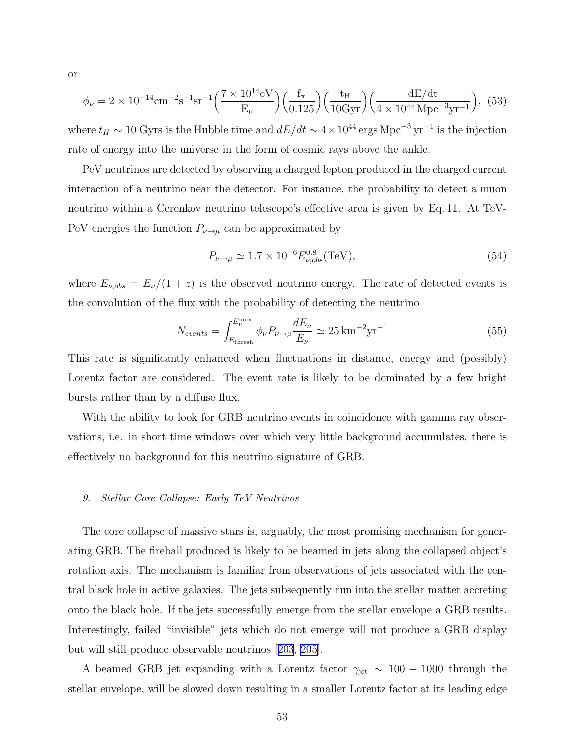or

$$
\phi_{\nu} = 2 \times 10^{-14} \text{cm}^{-2} \text{s}^{-1} \text{sr}^{-1} \left( \frac{7 \times 10^{14} \text{eV}}{\text{E}_{\nu}} \right) \left( \frac{\text{f}_{\pi}}{0.125} \right) \left( \frac{\text{t}_{\text{H}}}{10 \text{Gyr}} \right) \left( \frac{\text{dE/dt}}{4 \times 10^{44} \text{ Mpc}^{-3} \text{yr}^{-1}} \right), \tag{53}
$$

where  $t_H \sim 10 \text{ Gyrs}$  is the Hubble time and  $dE/dt \sim 4 \times 10^{44} \text{ ergs Mpc}^{-3} \text{ yr}^{-1}$  is the injection rate of energy into the universe in the form of cosmic rays above the ankle.

PeV neutrinos are detected by observing a charged lepton produced in the charged current interaction of a neutrino near the detector. For instance, the probability to detect a muon neutrino within a Cerenkov neutrino telescope's effective area is given by Eq. 11. At TeV-PeV energies the function  $P_{\nu\to\mu}$  can be approximated by

$$
P_{\nu \to \mu} \simeq 1.7 \times 10^{-6} E_{\nu, obs}^{0.8} \text{(TeV)},\tag{54}
$$

where  $E_{\nu,obs} = E_{\nu}/(1+z)$  is the observed neutrino energy. The rate of detected events is the convolution of the flux with the probability of detecting the neutrino

$$
N_{events} = \int_{E_{\text{thresh}}}^{E_{\nu}^{\text{max}}} \phi_{\nu} P_{\nu \to \mu} \frac{dE_{\nu}}{E_{\nu}} \simeq 25 \,\text{km}^{-2}\text{yr}^{-1} \tag{55}
$$

This rate is significantly enhanced when fluctuations in distance, energy and (possibly) Lorentz factor are considered. The event rate is likely to be dominated by a few bright bursts rather than by a diffuse flux.

With the ability to look for GRB neutrino events in coincidence with gamma ray observations, i.e. in short time windows over which very little background accumulates, there is effectively no background for this neutrino signature of GRB.

## *9. Stellar Core Collapse: Early TeV Neutrinos*

The core collapse of massive stars is, arguably, the most promising mechanism for generating GRB. The fireball produced is likely to be beamed in jets along the collapsed object's rotation axis. The mechanism is familiar from observations of jets associated with the central black hole in active galaxies. The jets subsequently run into the stellar matter accreting onto the black hole. If the jets successfully emerge from the stellar envelope a GRB results. Interestingly, failed "invisible" jets which do not emerge will not produce a GRB display but will still produce observable neutrinos[[203](#page-79-0), [205\]](#page-79-0).

A beamed GRB jet expanding with a Lorentz factor  $\gamma_{jet} \sim 100 - 1000$  through the stellar envelope, will be slowed down resulting in a smaller Lorentz factor at its leading edge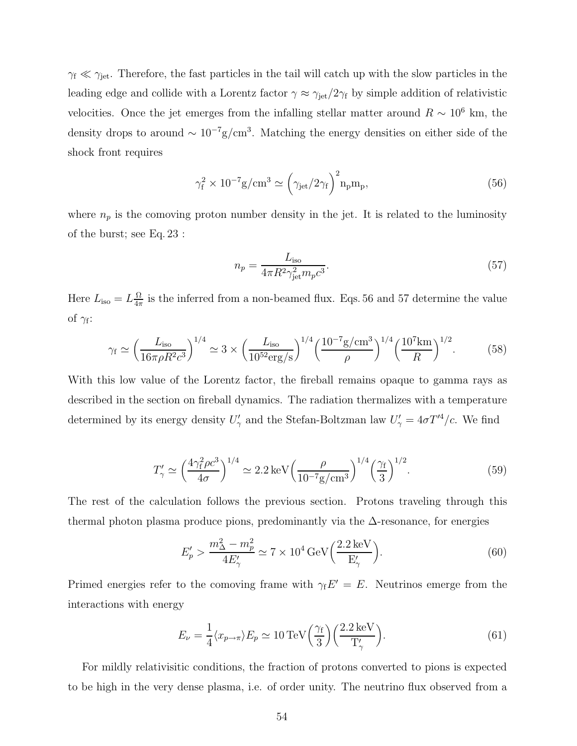$\gamma_f \ll \gamma_{jet}$ . Therefore, the fast particles in the tail will catch up with the slow particles in the leading edge and collide with a Lorentz factor  $\gamma\approx\gamma_{\rm jet}/2\gamma_{\rm f}$  by simple addition of relativistic velocities. Once the jet emerges from the infalling stellar matter around  $R \sim 10^6$  km, the density drops to around  $\sim 10^{-7}$ g/cm<sup>3</sup>. Matching the energy densities on either side of the shock front requires

$$
\gamma_{\rm f}^2 \times 10^{-7} \text{g/cm}^3 \simeq \left(\gamma_{\rm jet}/2\gamma_{\rm f}\right)^2 n_{\rm p} m_{\rm p},\tag{56}
$$

where  $n_p$  is the comoving proton number density in the jet. It is related to the luminosity of the burst; see Eq. 23 :

$$
n_p = \frac{L_{\rm iso}}{4\pi R^2 \gamma_{\rm jet}^2 m_p c^3}.\tag{57}
$$

Here  $L_{\rm iso}=L_{\frac{\Omega}{4\pi}}$  $\frac{\Omega}{4\pi}$  is the inferred from a non-beamed flux. Eqs. 56 and 57 determine the value of  $\gamma_{\rm f}$ :

$$
\gamma_{\rm f} \simeq \left(\frac{L_{\rm iso}}{16\pi\rho R^2 c^3}\right)^{1/4} \simeq 3 \times \left(\frac{L_{\rm iso}}{10^{52} \text{erg/s}}\right)^{1/4} \left(\frac{10^{-7} \text{g/cm}^3}{\rho}\right)^{1/4} \left(\frac{10^7 \text{km}}{R}\right)^{1/2}.\tag{58}
$$

With this low value of the Lorentz factor, the fireball remains opaque to gamma rays as described in the section on fireball dynamics. The radiation thermalizes with a temperature determined by its energy density  $U'_{\gamma}$  and the Stefan-Boltzman law  $U'_{\gamma} = 4\sigma T'^{4}/c$ . We find

$$
T'_{\gamma} \simeq \left(\frac{4\gamma_{\rm f}^2 \rho c^3}{4\sigma}\right)^{1/4} \simeq 2.2 \,\text{keV} \left(\frac{\rho}{10^{-7} \text{g/cm}^3}\right)^{1/4} \left(\frac{\gamma_{\rm f}}{3}\right)^{1/2}.\tag{59}
$$

The rest of the calculation follows the previous section. Protons traveling through this thermal photon plasma produce pions, predominantly via the ∆-resonance, for energies

$$
E'_p > \frac{m_{\Delta}^2 - m_p^2}{4E'_\gamma} \simeq 7 \times 10^4 \,\text{GeV} \bigg( \frac{2.2 \,\text{keV}}{E'_\gamma} \bigg). \tag{60}
$$

Primed energies refer to the comoving frame with  $\gamma_f E' = E$ . Neutrinos emerge from the interactions with energy

$$
E_{\nu} = \frac{1}{4} \langle x_{p \to \pi} \rangle E_p \simeq 10 \,\text{TeV} \left( \frac{\gamma_f}{3} \right) \left( \frac{2.2 \,\text{keV}}{T'_{\gamma}} \right). \tag{61}
$$

For mildly relativisitic conditions, the fraction of protons converted to pions is expected to be high in the very dense plasma, i.e. of order unity. The neutrino flux observed from a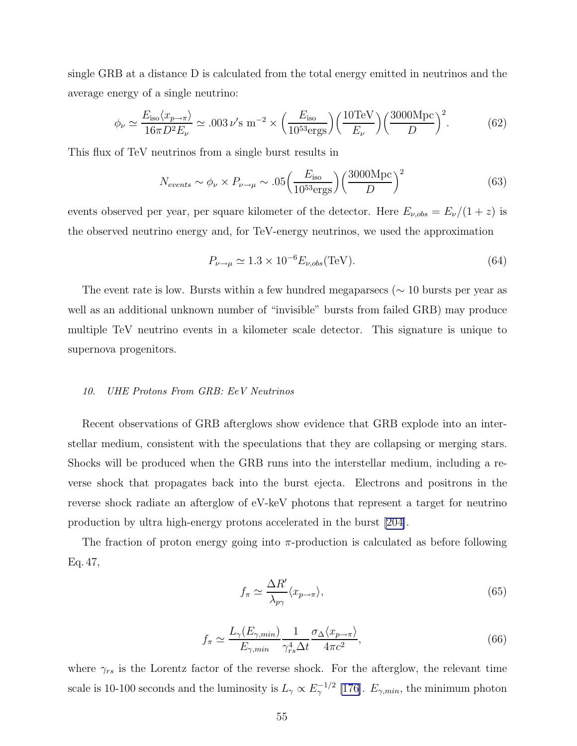single GRB at a distance D is calculated from the total energy emitted in neutrinos and the average energy of a single neutrino:

$$
\phi_{\nu} \simeq \frac{E_{\text{iso}} \langle x_{p \to \pi} \rangle}{16 \pi D^2 E_{\nu}} \simeq .003 \,\nu' \text{s m}^{-2} \times \left(\frac{E_{\text{iso}}}{10^{53} \text{ergs}}\right) \left(\frac{10 \text{TeV}}{E_{\nu}}\right) \left(\frac{3000 \text{Mpc}}{D}\right)^2. \tag{62}
$$

This flux of TeV neutrinos from a single burst results in

$$
N_{events} \sim \phi_{\nu} \times P_{\nu \to \mu} \sim .05 \left(\frac{E_{\text{iso}}}{10^{53} \text{ergs}}\right) \left(\frac{3000 \text{Mpc}}{D}\right)^2 \tag{63}
$$

events observed per year, per square kilometer of the detector. Here  $E_{\nu,obs} = E_{\nu}/(1+z)$  is the observed neutrino energy and, for TeV-energy neutrinos, we used the approximation

$$
P_{\nu \to \mu} \simeq 1.3 \times 10^{-6} E_{\nu, obs} (\text{TeV}). \tag{64}
$$

The event rate is low. Bursts within a few hundred megaparsecs ( $\sim 10$  bursts per year as well as an additional unknown number of "invisible" bursts from failed GRB) may produce multiple TeV neutrino events in a kilometer scale detector. This signature is unique to supernova progenitors.

## *10. UHE Protons From GRB: EeV Neutrinos*

Recent observations of GRB afterglows show evidence that GRB explode into an interstellar medium, consistent with the speculations that they are collapsing or merging stars. Shocks will be produced when the GRB runs into the interstellar medium, including a reverse shock that propagates back into the burst ejecta. Electrons and positrons in the reverse shock radiate an afterglow of eV-keV photons that represent a target for neutrino production by ultra high-energy protons accelerated in the burst [\[204\]](#page-79-0).

The fraction of proton energy going into  $\pi$ -production is calculated as before following Eq. 47,

$$
f_{\pi} \simeq \frac{\Delta R'}{\lambda_{p\gamma}} \langle x_{p \to \pi} \rangle, \tag{65}
$$

$$
f_{\pi} \simeq \frac{L_{\gamma}(E_{\gamma,min})}{E_{\gamma,min}} \frac{1}{\gamma_{rs}^4 \Delta t} \frac{\sigma_{\Delta} \langle x_{p \to \pi} \rangle}{4\pi c^2},\tag{66}
$$

where  $\gamma_{rs}$  is the Lorentz factor of the reverse shock. For the afterglow, the relevant time scale is 10-100 seconds and the luminosity is  $L_{\gamma} \propto E_{\gamma}^{-1/2}$  [\[176](#page-78-0)].  $E_{\gamma,min}$ , the minimum photon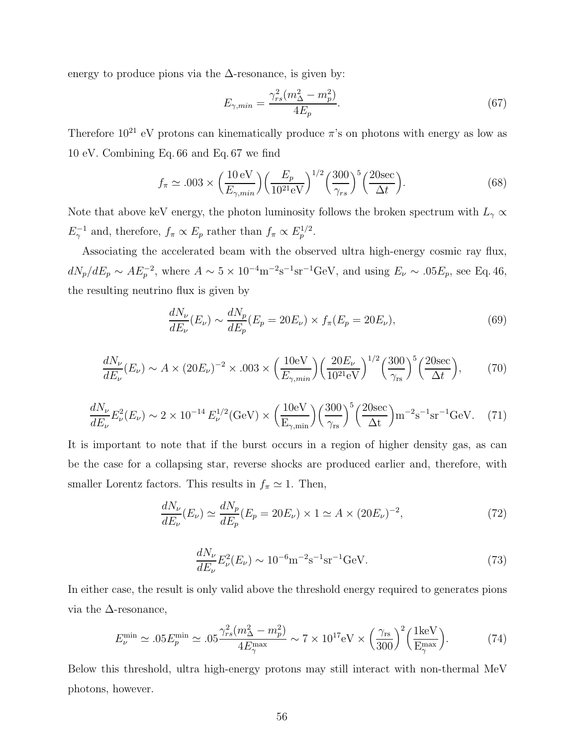energy to produce pions via the  $\Delta$ -resonance, is given by:

$$
E_{\gamma,min} = \frac{\gamma_{rs}^2 (m_{\Delta}^2 - m_p^2)}{4E_p}.
$$
\n
$$
(67)
$$

Therefore  $10^{21}$  eV protons can kinematically produce  $\pi$ 's on photons with energy as low as 10 eV. Combining Eq. 66 and Eq. 67 we find

$$
f_{\pi} \simeq .003 \times \left(\frac{10 \,\text{eV}}{E_{\gamma,min}}\right) \left(\frac{E_p}{10^{21} \text{eV}}\right)^{1/2} \left(\frac{300}{\gamma_{rs}}\right)^5 \left(\frac{20 \text{sec}}{\Delta t}\right). \tag{68}
$$

Note that above keV energy, the photon luminosity follows the broken spectrum with  $L_{\gamma} \propto$  $E_{\gamma}^{-1}$  and, therefore,  $f_{\pi} \propto E_p$  rather than  $f_{\pi} \propto E_p^{1/2}$ .

Associating the accelerated beam with the observed ultra high-energy cosmic ray flux,  $dN_p/dE_p \sim AE_p^{-2}$ , where  $A \sim 5 \times 10^{-4} \text{m}^{-2} \text{s}^{-1} \text{sr}^{-1} \text{GeV}$ , and using  $E_\nu \sim .05 E_p$ , see Eq. 46, the resulting neutrino flux is given by

$$
\frac{dN_{\nu}}{dE_{\nu}}(E_{\nu}) \sim \frac{dN_{p}}{dE_{p}}(E_{p} = 20E_{\nu}) \times f_{\pi}(E_{p} = 20E_{\nu}),
$$
\n(69)

$$
\frac{dN_{\nu}}{dE_{\nu}}(E_{\nu}) \sim A \times (20E_{\nu})^{-2} \times .003 \times \left(\frac{10 \text{eV}}{E_{\gamma,min}}\right) \left(\frac{20E_{\nu}}{10^{21} \text{eV}}\right)^{1/2} \left(\frac{300}{\gamma_{\text{rs}}}\right)^{5} \left(\frac{20 \text{sec}}{\Delta t}\right),\tag{70}
$$

$$
\frac{dN_{\nu}}{dE_{\nu}}E_{\nu}^{2}(E_{\nu}) \sim 2 \times 10^{-14} E_{\nu}^{1/2}(\text{GeV}) \times \left(\frac{10 \text{eV}}{E_{\gamma,\text{min}}}\right) \left(\frac{300}{\gamma_{\text{rs}}}\right)^{5} \left(\frac{20 \text{sec}}{\Delta t}\right) \text{m}^{-2} \text{s}^{-1} \text{sr}^{-1} \text{GeV}. \tag{71}
$$

It is important to note that if the burst occurs in a region of higher density gas, as can be the case for a collapsing star, reverse shocks are produced earlier and, therefore, with smaller Lorentz factors. This results in  $f_{\pi} \simeq 1$ . Then,

$$
\frac{dN_{\nu}}{dE_{\nu}}(E_{\nu}) \simeq \frac{dN_p}{dE_p}(E_p = 20E_{\nu}) \times 1 \simeq A \times (20E_{\nu})^{-2},\tag{72}
$$

$$
\frac{dN_{\nu}}{dE_{\nu}}E_{\nu}^{2}(E_{\nu}) \sim 10^{-6} \text{m}^{-2} \text{s}^{-1} \text{sr}^{-1} \text{GeV}.
$$
\n(73)

In either case, the result is only valid above the threshold energy required to generates pions via the  $\Delta$ -resonance,

$$
E_{\nu}^{\min} \simeq .05 E_p^{\min} \simeq .05 \frac{\gamma_{rs}^2 (m_{\Delta}^2 - m_p^2)}{4 E_{\gamma}^{\max}} \sim 7 \times 10^{17} \text{eV} \times \left(\frac{\gamma_{\text{rs}}}{300}\right)^2 \left(\frac{1 \text{keV}}{E_{\gamma}^{\max}}\right). \tag{74}
$$

Below this threshold, ultra high-energy protons may still interact with non-thermal MeV photons, however.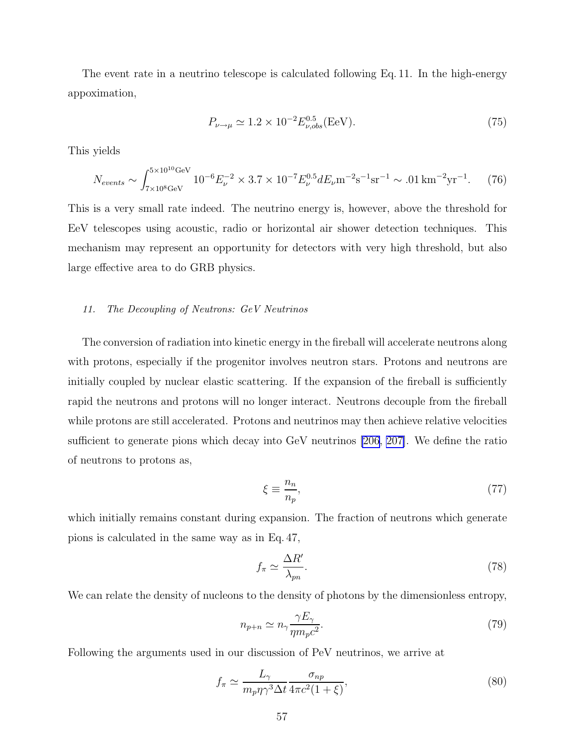The event rate in a neutrino telescope is calculated following Eq. 11. In the high-energy appoximation,

$$
P_{\nu \to \mu} \simeq 1.2 \times 10^{-2} E_{\nu, obs}^{0.5} \text{(EeV)}.
$$
\n(75)

This yields

$$
N_{events} \sim \int_{7 \times 10^8 \text{GeV}}^{5 \times 10^{10} \text{GeV}} 10^{-6} E_{\nu}^{-2} \times 3.7 \times 10^{-7} E_{\nu}^{0.5} dE_{\nu} \text{m}^{-2} \text{s}^{-1} \text{sr}^{-1} \sim .01 \text{ km}^{-2} \text{yr}^{-1}. \tag{76}
$$

This is a very small rate indeed. The neutrino energy is, however, above the threshold for EeV telescopes using acoustic, radio or horizontal air shower detection techniques. This mechanism may represent an opportunity for detectors with very high threshold, but also large effective area to do GRB physics.

## *11. The Decoupling of Neutrons: GeV Neutrinos*

The conversion of radiation into kinetic energy in the fireball will accelerate neutrons along with protons, especially if the progenitor involves neutron stars. Protons and neutrons are initially coupled by nuclear elastic scattering. If the expansion of the fireball is sufficiently rapid the neutrons and protons will no longer interact. Neutrons decouple from the fireball while protons are still accelerated. Protons and neutrinos may then achieve relative velocities sufficient to generate pions which decay into GeV neutrinos [\[206, 207\]](#page-79-0). We define the ratio of neutrons to protons as,

$$
\xi \equiv \frac{n_n}{n_p},\tag{77}
$$

which initially remains constant during expansion. The fraction of neutrons which generate pions is calculated in the same way as in Eq. 47,

$$
f_{\pi} \simeq \frac{\Delta R'}{\lambda_{pn}}.\tag{78}
$$

We can relate the density of nucleons to the density of photons by the dimensionless entropy,

$$
n_{p+n} \simeq n_{\gamma} \frac{\gamma E_{\gamma}}{\eta m_{p} c^{2}}.\tag{79}
$$

Following the arguments used in our discussion of PeV neutrinos, we arrive at

$$
f_{\pi} \simeq \frac{L_{\gamma}}{m_p \eta \gamma^3 \Delta t} \frac{\sigma_{np}}{4\pi c^2 (1+\xi)},\tag{80}
$$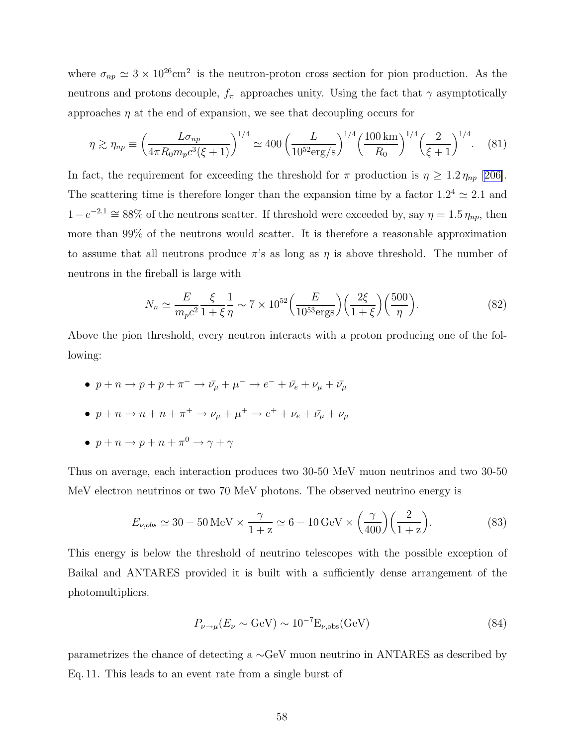where  $\sigma_{np} \simeq 3 \times 10^{26} \text{cm}^2$  is the neutron-proton cross section for pion production. As the neutrons and protons decouple,  $f_{\pi}$  approaches unity. Using the fact that  $\gamma$  asymptotically approaches  $\eta$  at the end of expansion, we see that decoupling occurs for

$$
\eta \gtrsim \eta_{np} \equiv \left(\frac{L\sigma_{np}}{4\pi R_0 m_p c^3 (\xi + 1)}\right)^{1/4} \simeq 400 \left(\frac{L}{10^{52} \text{erg/s}}\right)^{1/4} \left(\frac{100 \text{ km}}{R_0}\right)^{1/4} \left(\frac{2}{\xi + 1}\right)^{1/4}.
$$
 (81)

In fact, the requirement for exceeding the threshold for  $\pi$  production is  $\eta \geq 1.2 \eta_{np}$  [\[206\]](#page-79-0). The scattering time is therefore longer than the expansion time by a factor  $1.2^4 \simeq 2.1$  and  $1-e^{-2.1}$   $\cong$  88% of the neutrons scatter. If threshold were exceeded by, say  $\eta = 1.5 \eta_{np}$ , then more than 99% of the neutrons would scatter. It is therefore a reasonable approximation to assume that all neutrons produce  $\pi$ 's as long as  $\eta$  is above threshold. The number of neutrons in the fireball is large with

$$
N_n \simeq \frac{E}{m_p c^2} \frac{\xi}{1+\xi} \frac{1}{\eta} \sim 7 \times 10^{52} \left(\frac{E}{10^{53} \text{ergs}}\right) \left(\frac{2\xi}{1+\xi}\right) \left(\frac{500}{\eta}\right). \tag{82}
$$

Above the pion threshold, every neutron interacts with a proton producing one of the following:

- $p + n \rightarrow p + p + \pi^{-} \rightarrow \bar{\nu_{\mu}} + \mu^{-} \rightarrow e^{-} + \bar{\nu_{e}} + \nu_{\mu} + \bar{\nu_{\mu}}$
- $p + n \to n + n + \pi^+ \to \nu_\mu + \mu^+ \to e^+ + \nu_e + \bar{\nu_\mu} + \nu_\mu$
- $p + n \rightarrow p + n + \pi^0 \rightarrow \gamma + \gamma$

Thus on average, each interaction produces two 30-50 MeV muon neutrinos and two 30-50 MeV electron neutrinos or two 70 MeV photons. The observed neutrino energy is

$$
E_{\nu,obs} \simeq 30 - 50 \,\text{MeV} \times \frac{\gamma}{1+z} \simeq 6 - 10 \,\text{GeV} \times \left(\frac{\gamma}{400}\right) \left(\frac{2}{1+z}\right). \tag{83}
$$

This energy is below the threshold of neutrino telescopes with the possible exception of Baikal and ANTARES provided it is built with a sufficiently dense arrangement of the photomultipliers.

$$
P_{\nu \to \mu}(E_{\nu} \sim \text{GeV}) \sim 10^{-7} \text{E}_{\nu, \text{obs}}(\text{GeV})
$$
\n(84)

parametrizes the chance of detecting a ∼GeV muon neutrino in ANTARES as described by Eq. 11. This leads to an event rate from a single burst of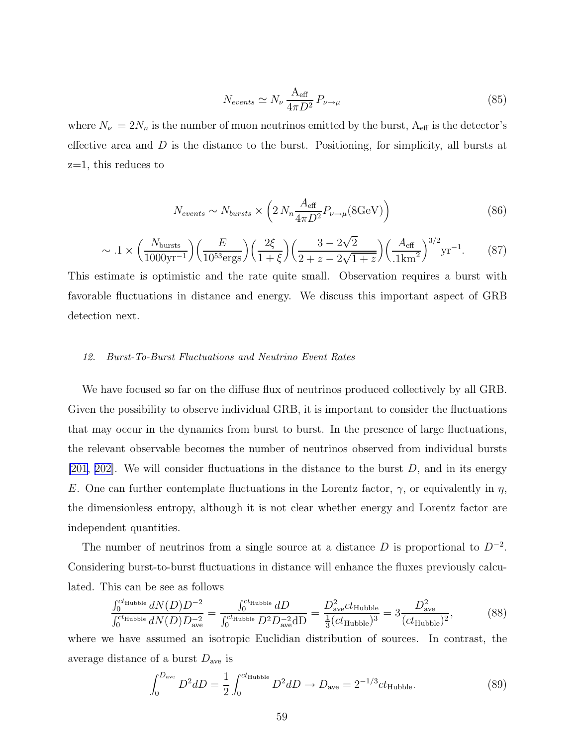$$
N_{events} \simeq N_{\nu} \frac{\mathcal{A}_{\text{eff}}}{4\pi D^2} P_{\nu \to \mu} \tag{85}
$$

where  $N_{\nu} = 2N_n$  is the number of muon neutrinos emitted by the burst,  $A_{\text{eff}}$  is the detector's effective area and  $D$  is the distance to the burst. Positioning, for simplicity, all bursts at z=1, this reduces to

$$
N_{events} \sim N_{bursts} \times \left(2 N_n \frac{A_{\text{eff}}}{4\pi D^2} P_{\nu \to \mu} (8 \text{GeV})\right)
$$
 (86)

$$
\sim .1 \times \left(\frac{N_{\text{bursts}}}{1000 \text{yr}^{-1}}\right) \left(\frac{E}{10^{53} \text{ergs}}\right) \left(\frac{2\xi}{1+\xi}\right) \left(\frac{3-2\sqrt{2}}{2+z-2\sqrt{1+z}}\right) \left(\frac{A_{\text{eff}}}{.1 \text{km}^2}\right)^{3/2} \text{yr}^{-1}.
$$
 (87)

This estimate is optimistic and the rate quite small. Observation requires a burst with favorable fluctuations in distance and energy. We discuss this important aspect of GRB detection next.

## *12. Burst-To-Burst Fluctuations and Neutrino Event Rates*

We have focused so far on the diffuse flux of neutrinos produced collectively by all GRB. Given the possibility to observe individual GRB, it is important to consider the fluctuations that may occur in the dynamics from burst to burst. In the presence of large fluctuations, the relevant observable becomes the number of neutrinos observed from individual bursts [\[201, 202](#page-79-0)]. We will consider fluctuations in the distance to the burst  $D$ , and in its energy E. One can further contemplate fluctuations in the Lorentz factor,  $\gamma$ , or equivalently in  $\eta$ , the dimensionless entropy, although it is not clear whether energy and Lorentz factor are independent quantities.

The number of neutrinos from a single source at a distance D is proportional to  $D^{-2}$ . Considering burst-to-burst fluctuations in distance will enhance the fluxes previously calculated. This can be see as follows

$$
\frac{\int_0^{ct_{\text{Hubble}}} dN(D) D^{-2}}{\int_0^{ct_{\text{Hubble}}} dN(D) D_{\text{ave}}^{-2}} = \frac{\int_0^{ct_{\text{Hubble}}} dD}{\int_0^{ct_{\text{Hubble}}} D^2 D_{\text{ave}}^{-2} dD} = \frac{D_{\text{ave}}^2 ct_{\text{Hubble}}}{\frac{1}{3} (ct_{\text{Hubble}})^3} = 3 \frac{D_{\text{ave}}^2}{(ct_{\text{Hubble}})^2},
$$
(88)

where we have assumed an isotropic Euclidian distribution of sources. In contrast, the average distance of a burst  $D_{\text{ave}}$  is

$$
\int_0^{D_{\text{ave}}} D^2 dD = \frac{1}{2} \int_0^{ct_{\text{Hubble}}} D^2 dD \to D_{\text{ave}} = 2^{-1/3} ct_{\text{Hubble}}.
$$
 (89)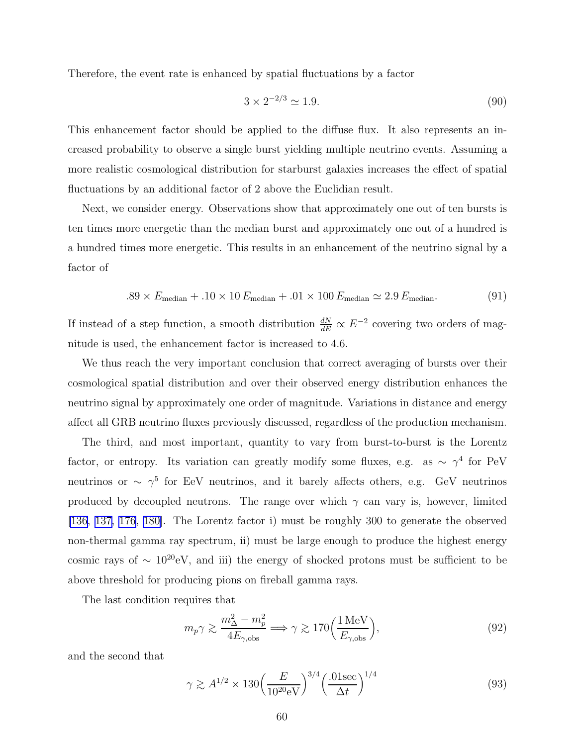Therefore, the event rate is enhanced by spatial fluctuations by a factor

$$
3 \times 2^{-2/3} \simeq 1.9. \tag{90}
$$

This enhancement factor should be applied to the diffuse flux. It also represents an increased probability to observe a single burst yielding multiple neutrino events. Assuming a more realistic cosmological distribution for starburst galaxies increases the effect of spatial fluctuations by an additional factor of 2 above the Euclidian result.

Next, we consider energy. Observations show that approximately one out of ten bursts is ten times more energetic than the median burst and approximately one out of a hundred is a hundred times more energetic. This results in an enhancement of the neutrino signal by a factor of

$$
.89 \times E_{\text{median}} + .10 \times 10 E_{\text{median}} + .01 \times 100 E_{\text{median}} \simeq 2.9 E_{\text{median}}. \tag{91}
$$

If instead of a step function, a smooth distribution  $\frac{dN}{dE} \propto E^{-2}$  covering two orders of magnitude is used, the enhancement factor is increased to 4.6.

We thus reach the very important conclusion that correct averaging of bursts over their cosmological spatial distribution and over their observed energy distribution enhances the neutrino signal by approximately one order of magnitude. Variations in distance and energy affect all GRB neutrino fluxes previously discussed, regardless of the production mechanism.

The third, and most important, quantity to vary from burst-to-burst is the Lorentz factor, or entropy. Its variation can greatly modify some fluxes, e.g. as  $\sim \gamma^4$  for PeV neutrinos or  $\sim \gamma^5$  for EeV neutrinos, and it barely affects others, e.g. GeV neutrinos produced by decoupled neutrons. The range over which  $\gamma$  can vary is, however, limited [\[136, 137,](#page-77-0) [176](#page-78-0), [180\]](#page-78-0). The Lorentz factor i) must be roughly 300 to generate the observed non-thermal gamma ray spectrum, ii) must be large enough to produce the highest energy cosmic rays of  $\sim 10^{20}$ eV, and iii) the energy of shocked protons must be sufficient to be above threshold for producing pions on fireball gamma rays.

The last condition requires that

$$
m_p \gamma \gtrsim \frac{m_{\Delta}^2 - m_p^2}{4E_{\gamma, \text{obs}}} \Longrightarrow \gamma \gtrsim 170 \Big(\frac{1 \text{ MeV}}{E_{\gamma, \text{obs}}}\Big),\tag{92}
$$

and the second that

$$
\gamma \gtrsim A^{1/2} \times 130 \left(\frac{E}{10^{20} \text{eV}}\right)^{3/4} \left(\frac{.01 \text{sec}}{\Delta t}\right)^{1/4} \tag{93}
$$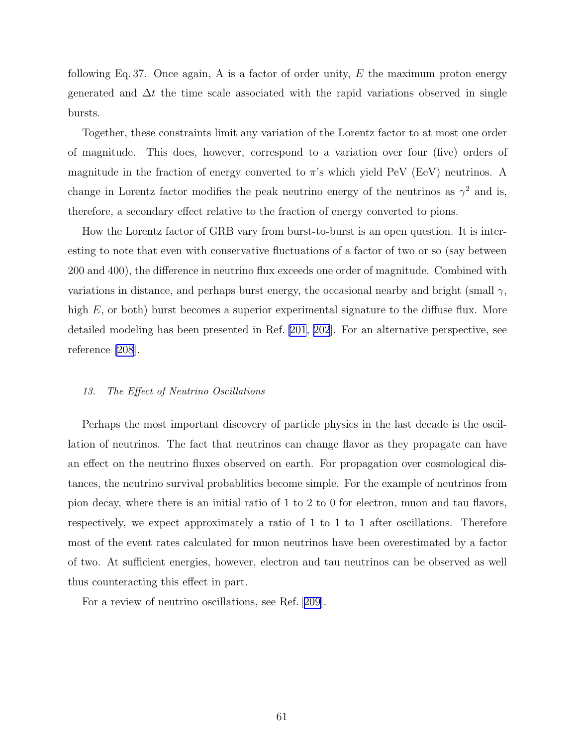following Eq. 37. Once again, A is a factor of order unity,  $E$  the maximum proton energy generated and  $\Delta t$  the time scale associated with the rapid variations observed in single bursts.

Together, these constraints limit any variation of the Lorentz factor to at most one order of magnitude. This does, however, correspond to a variation over four (five) orders of magnitude in the fraction of energy converted to  $\pi$ 's which yield PeV (EeV) neutrinos. A change in Lorentz factor modifies the peak neutrino energy of the neutrinos as  $\gamma^2$  and is, therefore, a secondary effect relative to the fraction of energy converted to pions.

How the Lorentz factor of GRB vary from burst-to-burst is an open question. It is interesting to note that even with conservative fluctuations of a factor of two or so (say between 200 and 400), the difference in neutrino flux exceeds one order of magnitude. Combined with variations in distance, and perhaps burst energy, the occasional nearby and bright (small  $\gamma$ , high E, or both) burst becomes a superior experimental signature to the diffuse flux. More detailed modeling has been presented in Ref.[[201](#page-79-0), [202](#page-79-0)]. For an alternative perspective, see reference [\[208\]](#page-79-0).

### *13. The Effect of Neutrino Oscillations*

Perhaps the most important discovery of particle physics in the last decade is the oscillation of neutrinos. The fact that neutrinos can change flavor as they propagate can have an effect on the neutrino fluxes observed on earth. For propagation over cosmological distances, the neutrino survival probablities become simple. For the example of neutrinos from pion decay, where there is an initial ratio of 1 to 2 to 0 for electron, muon and tau flavors, respectively, we expect approximately a ratio of 1 to 1 to 1 after oscillations. Therefore most of the event rates calculated for muon neutrinos have been overestimated by a factor of two. At sufficient energies, however, electron and tau neutrinos can be observed as well thus counteracting this effect in part.

For a review of neutrino oscillations, see Ref.[[209](#page-79-0)].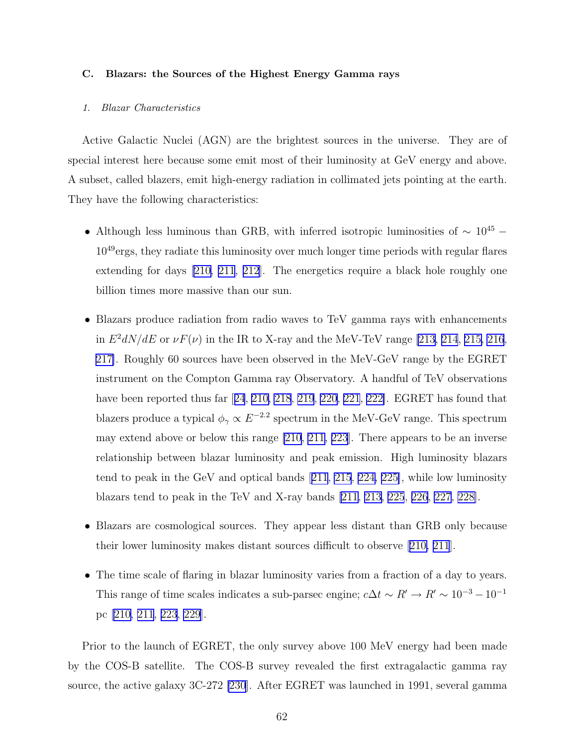#### C. Blazars: the Sources of the Highest Energy Gamma rays

### *1. Blazar Characteristics*

Active Galactic Nuclei (AGN) are the brightest sources in the universe. They are of special interest here because some emit most of their luminosity at GeV energy and above. A subset, called blazers, emit high-energy radiation in collimated jets pointing at the earth. They have the following characteristics:

- Although less luminous than GRB, with inferred isotropic luminosities of  $\sim 10^{45}$  10<sup>49</sup>ergs, they radiate this luminosity over much longer time periods with regular flares extending for days [\[210, 211](#page-79-0), [212](#page-79-0)]. The energetics require a black hole roughly one billion times more massive than our sun.
- Blazars produce radiation from radio waves to TeV gamma rays with enhancements in  $E^2dN/dE$  or  $\nu F(\nu)$  in the IR to X-ray and the MeV-TeV range [\[213, 214](#page-79-0), [215, 216](#page-80-0), [217\]](#page-80-0). Roughly 60 sources have been observed in the MeV-GeV range by the EGRET instrument on the Compton Gamma ray Observatory. A handful of TeV observations have been reported thus far[[24](#page-71-0), [210,](#page-79-0) [218](#page-80-0), [219](#page-80-0), [220, 221](#page-80-0), [222\]](#page-80-0). EGRET has found that blazers produce a typical  $\phi_{\gamma} \propto E^{-2.2}$  spectrum in the MeV-GeV range. This spectrum may extend above or below this range [\[210](#page-79-0), [211,](#page-79-0) [223](#page-80-0)]. There appears to be an inverse relationship between blazar luminosity and peak emission. High luminosity blazars tend to peak in the GeV and optical bands[[211](#page-79-0), [215](#page-80-0), [224, 225\]](#page-80-0), while low luminosity blazars tend to peak in the TeV and X-ray bands [\[211](#page-79-0), [213,](#page-79-0) [225](#page-80-0), [226](#page-80-0), [227, 228\]](#page-80-0).
- Blazars are cosmological sources. They appear less distant than GRB only because their lower luminosity makes distant sources difficult to observe[[210, 211](#page-79-0)].
- The time scale of flaring in blazar luminosity varies from a fraction of a day to years. This range of time scales indicates a sub-parsec engine;  $c\Delta t \sim R' \to R' \sim 10^{-3} - 10^{-1}$ pc [\[210, 211](#page-79-0), [223](#page-80-0), [229\]](#page-80-0).

Prior to the launch of EGRET, the only survey above 100 MeV energy had been made by the COS-B satellite. The COS-B survey revealed the first extragalactic gamma ray source, the active galaxy 3C-272 [\[230](#page-80-0)]. After EGRET was launched in 1991, several gamma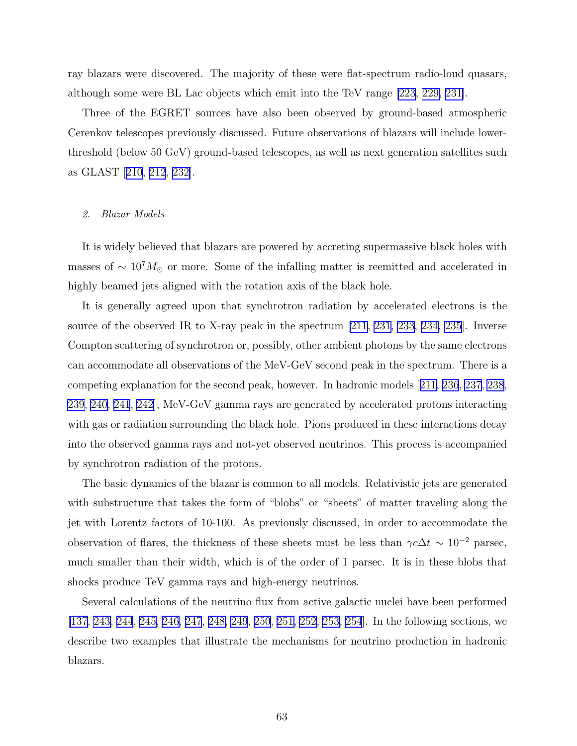ray blazars were discovered. The majority of these were flat-spectrum radio-loud quasars, although some were BL Lac objects which emit into the TeV range [\[223](#page-80-0), [229, 231\]](#page-80-0).

Three of the EGRET sources have also been observed by ground-based atmospheric Cerenkov telescopes previously discussed. Future observations of blazars will include lowerthreshold (below 50 GeV) ground-based telescopes, as well as next generation satellites such as GLAST[[210](#page-79-0), [212](#page-79-0), [232\]](#page-80-0).

## *2. Blazar Models*

It is widely believed that blazars are powered by accreting supermassive black holes with masses of  $\sim 10^7 M_{\odot}$  or more. Some of the infalling matter is reemitted and accelerated in highly beamed jets aligned with the rotation axis of the black hole.

It is generally agreed upon that synchrotron radiation by accelerated electrons is the source of the observed IR to X-ray peak in the spectrum [\[211,](#page-79-0) [231, 233, 234, 235](#page-80-0)]. Inverse Compton scattering of synchrotron or, possibly, other ambient photons by the same electrons can accommodate all observations of the MeV-GeV second peak in the spectrum. There is a competing explanation for the second peak, however. In hadronic models[[211](#page-79-0), [236](#page-80-0), [237](#page-80-0), [238](#page-80-0), [239, 240](#page-80-0), [241](#page-81-0), [242\]](#page-81-0), MeV-GeV gamma rays are generated by accelerated protons interacting with gas or radiation surrounding the black hole. Pions produced in these interactions decay into the observed gamma rays and not-yet observed neutrinos. This process is accompanied by synchrotron radiation of the protons.

The basic dynamics of the blazar is common to all models. Relativistic jets are generated with substructure that takes the form of "blobs" or "sheets" of matter traveling along the jet with Lorentz factors of 10-100. As previously discussed, in order to accommodate the observation of flares, the thickness of these sheets must be less than  $\gamma c \Delta t \sim 10^{-2}$  parsec, much smaller than their width, which is of the order of 1 parsec. It is in these blobs that shocks produce TeV gamma rays and high-energy neutrinos.

Several calculations of the neutrino flux from active galactic nuclei have been performed [\[137,](#page-77-0) [243](#page-81-0), [244](#page-81-0), [245, 246](#page-81-0), [247](#page-81-0), [248, 249, 250](#page-81-0), [251, 252, 253](#page-81-0), [254](#page-81-0)]. In the following sections, we describe two examples that illustrate the mechanisms for neutrino production in hadronic blazars.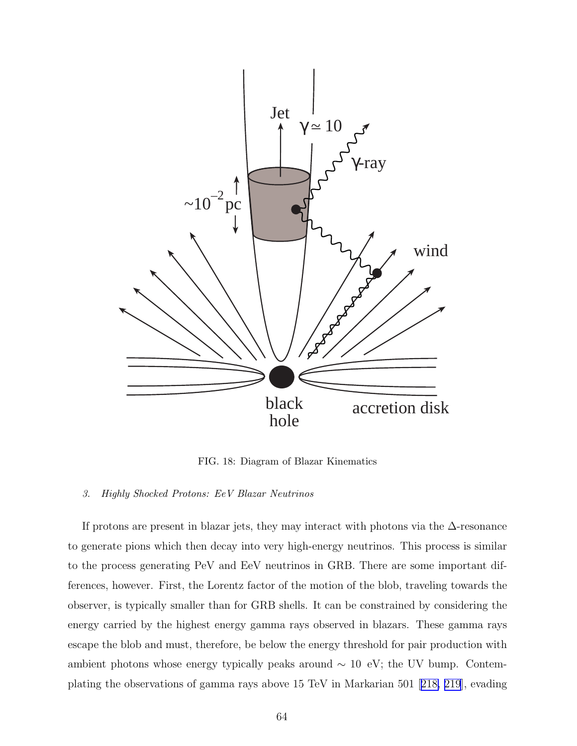

FIG. 18: Diagram of Blazar Kinematics

## *3. Highly Shocked Protons: EeV Blazar Neutrinos*

If protons are present in blazar jets, they may interact with photons via the  $\Delta$ -resonance to generate pions which then decay into very high-energy neutrinos. This process is similar to the process generating PeV and EeV neutrinos in GRB. There are some important differences, however. First, the Lorentz factor of the motion of the blob, traveling towards the observer, is typically smaller than for GRB shells. It can be constrained by considering the energy carried by the highest energy gamma rays observed in blazars. These gamma rays escape the blob and must, therefore, be below the energy threshold for pair production with ambient photons whose energy typically peaks around  $\sim 10$  eV; the UV bump. Contemplating the observations of gamma rays above 15 TeV in Markarian 501[[218, 219](#page-80-0)], evading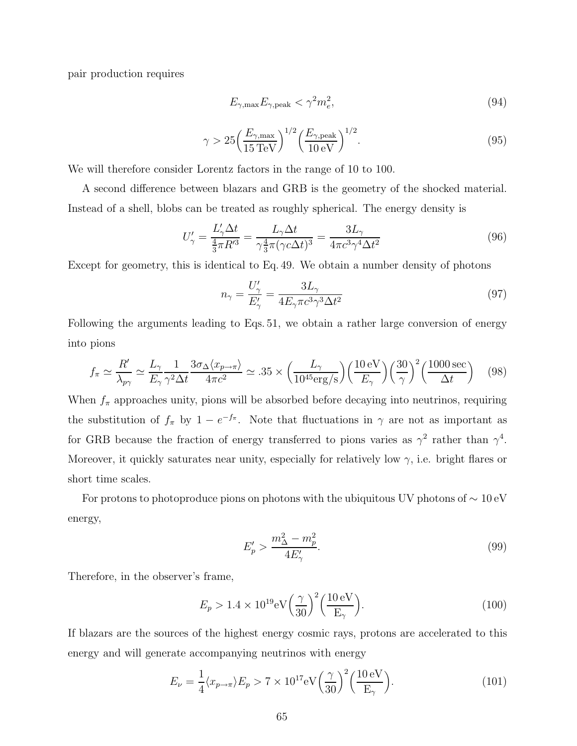pair production requires

$$
E_{\gamma,\max} E_{\gamma,\text{peak}} < \gamma^2 m_e^2,\tag{94}
$$

$$
\gamma > 25 \left( \frac{E_{\gamma, \text{max}}}{15 \text{ TeV}} \right)^{1/2} \left( \frac{E_{\gamma, \text{peak}}}{10 \text{ eV}} \right)^{1/2}.
$$
 (95)

We will therefore consider Lorentz factors in the range of 10 to 100.

A second difference between blazars and GRB is the geometry of the shocked material. Instead of a shell, blobs can be treated as roughly spherical. The energy density is

$$
U'_{\gamma} = \frac{L'_{\gamma} \Delta t}{\frac{4}{3} \pi R'^3} = \frac{L_{\gamma} \Delta t}{\gamma \frac{4}{3} \pi (\gamma c \Delta t)^3} = \frac{3L_{\gamma}}{4 \pi c^3 \gamma^4 \Delta t^2}
$$
(96)

Except for geometry, this is identical to Eq. 49. We obtain a number density of photons

$$
n_{\gamma} = \frac{U_{\gamma}'}{E_{\gamma}'} = \frac{3L_{\gamma}}{4E_{\gamma}\pi c^3 \gamma^3 \Delta t^2}
$$
\n(97)

Following the arguments leading to Eqs. 51, we obtain a rather large conversion of energy into pions

$$
f_{\pi} \simeq \frac{R'}{\lambda_{p\gamma}} \simeq \frac{L_{\gamma}}{E_{\gamma}} \frac{1}{\gamma^2 \Delta t} \frac{3\sigma_{\Delta} \langle x_{p \to \pi} \rangle}{4\pi c^2} \simeq .35 \times \left(\frac{L_{\gamma}}{10^{45} \text{erg/s}}\right) \left(\frac{10 \text{ eV}}{E_{\gamma}}\right) \left(\frac{30}{\gamma}\right)^2 \left(\frac{1000 \text{ sec}}{\Delta t}\right) \tag{98}
$$

When  $f_{\pi}$  approaches unity, pions will be absorbed before decaying into neutrinos, requiring the substitution of  $f_{\pi}$  by  $1 - e^{-f_{\pi}}$ . Note that fluctuations in  $\gamma$  are not as important as for GRB because the fraction of energy transferred to pions varies as  $\gamma^2$  rather than  $\gamma^4$ . Moreover, it quickly saturates near unity, especially for relatively low  $\gamma$ , i.e. bright flares or short time scales.

For protons to photoproduce pions on photons with the ubiquitous UV photons of  $\sim 10 \text{ eV}$ energy,

$$
E'_p > \frac{m_{\Delta}^2 - m_p^2}{4E'_\gamma}.
$$
\n(99)

Therefore, in the observer's frame,

$$
E_p > 1.4 \times 10^{19} \text{eV} \left(\frac{\gamma}{30}\right)^2 \left(\frac{10 \text{ eV}}{\text{E}_{\gamma}}\right). \tag{100}
$$

If blazars are the sources of the highest energy cosmic rays, protons are accelerated to this energy and will generate accompanying neutrinos with energy

$$
E_{\nu} = \frac{1}{4} \langle x_{p \to \pi} \rangle E_p > 7 \times 10^{17} \text{eV} \left(\frac{\gamma}{30}\right)^2 \left(\frac{10 \text{ eV}}{E_{\gamma}}\right).
$$
 (101)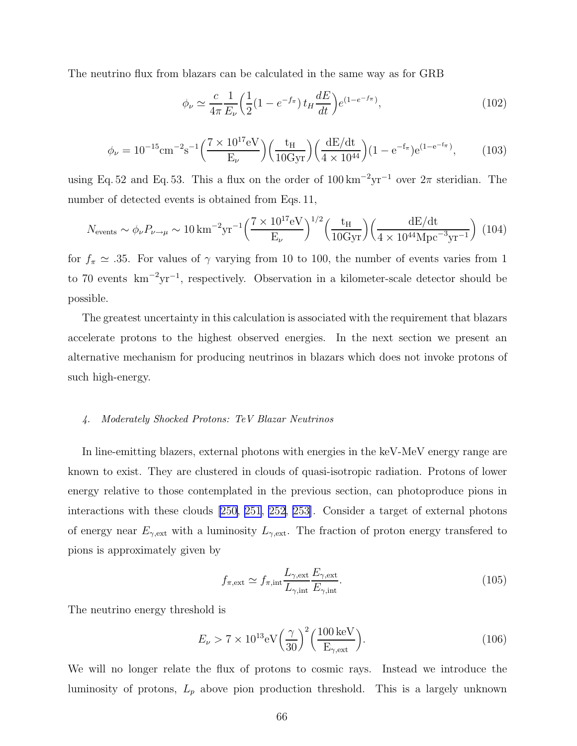The neutrino flux from blazars can be calculated in the same way as for GRB

$$
\phi_{\nu} \simeq \frac{c}{4\pi} \frac{1}{E_{\nu}} \left( \frac{1}{2} (1 - e^{-f_{\pi}}) t_H \frac{dE}{dt} \right) e^{(1 - e^{-f_{\pi}})},\tag{102}
$$

$$
\phi_{\nu} = 10^{-15} \text{cm}^{-2} \text{s}^{-1} \left( \frac{7 \times 10^{17} \text{eV}}{\text{E}_{\nu}} \right) \left( \frac{\text{t}_{\text{H}}}{10 \text{Gyr}} \right) \left( \frac{\text{d} \text{E/dt}}{4 \times 10^{44}} \right) (1 - e^{-f_{\pi}}) e^{(1 - e^{-f_{\pi}})},\tag{103}
$$

using Eq. 52 and Eq. 53. This a flux on the order of  $100 \,\mathrm{km}^{-2}\mathrm{yr}^{-1}$  over  $2\pi$  steridian. The number of detected events is obtained from Eqs. 11,

$$
N_{\text{events}} \sim \phi_{\nu} P_{\nu \to \mu} \sim 10 \,\text{km}^{-2} \text{yr}^{-1} \left(\frac{7 \times 10^{17} \text{eV}}{\text{E}_{\nu}}\right)^{1/2} \left(\frac{\text{t}_{\text{H}}}{10 \text{Gyr}}\right) \left(\frac{\text{d} \text{E/dt}}{4 \times 10^{44} \text{Mpc}^{-3} \text{yr}^{-1}}\right) (104)
$$

for  $f_{\pi} \simeq .35$ . For values of  $\gamma$  varying from 10 to 100, the number of events varies from 1 to 70 events km<sup>−</sup><sup>2</sup> yr<sup>−</sup><sup>1</sup> , respectively. Observation in a kilometer-scale detector should be possible.

The greatest uncertainty in this calculation is associated with the requirement that blazars accelerate protons to the highest observed energies. In the next section we present an alternative mechanism for producing neutrinos in blazars which does not invoke protons of such high-energy.

### *4. Moderately Shocked Protons: TeV Blazar Neutrinos*

In line-emitting blazers, external photons with energies in the keV-MeV energy range are known to exist. They are clustered in clouds of quasi-isotropic radiation. Protons of lower energy relative to those contemplated in the previous section, can photoproduce pions in interactions with these clouds [\[250, 251](#page-81-0), [252](#page-81-0), [253\]](#page-81-0). Consider a target of external photons of energy near  $E_{\gamma,ext}$  with a luminosity  $L_{\gamma,ext}$ . The fraction of proton energy transfered to pions is approximately given by

$$
f_{\pi, \text{ext}} \simeq f_{\pi, \text{int}} \frac{L_{\gamma, \text{ext}}}{L_{\gamma, \text{int}}} \frac{E_{\gamma, \text{ext}}}{E_{\gamma, \text{int}}}.
$$
 (105)

The neutrino energy threshold is

$$
E_{\nu} > 7 \times 10^{13} \text{eV} \left(\frac{\gamma}{30}\right)^2 \left(\frac{100 \text{ keV}}{E_{\gamma, \text{ext}}}\right).
$$
 (106)

We will no longer relate the flux of protons to cosmic rays. Instead we introduce the luminosity of protons,  $L_p$  above pion production threshold. This is a largely unknown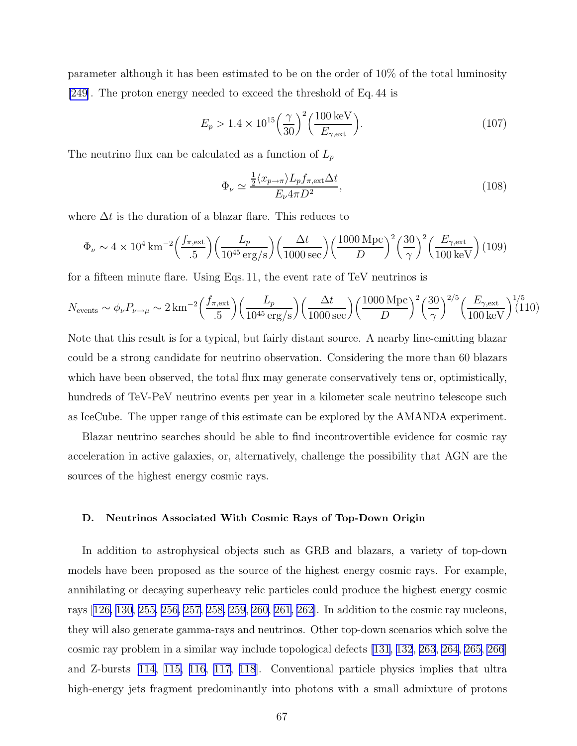parameter although it has been estimated to be on the order of 10% of the total luminosity [\[249\]](#page-81-0). The proton energy needed to exceed the threshold of Eq. 44 is

$$
E_p > 1.4 \times 10^{15} \left(\frac{\gamma}{30}\right)^2 \left(\frac{100 \text{ keV}}{E_{\gamma, \text{ext}}}\right).
$$
 (107)

The neutrino flux can be calculated as a function of  $L_p$ 

$$
\Phi_{\nu} \simeq \frac{\frac{1}{2} \langle x_{p \to \pi} \rangle L_p f_{\pi, \text{ext}} \Delta t}{E_{\nu} 4 \pi D^2},\tag{108}
$$

where  $\Delta t$  is the duration of a blazar flare. This reduces to

$$
\Phi_{\nu} \sim 4 \times 10^4 \,\text{km}^{-2} \left( \frac{f_{\pi, \text{ext}}}{.5} \right) \left( \frac{L_p}{10^{45} \,\text{erg/s}} \right) \left( \frac{\Delta t}{1000 \,\text{sec}} \right) \left( \frac{1000 \,\text{Mpc}}{D} \right)^2 \left( \frac{30}{\gamma} \right)^2 \left( \frac{E_{\gamma, \text{ext}}}{100 \,\text{keV}} \right) (109)
$$

for a fifteen minute flare. Using Eqs. 11, the event rate of TeV neutrinos is

$$
N_{\text{events}} \sim \phi_{\nu} P_{\nu \to \mu} \sim 2 \,\text{km}^{-2} \left(\frac{f_{\pi,\text{ext}}}{.5}\right) \left(\frac{L_p}{10^{45} \,\text{erg/s}}\right) \left(\frac{\Delta t}{1000 \,\text{sec}}\right) \left(\frac{1000 \,\text{Mpc}}{D}\right)^2 \left(\frac{30}{\gamma}\right)^{2/5} \left(\frac{E_{\gamma,\text{ext}}}{100 \,\text{keV}}\right)^{1/5} (110)
$$

Note that this result is for a typical, but fairly distant source. A nearby line-emitting blazar could be a strong candidate for neutrino observation. Considering the more than 60 blazars which have been observed, the total flux may generate conservatively tens or, optimistically, hundreds of TeV-PeV neutrino events per year in a kilometer scale neutrino telescope such as IceCube. The upper range of this estimate can be explored by the AMANDA experiment.

Blazar neutrino searches should be able to find incontrovertible evidence for cosmic ray acceleration in active galaxies, or, alternatively, challenge the possibility that AGN are the sources of the highest energy cosmic rays.

# D. Neutrinos Associated With Cosmic Rays of Top-Down Origin

In addition to astrophysical objects such as GRB and blazars, a variety of top-down models have been proposed as the source of the highest energy cosmic rays. For example, annihilating or decaying superheavy relic particles could produce the highest energy cosmic rays [\[126, 130,](#page-76-0) [255, 256, 257, 258, 259, 260,](#page-81-0) [261, 262\]](#page-82-0). In addition to the cosmic ray nucleons, they will also generate gamma-rays and neutrinos. Other top-down scenarios which solve the cosmic ray problem in a similar way include topological defects [\[131](#page-76-0), [132](#page-76-0), [263](#page-82-0), [264, 265, 266](#page-82-0)] and Z-bursts [\[114, 115,](#page-75-0) [116](#page-76-0), [117, 118](#page-76-0)]. Conventional particle physics implies that ultra high-energy jets fragment predominantly into photons with a small admixture of protons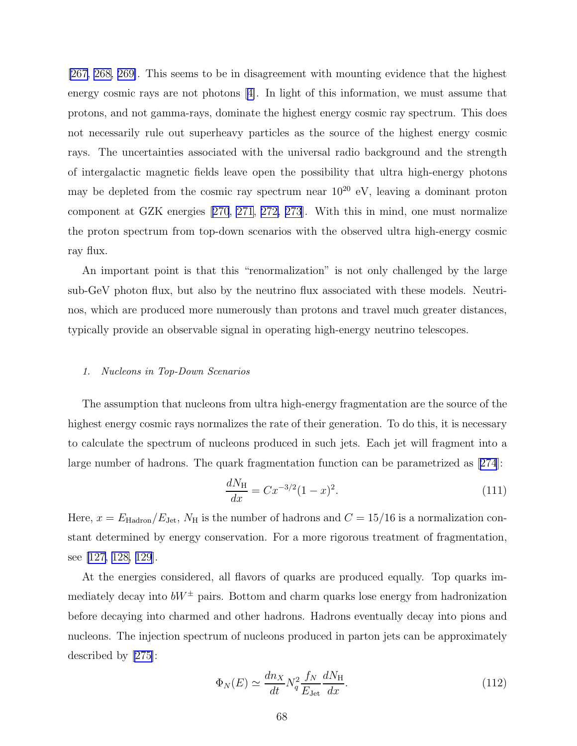[\[267, 268, 269\]](#page-82-0). This seems to be in disagreement with mounting evidence that the highest energy cosmic rays are not photons[[4\]](#page-71-0). In light of this information, we must assume that protons, and not gamma-rays, dominate the highest energy cosmic ray spectrum. This does not necessarily rule out superheavy particles as the source of the highest energy cosmic rays. The uncertainties associated with the universal radio background and the strength of intergalactic magnetic fields leave open the possibility that ultra high-energy photons may be depleted from the cosmic ray spectrum near  $10^{20}$  eV, leaving a dominant proton component at GZK energies[[270](#page-82-0), [271](#page-82-0), [272, 273](#page-82-0)]. With this in mind, one must normalize the proton spectrum from top-down scenarios with the observed ultra high-energy cosmic ray flux.

An important point is that this "renormalization" is not only challenged by the large sub-GeV photon flux, but also by the neutrino flux associated with these models. Neutrinos, which are produced more numerously than protons and travel much greater distances, typically provide an observable signal in operating high-energy neutrino telescopes.

#### *1. Nucleons in Top-Down Scenarios*

The assumption that nucleons from ultra high-energy fragmentation are the source of the highest energy cosmic rays normalizes the rate of their generation. To do this, it is necessary to calculate the spectrum of nucleons produced in such jets. Each jet will fragment into a large number of hadrons. The quark fragmentation function can be parametrized as[[274](#page-82-0)]:

$$
\frac{dN_{\rm H}}{dx} = Cx^{-3/2}(1-x)^2.
$$
\n(111)

Here,  $x = E_{\text{Hadron}}/E_{\text{Jet}}$ ,  $N_{\text{H}}$  is the number of hadrons and  $C = 15/16$  is a normalization constant determined by energy conservation. For a more rigorous treatment of fragmentation, see [\[127, 128, 129](#page-76-0)].

At the energies considered, all flavors of quarks are produced equally. Top quarks immediately decay into  $bW^{\pm}$  pairs. Bottom and charm quarks lose energy from hadronization before decaying into charmed and other hadrons. Hadrons eventually decay into pions and nucleons. The injection spectrum of nucleons produced in parton jets can be approximately described by [\[275\]](#page-82-0):

$$
\Phi_N(E) \simeq \frac{dn_X}{dt} N_q^2 \frac{f_N}{E_{\text{Jet}}} \frac{dN_H}{dx}.\tag{112}
$$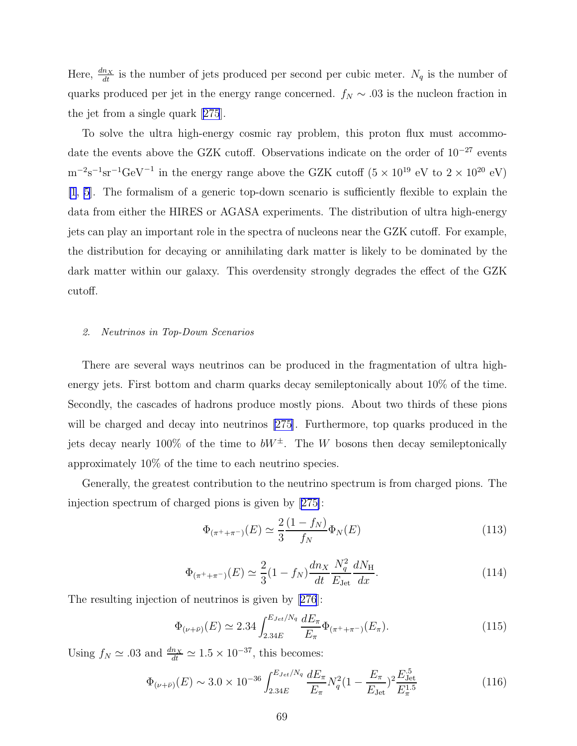Here,  $\frac{dn_X}{dt}$  is the number of jets produced per second per cubic meter.  $N_q$  is the number of quarks produced per jet in the energy range concerned.  $f_N \sim .03$  is the nucleon fraction in the jet from a single quark[[275](#page-82-0)].

To solve the ultra high-energy cosmic ray problem, this proton flux must accommodate the events above the GZK cutoff. Observations indicate on the order of  $10^{-27}$  events  $\rm m^{-2}s^{-1}sr^{-1}GeV^{-1}$  in the energy range above the GZK cutoff  $(5 \times 10^{19} \text{ eV to } 2 \times 10^{20} \text{ eV})$ [\[1](#page-70-0), [5](#page-71-0)]. The formalism of a generic top-down scenario is sufficiently flexible to explain the data from either the HIRES or AGASA experiments. The distribution of ultra high-energy jets can play an important role in the spectra of nucleons near the GZK cutoff. For example, the distribution for decaying or annihilating dark matter is likely to be dominated by the dark matter within our galaxy. This overdensity strongly degrades the effect of the GZK cutoff.

#### *2. Neutrinos in Top-Down Scenarios*

There are several ways neutrinos can be produced in the fragmentation of ultra highenergy jets. First bottom and charm quarks decay semileptonically about 10% of the time. Secondly, the cascades of hadrons produce mostly pions. About two thirds of these pions will be charged and decay into neutrinos [\[275\]](#page-82-0). Furthermore, top quarks produced in the jets decay nearly 100% of the time to  $bW^{\pm}$ . The W bosons then decay semileptonically approximately 10% of the time to each neutrino species.

Generally, the greatest contribution to the neutrino spectrum is from charged pions. The injection spectrum of charged pions is given by[[275\]](#page-82-0):

$$
\Phi_{(\pi^+ + \pi^-)}(E) \simeq \frac{2}{3} \frac{(1 - f_N)}{f_N} \Phi_N(E)
$$
\n(113)

$$
\Phi_{(\pi^+ + \pi^-)}(E) \simeq \frac{2}{3} (1 - f_N) \frac{dn_X}{dt} \frac{N_q^2}{E_{\text{Jet}}} \frac{dN_H}{dx}.
$$
\n(114)

The resulting injection of neutrinos is given by[[276](#page-82-0)]:

$$
\Phi_{(\nu+\bar{\nu})}(E) \simeq 2.34 \int_{2.34E}^{E_{Jet}/N_q} \frac{dE_{\pi}}{E_{\pi}} \Phi_{(\pi^++\pi^-)}(E_{\pi}). \tag{115}
$$

Using  $f_N \simeq .03$  and  $\frac{dn_X}{dt} \simeq 1.5 \times 10^{-37}$ , this becomes:

$$
\Phi_{(\nu+\bar{\nu})}(E) \sim 3.0 \times 10^{-36} \int_{2.34E}^{E_{Jet}/N_q} \frac{dE_{\pi}}{E_{\pi}} N_q^2 (1 - \frac{E_{\pi}}{E_{\text{Jet}}})^2 \frac{E_{\text{Jet}}^{\cdot 5}}{E_{\pi}^{1.5}} \tag{116}
$$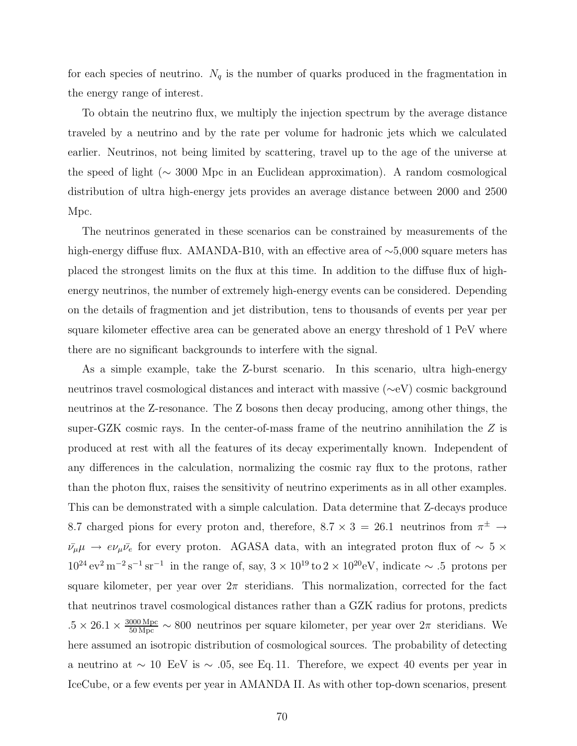for each species of neutrino.  $N_q$  is the number of quarks produced in the fragmentation in the energy range of interest.

To obtain the neutrino flux, we multiply the injection spectrum by the average distance traveled by a neutrino and by the rate per volume for hadronic jets which we calculated earlier. Neutrinos, not being limited by scattering, travel up to the age of the universe at the speed of light (∼ 3000 Mpc in an Euclidean approximation). A random cosmological distribution of ultra high-energy jets provides an average distance between 2000 and 2500 Mpc.

The neutrinos generated in these scenarios can be constrained by measurements of the high-energy diffuse flux. AMANDA-B10, with an effective area of ∼5,000 square meters has placed the strongest limits on the flux at this time. In addition to the diffuse flux of highenergy neutrinos, the number of extremely high-energy events can be considered. Depending on the details of fragmention and jet distribution, tens to thousands of events per year per square kilometer effective area can be generated above an energy threshold of 1 PeV where there are no significant backgrounds to interfere with the signal.

As a simple example, take the Z-burst scenario. In this scenario, ultra high-energy neutrinos travel cosmological distances and interact with massive (∼eV) cosmic background neutrinos at the Z-resonance. The Z bosons then decay producing, among other things, the super-GZK cosmic rays. In the center-of-mass frame of the neutrino annihilation the  $Z$  is produced at rest with all the features of its decay experimentally known. Independent of any differences in the calculation, normalizing the cosmic ray flux to the protons, rather than the photon flux, raises the sensitivity of neutrino experiments as in all other examples. This can be demonstrated with a simple calculation. Data determine that Z-decays produce 8.7 charged pions for every proton and, therefore,  $8.7 \times 3 = 26.1$  neutrinos from  $\pi^{\pm} \rightarrow$  $\bar{\nu_{\mu}}\mu \to e\nu_{\mu}\bar{\nu_{e}}$  for every proton. AGASA data, with an integrated proton flux of  $\sim$  5 ×  $10^{24} \text{ ev}^2 \text{ m}^{-2} \text{ s}^{-1} \text{ sr}^{-1}$  in the range of, say,  $3 \times 10^{19} \text{ to } 2 \times 10^{20} \text{ eV}$ , indicate ~ .5 protons per square kilometer, per year over  $2\pi$  steridians. This normalization, corrected for the fact that neutrinos travel cosmological distances rather than a GZK radius for protons, predicts  $.5 \times 26.1 \times \frac{3000 \text{ Mpc}}{50 \text{ Mpc}} \sim 800$  neutrinos per square kilometer, per year over  $2\pi$  steridians. We here assumed an isotropic distribution of cosmological sources. The probability of detecting a neutrino at  $\sim 10$  EeV is  $\sim .05$ , see Eq. 11. Therefore, we expect 40 events per year in IceCube, or a few events per year in AMANDA II. As with other top-down scenarios, present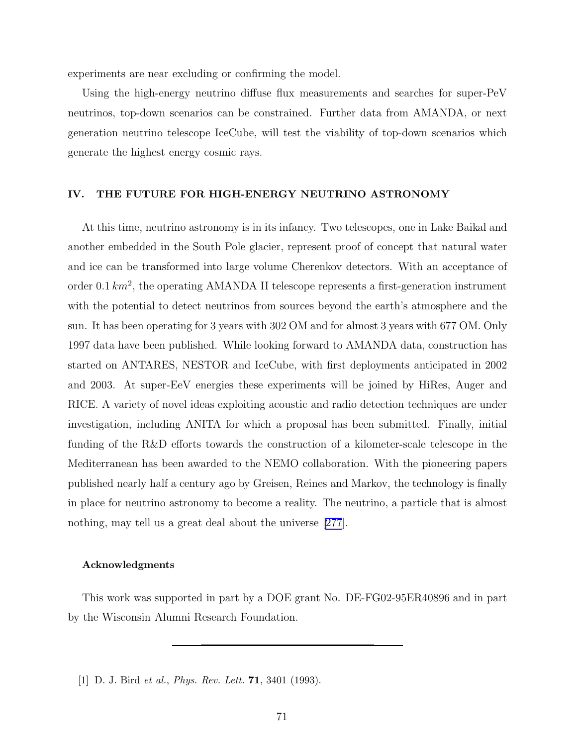<span id="page-70-0"></span>experiments are near excluding or confirming the model.

Using the high-energy neutrino diffuse flux measurements and searches for super-PeV neutrinos, top-down scenarios can be constrained. Further data from AMANDA, or next generation neutrino telescope IceCube, will test the viability of top-down scenarios which generate the highest energy cosmic rays.

## IV. THE FUTURE FOR HIGH-ENERGY NEUTRINO ASTRONOMY

At this time, neutrino astronomy is in its infancy. Two telescopes, one in Lake Baikal and another embedded in the South Pole glacier, represent proof of concept that natural water and ice can be transformed into large volume Cherenkov detectors. With an acceptance of order 0.1  $km^2$ , the operating AMANDA II telescope represents a first-generation instrument with the potential to detect neutrinos from sources beyond the earth's atmosphere and the sun. It has been operating for 3 years with 302 OM and for almost 3 years with 677 OM. Only 1997 data have been published. While looking forward to AMANDA data, construction has started on ANTARES, NESTOR and IceCube, with first deployments anticipated in 2002 and 2003. At super-EeV energies these experiments will be joined by HiRes, Auger and RICE. A variety of novel ideas exploiting acoustic and radio detection techniques are under investigation, including ANITA for which a proposal has been submitted. Finally, initial funding of the R&D efforts towards the construction of a kilometer-scale telescope in the Mediterranean has been awarded to the NEMO collaboration. With the pioneering papers published nearly half a century ago by Greisen, Reines and Markov, the technology is finally in place for neutrino astronomy to become a reality. The neutrino, a particle that is almost nothing, may tell us a great deal about the universe[[277](#page-82-0)].

# Acknowledgments

This work was supported in part by a DOE grant No. DE-FG02-95ER40896 and in part by the Wisconsin Alumni Research Foundation.

[1] D. J. Bird *et al.*, *Phys. Rev. Lett.* 71, 3401 (1993).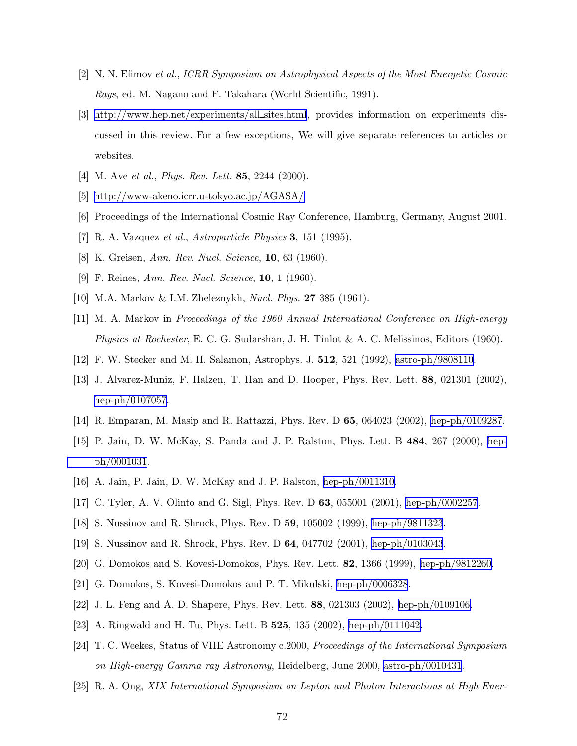- <span id="page-71-0"></span>[2] N. N. Efimov *et al.*, *ICRR Symposium on Astrophysical Aspects of the Most Energetic Cosmic Rays*, ed. M. Nagano and F. Takahara (World Scientific, 1991).
- [3] [http://www.hep.net/experiments/all](http://www.hep.net/experiments/all_sites.html) sites.html, provides information on experiments discussed in this review. For a few exceptions, We will give separate references to articles or websites.
- [4] M. Ave *et al.*, *Phys. Rev. Lett.* 85, 2244 (2000).
- [5]<http://www-akeno.icrr.u-tokyo.ac.jp/AGASA/>
- [6] Proceedings of the International Cosmic Ray Conference, Hamburg, Germany, August 2001.
- [7] R. A. Vazquez *et al.*, *Astroparticle Physics* 3, 151 (1995).
- [8] K. Greisen, *Ann. Rev. Nucl. Science*, 10, 63 (1960).
- [9] F. Reines, *Ann. Rev. Nucl. Science*, 10, 1 (1960).
- [10] M.A. Markov & I.M. Zheleznykh, *Nucl. Phys.* 27 385 (1961).
- [11] M. A. Markov in *Proceedings of the 1960 Annual International Conference on High-energy Physics at Rochester*, E. C. G. Sudarshan, J. H. Tinlot & A. C. Melissinos, Editors (1960).
- [12] F. W. Stecker and M. H. Salamon, Astrophys. J. 512, 521 (1992), [astro-ph/9808110](http://arXiv.org/abs/astro-ph/9808110).
- [13] J. Alvarez-Muniz, F. Halzen, T. Han and D. Hooper, Phys. Rev. Lett. 88, 021301 (2002), [hep-ph/0107057.](http://arXiv.org/abs/hep-ph/0107057)
- [14] R. Emparan, M. Masip and R. Rattazzi, Phys. Rev. D 65, 064023 (2002), [hep-ph/0109287](http://arXiv.org/abs/hep-ph/0109287).
- [15] P. Jain, D. W. McKay, S. Panda and J. P. Ralston, Phys. Lett. B 484, 267 (2000), [hep](http://arXiv.org/abs/hep-ph/0001031)[ph/0001031.](http://arXiv.org/abs/hep-ph/0001031)
- [16] A. Jain, P. Jain, D. W. McKay and J. P. Ralston, [hep-ph/0011310.](http://arXiv.org/abs/hep-ph/0011310)
- [17] C. Tyler, A. V. Olinto and G. Sigl, Phys. Rev. D 63, 055001 (2001), [hep-ph/0002257.](http://arXiv.org/abs/hep-ph/0002257)
- [18] S. Nussinov and R. Shrock, Phys. Rev. D 59, 105002 (1999), [hep-ph/9811323](http://arXiv.org/abs/hep-ph/9811323).
- [19] S. Nussinov and R. Shrock, Phys. Rev. D 64, 047702 (2001), [hep-ph/0103043](http://arXiv.org/abs/hep-ph/0103043).
- [20] G. Domokos and S. Kovesi-Domokos, Phys. Rev. Lett. 82, 1366 (1999), [hep-ph/9812260.](http://arXiv.org/abs/hep-ph/9812260)
- [21] G. Domokos, S. Kovesi-Domokos and P. T. Mikulski, [hep-ph/0006328](http://arXiv.org/abs/hep-ph/0006328).
- [22] J. L. Feng and A. D. Shapere, Phys. Rev. Lett. 88, 021303 (2002), [hep-ph/0109106.](http://arXiv.org/abs/hep-ph/0109106)
- [23] A. Ringwald and H. Tu, Phys. Lett. B 525, 135 (2002), [hep-ph/0111042.](http://arXiv.org/abs/hep-ph/0111042)
- [24] T. C. Weekes, Status of VHE Astronomy c.2000, *Proceedings of the International Symposium on High-energy Gamma ray Astronomy*, Heidelberg, June 2000, [astro-ph/0010431.](http://arXiv.org/abs/astro-ph/0010431)
- [25] R. A. Ong, *XIX International Symposium on Lepton and Photon Interactions at High Ener-*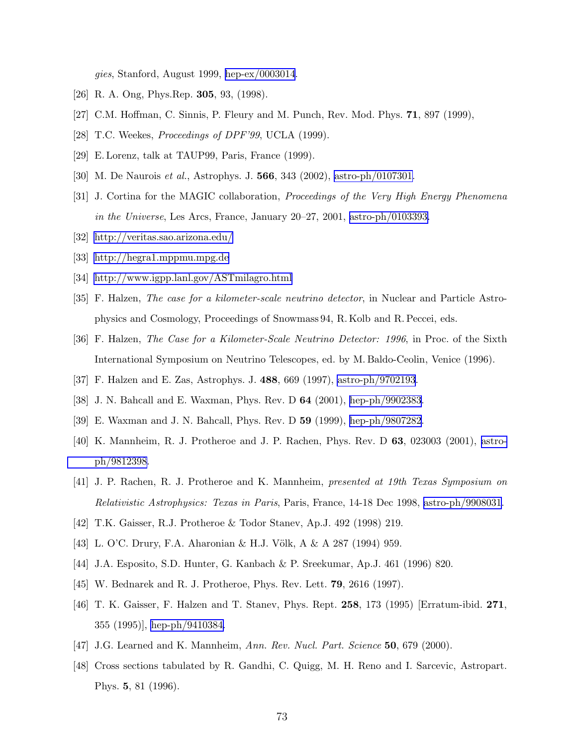*gies*, Stanford, August 1999, [hep-ex/0003014](http://arXiv.org/abs/hep-ex/0003014).

- [26] R. A. Ong, Phys.Rep. 305, 93, (1998).
- [27] C.M. Hoffman, C. Sinnis, P. Fleury and M. Punch, Rev. Mod. Phys. 71, 897 (1999),
- [28] T.C. Weekes, *Proceedings of DPF'99*, UCLA (1999).
- [29] E. Lorenz, talk at TAUP99, Paris, France (1999).
- [30] M. De Naurois *et al.*, Astrophys. J. 566, 343 (2002), [astro-ph/0107301.](http://arXiv.org/abs/astro-ph/0107301)
- [31] J. Cortina for the MAGIC collaboration, *Proceedings of the Very High Energy Phenomena in the Universe*, Les Arcs, France, January 20–27, 2001, [astro-ph/0103393.](http://arXiv.org/abs/astro-ph/0103393)
- [32]<http://veritas.sao.arizona.edu/>
- [33]<http://hegra1.mppmu.mpg.de>
- [34]<http://www.igpp.lanl.gov/ASTmilagro.html>
- [35] F. Halzen, *The case for a kilometer-scale neutrino detector*, in Nuclear and Particle Astrophysics and Cosmology, Proceedings of Snowmass 94, R. Kolb and R. Peccei, eds.
- [36] F. Halzen, *The Case for a Kilometer-Scale Neutrino Detector: 1996*, in Proc. of the Sixth International Symposium on Neutrino Telescopes, ed. by M. Baldo-Ceolin, Venice (1996).
- [37] F. Halzen and E. Zas, Astrophys. J. 488, 669 (1997), [astro-ph/9702193](http://arXiv.org/abs/astro-ph/9702193).
- [38] J. N. Bahcall and E. Waxman, Phys. Rev. D 64 (2001), [hep-ph/9902383](http://arXiv.org/abs/hep-ph/9902383).
- [39] E. Waxman and J. N. Bahcall, Phys. Rev. D 59 (1999), [hep-ph/9807282](http://arXiv.org/abs/hep-ph/9807282).
- [40] K. Mannheim, R. J. Protheroe and J. P. Rachen, Phys. Rev. D 63, 023003 (2001), [astro](http://arXiv.org/abs/astro-ph/9812398)[ph/9812398.](http://arXiv.org/abs/astro-ph/9812398)
- [41] J. P. Rachen, R. J. Protheroe and K. Mannheim, *presented at 19th Texas Symposium on Relativistic Astrophysics: Texas in Paris*, Paris, France, 14-18 Dec 1998, [astro-ph/9908031](http://arXiv.org/abs/astro-ph/9908031).
- [42] T.K. Gaisser, R.J. Protheroe & Todor Stanev, Ap.J. 492 (1998) 219.
- [43] L. O'C. Drury, F.A. Aharonian & H.J. Völk, A & A 287 (1994) 959.
- [44] J.A. Esposito, S.D. Hunter, G. Kanbach & P. Sreekumar, Ap.J. 461 (1996) 820.
- [45] W. Bednarek and R. J. Protheroe, Phys. Rev. Lett. 79, 2616 (1997).
- [46] T. K. Gaisser, F. Halzen and T. Stanev, Phys. Rept. 258, 173 (1995) [Erratum-ibid. 271, 355 (1995)], [hep-ph/9410384.](http://arXiv.org/abs/hep-ph/9410384)
- [47] J.G. Learned and K. Mannheim, *Ann. Rev. Nucl. Part. Science* 50, 679 (2000).
- [48] Cross sections tabulated by R. Gandhi, C. Quigg, M. H. Reno and I. Sarcevic, Astropart. Phys. 5, 81 (1996).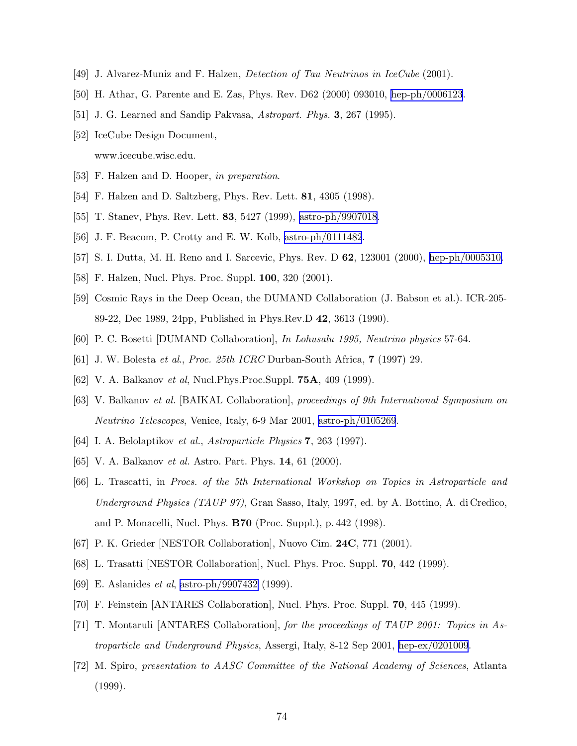- [49] J. Alvarez-Muniz and F. Halzen, *Detection of Tau Neutrinos in IceCube* (2001).
- [50] H. Athar, G. Parente and E. Zas, Phys. Rev. D62 (2000) 093010, [hep-ph/0006123](http://arXiv.org/abs/hep-ph/0006123).
- [51] J. G. Learned and Sandip Pakvasa, *Astropart. Phys.* 3, 267 (1995).
- [52] IceCube Design Document,

www.icecube.wisc.edu.

- [53] F. Halzen and D. Hooper, *in preparation*.
- [54] F. Halzen and D. Saltzberg, Phys. Rev. Lett. 81, 4305 (1998).
- [55] T. Stanev, Phys. Rev. Lett. 83, 5427 (1999), [astro-ph/9907018](http://arXiv.org/abs/astro-ph/9907018).
- [56] J. F. Beacom, P. Crotty and E. W. Kolb, [astro-ph/0111482](http://arXiv.org/abs/astro-ph/0111482).
- [57] S. I. Dutta, M. H. Reno and I. Sarcevic, Phys. Rev. D 62, 123001 (2000), [hep-ph/0005310.](http://arXiv.org/abs/hep-ph/0005310)
- [58] F. Halzen, Nucl. Phys. Proc. Suppl. 100, 320 (2001).
- [59] Cosmic Rays in the Deep Ocean, the DUMAND Collaboration (J. Babson et al.). ICR-205- 89-22, Dec 1989, 24pp, Published in Phys.Rev.D 42, 3613 (1990).
- [60] P. C. Bosetti [DUMAND Collaboration], *In Lohusalu 1995, Neutrino physics* 57-64.
- [61] J. W. Bolesta *et al*., *Proc. 25th ICRC* Durban-South Africa, 7 (1997) 29.
- [62] V. A. Balkanov *et al*, Nucl.Phys.Proc.Suppl. 75A, 409 (1999).
- [63] V. Balkanov *et al.* [BAIKAL Collaboration], *proceedings of 9th International Symposium on Neutrino Telescopes*, Venice, Italy, 6-9 Mar 2001, [astro-ph/0105269](http://arXiv.org/abs/astro-ph/0105269).
- [64] I. A. Belolaptikov *et al.*, *Astroparticle Physics* 7, 263 (1997).
- [65] V. A. Balkanov *et al.* Astro. Part. Phys. 14, 61 (2000).
- [66] L. Trascatti, in *Procs. of the 5th International Workshop on Topics in Astroparticle and Underground Physics (TAUP 97)*, Gran Sasso, Italy, 1997, ed. by A. Bottino, A. di Credico, and P. Monacelli, Nucl. Phys. B70 (Proc. Suppl.), p. 442 (1998).
- [67] P. K. Grieder [NESTOR Collaboration], Nuovo Cim. 24C, 771 (2001).
- [68] L. Trasatti [NESTOR Collaboration], Nucl. Phys. Proc. Suppl. 70, 442 (1999).
- [69] E. Aslanides *et al*, [astro-ph/9907432](http://arXiv.org/abs/astro-ph/9907432) (1999).
- [70] F. Feinstein [ANTARES Collaboration], Nucl. Phys. Proc. Suppl. 70, 445 (1999).
- [71] T. Montaruli [ANTARES Collaboration], *for the proceedings of TAUP 2001: Topics in Astroparticle and Underground Physics*, Assergi, Italy, 8-12 Sep 2001, [hep-ex/0201009](http://arXiv.org/abs/hep-ex/0201009).
- [72] M. Spiro, *presentation to AASC Committee of the National Academy of Sciences*, Atlanta (1999).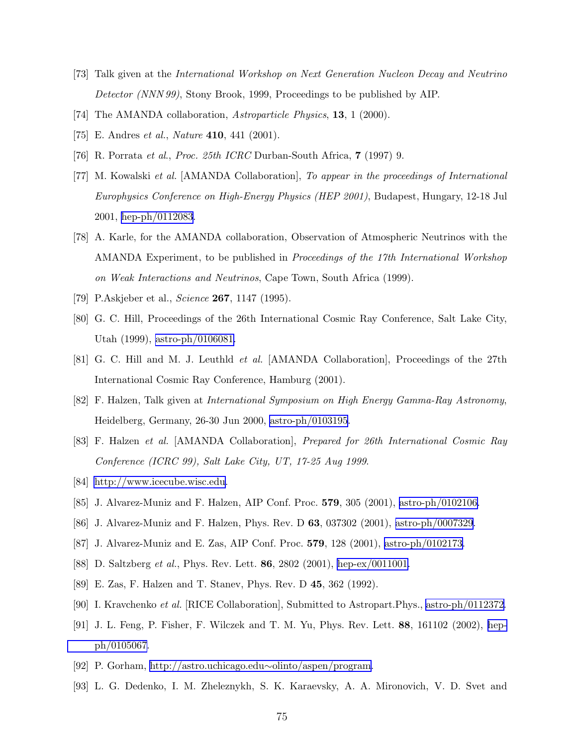- [73] Talk given at the *International Workshop on Next Generation Nucleon Decay and Neutrino Detector (NNN 99)*, Stony Brook, 1999, Proceedings to be published by AIP.
- [74] The AMANDA collaboration, *Astroparticle Physics*, 13, 1 (2000).
- [75] E. Andres *et al.*, *Nature* 410, 441 (2001).
- [76] R. Porrata *et al*., *Proc. 25th ICRC* Durban-South Africa, 7 (1997) 9.
- [77] M. Kowalski *et al.* [AMANDA Collaboration], *To appear in the proceedings of International Europhysics Conference on High-Energy Physics (HEP 2001)*, Budapest, Hungary, 12-18 Jul 2001, [hep-ph/0112083.](http://arXiv.org/abs/hep-ph/0112083)
- [78] A. Karle, for the AMANDA collaboration, Observation of Atmospheric Neutrinos with the AMANDA Experiment, to be published in *Proceedings of the 17th International Workshop on Weak Interactions and Neutrinos*, Cape Town, South Africa (1999).
- [79] P.Askjeber et al., *Science* 267, 1147 (1995).
- [80] G. C. Hill, Proceedings of the 26th International Cosmic Ray Conference, Salt Lake City, Utah (1999), [astro-ph/0106081.](http://arXiv.org/abs/astro-ph/0106081)
- [81] G. C. Hill and M. J. Leuthld *et al.* [AMANDA Collaboration], Proceedings of the 27th International Cosmic Ray Conference, Hamburg (2001).
- [82] F. Halzen, Talk given at *International Symposium on High Energy Gamma-Ray Astronomy*, Heidelberg, Germany, 26-30 Jun 2000, [astro-ph/0103195](http://arXiv.org/abs/astro-ph/0103195).
- [83] F. Halzen *et al.* [AMANDA Collaboration], *Prepared for 26th International Cosmic Ray Conference (ICRC 99), Salt Lake City, UT, 17-25 Aug 1999*.
- [84]<http://www.icecube.wisc.edu>.
- [85] J. Alvarez-Muniz and F. Halzen, AIP Conf. Proc. 579, 305 (2001), [astro-ph/0102106.](http://arXiv.org/abs/astro-ph/0102106)
- [86] J. Alvarez-Muniz and F. Halzen, Phys. Rev. D 63, 037302 (2001), [astro-ph/0007329](http://arXiv.org/abs/astro-ph/0007329).
- [87] J. Alvarez-Muniz and E. Zas, AIP Conf. Proc. 579, 128 (2001), [astro-ph/0102173.](http://arXiv.org/abs/astro-ph/0102173)
- [88] D. Saltzberg *et al.*, Phys. Rev. Lett. 86, 2802 (2001), [hep-ex/0011001.](http://arXiv.org/abs/hep-ex/0011001)
- [89] E. Zas, F. Halzen and T. Stanev, Phys. Rev. D 45, 362 (1992).
- [90] I. Kravchenko *et al.* [RICE Collaboration], Submitted to Astropart.Phys., [astro-ph/0112372.](http://arXiv.org/abs/astro-ph/0112372)
- [91] J. L. Feng, P. Fisher, F. Wilczek and T. M. Yu, Phys. Rev. Lett. 88, 161102 (2002), [hep](http://arXiv.org/abs/hep-ph/0105067)[ph/0105067.](http://arXiv.org/abs/hep-ph/0105067)
- [92] P. Gorham, [http://astro.uchicago.edu](http://astro.uchicago.edu~olinto/aspen/program)∼olinto/aspen/program.
- [93] L. G. Dedenko, I. M. Zheleznykh, S. K. Karaevsky, A. A. Mironovich, V. D. Svet and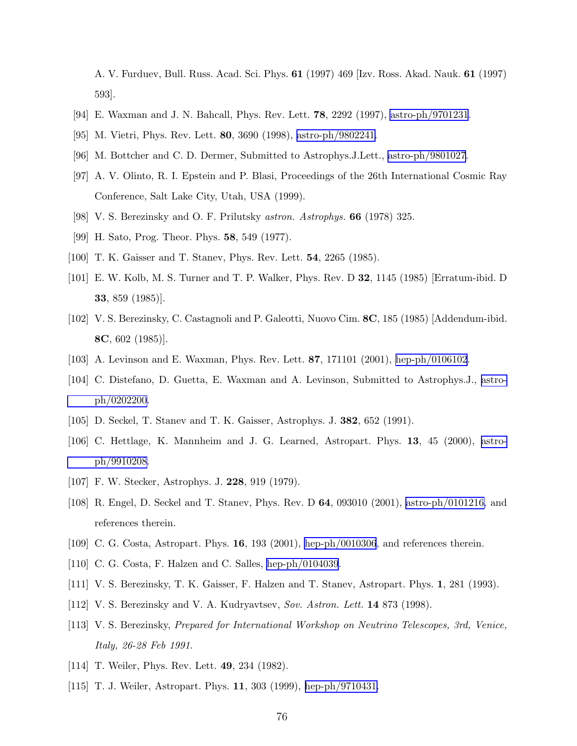A. V. Furduev, Bull. Russ. Acad. Sci. Phys. 61 (1997) 469 [Izv. Ross. Akad. Nauk. 61 (1997) 593].

- [94] E. Waxman and J. N. Bahcall, Phys. Rev. Lett. 78, 2292 (1997), [astro-ph/9701231](http://arXiv.org/abs/astro-ph/9701231).
- [95] M. Vietri, Phys. Rev. Lett. 80, 3690 (1998), [astro-ph/9802241.](http://arXiv.org/abs/astro-ph/9802241)
- [96] M. Bottcher and C. D. Dermer, Submitted to Astrophys.J.Lett., [astro-ph/9801027](http://arXiv.org/abs/astro-ph/9801027).
- [97] A. V. Olinto, R. I. Epstein and P. Blasi, Proceedings of the 26th International Cosmic Ray Conference, Salt Lake City, Utah, USA (1999).
- [98] V. S. Berezinsky and O. F. Prilutsky *astron. Astrophys.* 66 (1978) 325.
- [99] H. Sato, Prog. Theor. Phys. 58, 549 (1977).
- [100] T. K. Gaisser and T. Stanev, Phys. Rev. Lett. **54**, 2265 (1985).
- [101] E. W. Kolb, M. S. Turner and T. P. Walker, Phys. Rev. D 32, 1145 (1985) [Erratum-ibid. D 33, 859 (1985)].
- [102] V. S. Berezinsky, C. Castagnoli and P. Galeotti, Nuovo Cim. 8C, 185 (1985) [Addendum-ibid. 8C, 602 (1985)].
- [103] A. Levinson and E. Waxman, Phys. Rev. Lett. 87, 171101 (2001), [hep-ph/0106102.](http://arXiv.org/abs/hep-ph/0106102)
- [104] C. Distefano, D. Guetta, E. Waxman and A. Levinson, Submitted to Astrophys.J., [astro](http://arXiv.org/abs/astro-ph/0202200)[ph/0202200.](http://arXiv.org/abs/astro-ph/0202200)
- [105] D. Seckel, T. Stanev and T. K. Gaisser, Astrophys. J. 382, 652 (1991).
- [106] C. Hettlage, K. Mannheim and J. G. Learned, Astropart. Phys. 13, 45 (2000), [astro](http://arXiv.org/abs/astro-ph/9910208)[ph/9910208.](http://arXiv.org/abs/astro-ph/9910208)
- [107] F. W. Stecker, Astrophys. J. 228, 919 (1979).
- [108] R. Engel, D. Seckel and T. Stanev, Phys. Rev. D 64, 093010 (2001), [astro-ph/0101216,](http://arXiv.org/abs/astro-ph/0101216) and references therein.
- [109] C. G. Costa, Astropart. Phys. **16**, 193 (2001), [hep-ph/0010306](http://arXiv.org/abs/hep-ph/0010306), and references therein.
- [110] C. G. Costa, F. Halzen and C. Salles, [hep-ph/0104039](http://arXiv.org/abs/hep-ph/0104039).
- [111] V. S. Berezinsky, T. K. Gaisser, F. Halzen and T. Stanev, Astropart. Phys. 1, 281 (1993).
- [112] V. S. Berezinsky and V. A. Kudryavtsev, *Sov. Astron. Lett.* 14 873 (1998).
- [113] V. S. Berezinsky, *Prepared for International Workshop on Neutrino Telescopes, 3rd, Venice, Italy, 26-28 Feb 1991*.
- [114] T. Weiler, Phys. Rev. Lett. 49, 234 (1982).
- [115] T. J. Weiler, Astropart. Phys. 11, 303 (1999), [hep-ph/9710431.](http://arXiv.org/abs/hep-ph/9710431)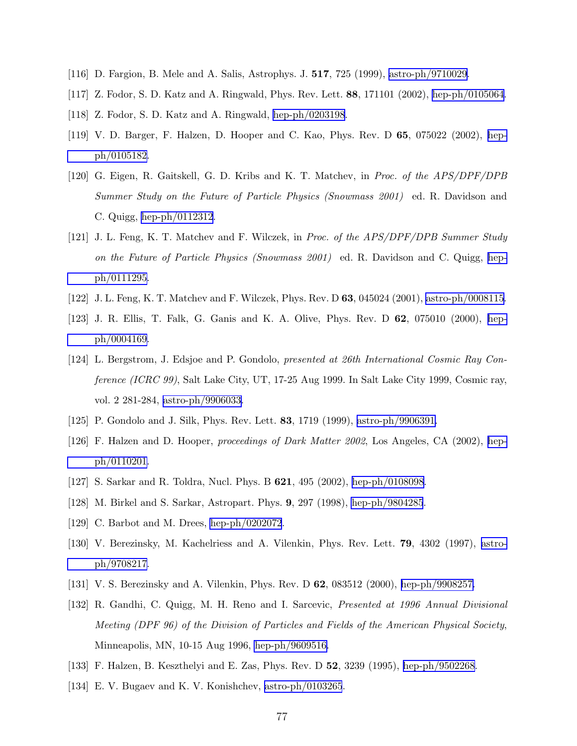- [116] D. Fargion, B. Mele and A. Salis, Astrophys. J. 517, 725 (1999), [astro-ph/9710029.](http://arXiv.org/abs/astro-ph/9710029)
- [117] Z. Fodor, S. D. Katz and A. Ringwald, Phys. Rev. Lett. 88, 171101 (2002), [hep-ph/0105064.](http://arXiv.org/abs/hep-ph/0105064)
- [118] Z. Fodor, S. D. Katz and A. Ringwald, [hep-ph/0203198](http://arXiv.org/abs/hep-ph/0203198).
- [119] V. D. Barger, F. Halzen, D. Hooper and C. Kao, Phys. Rev. D 65, 075022 (2002), [hep](http://arXiv.org/abs/hep-ph/0105182)[ph/0105182.](http://arXiv.org/abs/hep-ph/0105182)
- [120] G. Eigen, R. Gaitskell, G. D. Kribs and K. T. Matchev, in *Proc. of the APS/DPF/DPB Summer Study on the Future of Particle Physics (Snowmass 2001)* ed. R. Davidson and C. Quigg, [hep-ph/0112312](http://arXiv.org/abs/hep-ph/0112312).
- [121] J. L. Feng, K. T. Matchev and F. Wilczek, in *Proc. of the APS/DPF/DPB Summer Study on the Future of Particle Physics (Snowmass 2001)* ed. R. Davidson and C. Quigg, [hep](http://arXiv.org/abs/hep-ph/0111295)[ph/0111295.](http://arXiv.org/abs/hep-ph/0111295)
- [122] J. L. Feng, K. T. Matchev and F. Wilczek, Phys. Rev. D 63, 045024 (2001), [astro-ph/0008115.](http://arXiv.org/abs/astro-ph/0008115)
- [123] J. R. Ellis, T. Falk, G. Ganis and K. A. Olive, Phys. Rev. D 62, 075010 (2000), [hep](http://arXiv.org/abs/hep-ph/0004169)[ph/0004169.](http://arXiv.org/abs/hep-ph/0004169)
- [124] L. Bergstrom, J. Edsjoe and P. Gondolo, *presented at 26th International Cosmic Ray Conference (ICRC 99)*, Salt Lake City, UT, 17-25 Aug 1999. In Salt Lake City 1999, Cosmic ray, vol. 2 281-284, [astro-ph/9906033.](http://arXiv.org/abs/astro-ph/9906033)
- [125] P. Gondolo and J. Silk, Phys. Rev. Lett. 83, 1719 (1999), [astro-ph/9906391.](http://arXiv.org/abs/astro-ph/9906391)
- [126] F. Halzen and D. Hooper, *proceedings of Dark Matter 2002*, Los Angeles, CA (2002), [hep](http://arXiv.org/abs/hep-ph/0110201)[ph/0110201.](http://arXiv.org/abs/hep-ph/0110201)
- [127] S. Sarkar and R. Toldra, Nucl. Phys. B 621, 495 (2002), [hep-ph/0108098.](http://arXiv.org/abs/hep-ph/0108098)
- [128] M. Birkel and S. Sarkar, Astropart. Phys. 9, 297 (1998), [hep-ph/9804285](http://arXiv.org/abs/hep-ph/9804285).
- [129] C. Barbot and M. Drees, [hep-ph/0202072](http://arXiv.org/abs/hep-ph/0202072).
- [130] V. Berezinsky, M. Kachelriess and A. Vilenkin, Phys. Rev. Lett. 79, 4302 (1997), [astro](http://arXiv.org/abs/astro-ph/9708217)[ph/9708217.](http://arXiv.org/abs/astro-ph/9708217)
- [131] V. S. Berezinsky and A. Vilenkin, Phys. Rev. D 62, 083512 (2000), [hep-ph/9908257.](http://arXiv.org/abs/hep-ph/9908257)
- [132] R. Gandhi, C. Quigg, M. H. Reno and I. Sarcevic, *Presented at 1996 Annual Divisional Meeting (DPF 96) of the Division of Particles and Fields of the American Physical Society*, Minneapolis, MN, 10-15 Aug 1996, [hep-ph/9609516.](http://arXiv.org/abs/hep-ph/9609516)
- [133] F. Halzen, B. Keszthelyi and E. Zas, Phys. Rev. D 52, 3239 (1995), [hep-ph/9502268](http://arXiv.org/abs/hep-ph/9502268).
- [134] E. V. Bugaev and K. V. Konishchev, [astro-ph/0103265](http://arXiv.org/abs/astro-ph/0103265).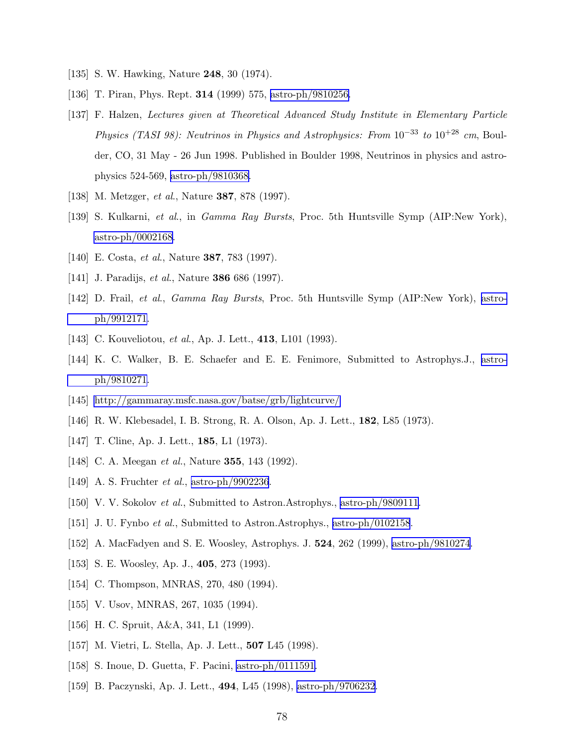- [135] S. W. Hawking, Nature **248**, 30 (1974).
- [136] T. Piran, Phys. Rept. 314 (1999) 575, [astro-ph/9810256.](http://arXiv.org/abs/astro-ph/9810256)
- [137] F. Halzen, *Lectures given at Theoretical Advanced Study Institute in Elementary Particle Physics (TASI 98): Neutrinos in Physics and Astrophysics: From*  $10^{-33}$  *to*  $10^{+28}$  *cm*, Boulder, CO, 31 May - 26 Jun 1998. Published in Boulder 1998, Neutrinos in physics and astrophysics 524-569, [astro-ph/9810368.](http://arXiv.org/abs/astro-ph/9810368)
- [138] M. Metzger, *et al*., Nature 387, 878 (1997).
- [139] S. Kulkarni, *et al*., in *Gamma Ray Bursts*, Proc. 5th Huntsville Symp (AIP:New York), [astro-ph/0002168](http://arXiv.org/abs/astro-ph/0002168).
- [140] E. Costa, *et al*., Nature 387, 783 (1997).
- [141] J. Paradijs, *et al*., Nature 386 686 (1997).
- [142] D. Frail, *et al*., *Gamma Ray Bursts*, Proc. 5th Huntsville Symp (AIP:New York), [astro](http://arXiv.org/abs/astro-ph/9912171)[ph/9912171.](http://arXiv.org/abs/astro-ph/9912171)
- [143] C. Kouveliotou, *et al*., Ap. J. Lett., 413, L101 (1993).
- [144] K. C. Walker, B. E. Schaefer and E. E. Fenimore, Submitted to Astrophys.J., [astro](http://arXiv.org/abs/astro-ph/9810271)[ph/9810271.](http://arXiv.org/abs/astro-ph/9810271)
- [145]<http://gammaray.msfc.nasa.gov/batse/grb/lightcurve/>
- [146] R. W. Klebesadel, I. B. Strong, R. A. Olson, Ap. J. Lett., 182, L85 (1973).
- [147] T. Cline, Ap. J. Lett., **185**, L1 (1973).
- [148] C. A. Meegan *et al.*, Nature 355, 143 (1992).
- [149] A. S. Fruchter *et al.*, [astro-ph/9902236](http://arXiv.org/abs/astro-ph/9902236).
- [150] V. V. Sokolov *et al.*, Submitted to Astron.Astrophys., [astro-ph/9809111](http://arXiv.org/abs/astro-ph/9809111).
- [151] J. U. Fynbo *et al.*, Submitted to Astron.Astrophys., [astro-ph/0102158](http://arXiv.org/abs/astro-ph/0102158).
- [152] A. MacFadyen and S. E. Woosley, Astrophys. J. 524, 262 (1999), [astro-ph/9810274.](http://arXiv.org/abs/astro-ph/9810274)
- [153] S. E. Woosley, Ap. J., **405**, 273 (1993).
- [154] C. Thompson, MNRAS, 270, 480 (1994).
- [155] V. Usov, MNRAS, 267, 1035 (1994).
- [156] H. C. Spruit, A&A, 341, L1 (1999).
- [157] M. Vietri, L. Stella, Ap. J. Lett., 507 L45 (1998).
- [158] S. Inoue, D. Guetta, F. Pacini, [astro-ph/0111591](http://arXiv.org/abs/astro-ph/0111591).
- [159] B. Paczynski, Ap. J. Lett., 494, L45 (1998), [astro-ph/9706232](http://arXiv.org/abs/astro-ph/9706232).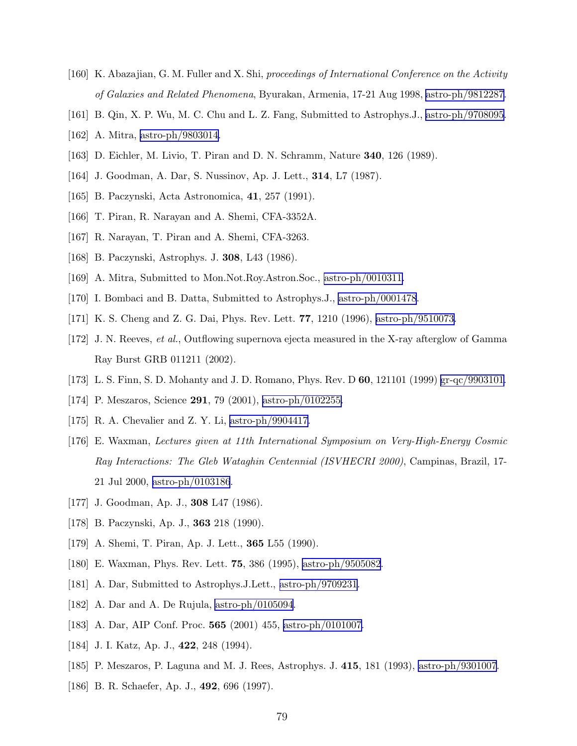- [160] K. Abazajian, G. M. Fuller and X. Shi, *proceedings of International Conference on the Activity of Galaxies and Related Phenomena*, Byurakan, Armenia, 17-21 Aug 1998, [astro-ph/9812287.](http://arXiv.org/abs/astro-ph/9812287)
- [161] B. Qin, X. P. Wu, M. C. Chu and L. Z. Fang, Submitted to Astrophys.J., [astro-ph/9708095.](http://arXiv.org/abs/astro-ph/9708095)
- [162] A. Mitra, [astro-ph/9803014.](http://arXiv.org/abs/astro-ph/9803014)
- [163] D. Eichler, M. Livio, T. Piran and D. N. Schramm, Nature 340, 126 (1989).
- [164] J. Goodman, A. Dar, S. Nussinov, Ap. J. Lett., 314, L7 (1987).
- [165] B. Paczynski, Acta Astronomica, 41, 257 (1991).
- [166] T. Piran, R. Narayan and A. Shemi, CFA-3352A.
- [167] R. Narayan, T. Piran and A. Shemi, CFA-3263.
- [168] B. Paczynski, Astrophys. J. 308, L43 (1986).
- [169] A. Mitra, Submitted to Mon.Not.Roy.Astron.Soc., [astro-ph/0010311.](http://arXiv.org/abs/astro-ph/0010311)
- [170] I. Bombaci and B. Datta, Submitted to Astrophys.J., [astro-ph/0001478](http://arXiv.org/abs/astro-ph/0001478).
- [171] K. S. Cheng and Z. G. Dai, Phys. Rev. Lett. 77, 1210 (1996), [astro-ph/9510073.](http://arXiv.org/abs/astro-ph/9510073)
- [172] J. N. Reeves, *et al.*, Outflowing supernova ejecta measured in the X-ray afterglow of Gamma Ray Burst GRB 011211 (2002).
- [173] L. S. Finn, S. D. Mohanty and J. D. Romano, Phys. Rev. D 60, 121101 (1999) [gr-qc/9903101.](http://arXiv.org/abs/gr-qc/9903101)
- [174] P. Meszaros, Science **291**, 79 (2001), [astro-ph/0102255.](http://arXiv.org/abs/astro-ph/0102255)
- [175] R. A. Chevalier and Z. Y. Li, [astro-ph/9904417.](http://arXiv.org/abs/astro-ph/9904417)
- [176] E. Waxman, *Lectures given at 11th International Symposium on Very-High-Energy Cosmic Ray Interactions: The Gleb Wataghin Centennial (ISVHECRI 2000)*, Campinas, Brazil, 17- 21 Jul 2000, [astro-ph/0103186](http://arXiv.org/abs/astro-ph/0103186).
- [177] J. Goodman, Ap. J., **308** L47 (1986).
- [178] B. Paczynski, Ap. J., 363 218 (1990).
- [179] A. Shemi, T. Piran, Ap. J. Lett., 365 L55 (1990).
- [180] E. Waxman, Phys. Rev. Lett. 75, 386 (1995), [astro-ph/9505082](http://arXiv.org/abs/astro-ph/9505082).
- [181] A. Dar, Submitted to Astrophys.J.Lett., [astro-ph/9709231](http://arXiv.org/abs/astro-ph/9709231).
- [182] A. Dar and A. De Rujula, [astro-ph/0105094](http://arXiv.org/abs/astro-ph/0105094).
- [183] A. Dar, AIP Conf. Proc. 565 (2001) 455, [astro-ph/0101007.](http://arXiv.org/abs/astro-ph/0101007)
- [184] J. I. Katz, Ap. J., 422, 248 (1994).
- [185] P. Meszaros, P. Laguna and M. J. Rees, Astrophys. J. 415, 181 (1993), [astro-ph/9301007](http://arXiv.org/abs/astro-ph/9301007).
- [186] B. R. Schaefer, Ap. J., 492, 696 (1997).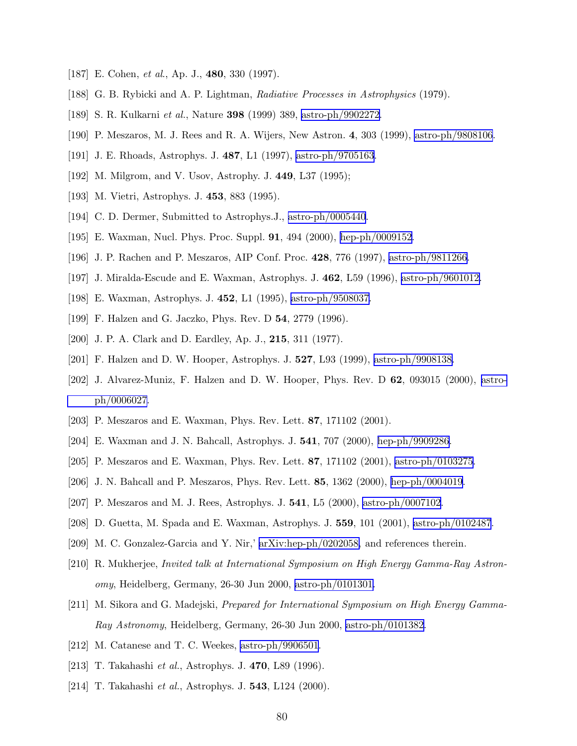- [187] E. Cohen, *et al*., Ap. J., 480, 330 (1997).
- [188] G. B. Rybicki and A. P. Lightman, *Radiative Processes in Astrophysics* (1979).
- [189] S. R. Kulkarni *et al.*, Nature 398 (1999) 389, [astro-ph/9902272.](http://arXiv.org/abs/astro-ph/9902272)
- [190] P. Meszaros, M. J. Rees and R. A. Wijers, New Astron. 4, 303 (1999), [astro-ph/9808106](http://arXiv.org/abs/astro-ph/9808106).
- [191] J. E. Rhoads, Astrophys. J. 487, L1 (1997), [astro-ph/9705163](http://arXiv.org/abs/astro-ph/9705163).
- [192] M. Milgrom, and V. Usov, Astrophy. J. **449**, L37 (1995);
- [193] M. Vietri, Astrophys. J. 453, 883 (1995).
- [194] C. D. Dermer, Submitted to Astrophys.J., [astro-ph/0005440](http://arXiv.org/abs/astro-ph/0005440).
- [195] E. Waxman, Nucl. Phys. Proc. Suppl. 91, 494 (2000), [hep-ph/0009152](http://arXiv.org/abs/hep-ph/0009152).
- [196] J. P. Rachen and P. Meszaros, AIP Conf. Proc. 428, 776 (1997), [astro-ph/9811266.](http://arXiv.org/abs/astro-ph/9811266)
- [197] J. Miralda-Escude and E. Waxman, Astrophys. J. 462, L59 (1996), [astro-ph/9601012.](http://arXiv.org/abs/astro-ph/9601012)
- [198] E. Waxman, Astrophys. J. 452, L1 (1995), [astro-ph/9508037.](http://arXiv.org/abs/astro-ph/9508037)
- [199] F. Halzen and G. Jaczko, Phys. Rev. D 54, 2779 (1996).
- [200] J. P. A. Clark and D. Eardley, Ap. J., 215, 311 (1977).
- [201] F. Halzen and D. W. Hooper, Astrophys. J. 527, L93 (1999), [astro-ph/9908138.](http://arXiv.org/abs/astro-ph/9908138)
- [202] J. Alvarez-Muniz, F. Halzen and D. W. Hooper, Phys. Rev. D 62, 093015 (2000), [astro](http://arXiv.org/abs/astro-ph/0006027)[ph/0006027.](http://arXiv.org/abs/astro-ph/0006027)
- [203] P. Meszaros and E. Waxman, Phys. Rev. Lett. 87, 171102 (2001).
- [204] E. Waxman and J. N. Bahcall, Astrophys. J. 541, 707 (2000), [hep-ph/9909286.](http://arXiv.org/abs/hep-ph/9909286)
- [205] P. Meszaros and E. Waxman, Phys. Rev. Lett. 87, 171102 (2001), [astro-ph/0103275](http://arXiv.org/abs/astro-ph/0103275).
- [206] J. N. Bahcall and P. Meszaros, Phys. Rev. Lett. 85, 1362 (2000), [hep-ph/0004019](http://arXiv.org/abs/hep-ph/0004019).
- [207] P. Meszaros and M. J. Rees, Astrophys. J. 541, L5 (2000), [astro-ph/0007102.](http://arXiv.org/abs/astro-ph/0007102)
- [208] D. Guetta, M. Spada and E. Waxman, Astrophys. J. 559, 101 (2001), [astro-ph/0102487](http://arXiv.org/abs/astro-ph/0102487).
- [209] M. C. Gonzalez-Garcia and Y. Nir,' [arXiv:hep-ph/0202058,](http://arXiv.org/abs/hep-ph/0202058) and references therein.
- [210] R. Mukherjee, *Invited talk at International Symposium on High Energy Gamma-Ray Astronomy*, Heidelberg, Germany, 26-30 Jun 2000, [astro-ph/0101301.](http://arXiv.org/abs/astro-ph/0101301)
- [211] M. Sikora and G. Madejski, *Prepared for International Symposium on High Energy Gamma-Ray Astronomy*, Heidelberg, Germany, 26-30 Jun 2000, [astro-ph/0101382.](http://arXiv.org/abs/astro-ph/0101382)
- [212] M. Catanese and T. C. Weekes, [astro-ph/9906501](http://arXiv.org/abs/astro-ph/9906501).
- [213] T. Takahashi *et al.*, Astrophys. J. 470, L89 (1996).
- [214] T. Takahashi *et al.*, Astrophys. J. 543, L124 (2000).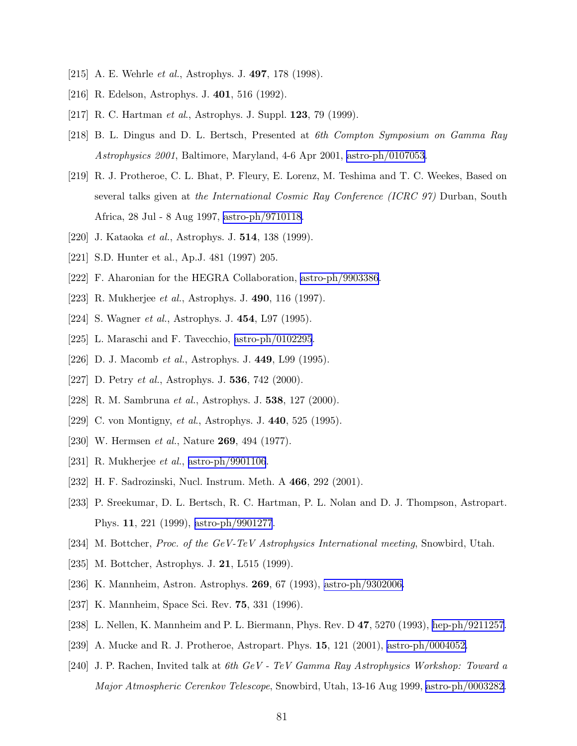- [215] A. E. Wehrle *et al.*, Astrophys. J. 497, 178 (1998).
- [216] R. Edelson, Astrophys. J. 401, 516 (1992).
- [217] R. C. Hartman *et al*., Astrophys. J. Suppl. 123, 79 (1999).
- [218] B. L. Dingus and D. L. Bertsch, Presented at *6th Compton Symposium on Gamma Ray Astrophysics 2001*, Baltimore, Maryland, 4-6 Apr 2001, [astro-ph/0107053.](http://arXiv.org/abs/astro-ph/0107053)
- [219] R. J. Protheroe, C. L. Bhat, P. Fleury, E. Lorenz, M. Teshima and T. C. Weekes, Based on several talks given at *the International Cosmic Ray Conference (ICRC 97)* Durban, South Africa, 28 Jul - 8 Aug 1997, [astro-ph/9710118.](http://arXiv.org/abs/astro-ph/9710118)
- [220] J. Kataoka *et al.*, Astrophys. J. 514, 138 (1999).
- [221] S.D. Hunter et al., Ap.J. 481 (1997) 205.
- [222] F. Aharonian for the HEGRA Collaboration, [astro-ph/9903386.](http://arXiv.org/abs/astro-ph/9903386)
- [223] R. Mukherjee *et al.*, Astrophys. J. 490, 116 (1997).
- [224] S. Wagner *et al.*, Astrophys. J. 454, L97 (1995).
- [225] L. Maraschi and F. Tavecchio, [astro-ph/0102295](http://arXiv.org/abs/astro-ph/0102295).
- [226] D. J. Macomb *et al.*, Astrophys. J. 449, L99 (1995).
- [227] D. Petry *et al.*, Astrophys. J. 536, 742 (2000).
- [228] R. M. Sambruna *et al.*, Astrophys. J. 538, 127 (2000).
- [229] C. von Montigny, *et al*., Astrophys. J. 440, 525 (1995).
- [230] W. Hermsen *et al.*, Nature 269, 494 (1977).
- [231] R. Mukherjee *et al.*, [astro-ph/9901106](http://arXiv.org/abs/astro-ph/9901106).
- [232] H. F. Sadrozinski, Nucl. Instrum. Meth. A 466, 292 (2001).
- [233] P. Sreekumar, D. L. Bertsch, R. C. Hartman, P. L. Nolan and D. J. Thompson, Astropart. Phys. 11, 221 (1999), [astro-ph/9901277](http://arXiv.org/abs/astro-ph/9901277).
- [234] M. Bottcher, *Proc. of the GeV-TeV Astrophysics International meeting*, Snowbird, Utah.
- [235] M. Bottcher, Astrophys. J. **21**, L515 (1999).
- [236] K. Mannheim, Astron. Astrophys. 269, 67 (1993), [astro-ph/9302006.](http://arXiv.org/abs/astro-ph/9302006)
- [237] K. Mannheim, Space Sci. Rev. 75, 331 (1996).
- [238] L. Nellen, K. Mannheim and P. L. Biermann, Phys. Rev. D 47, 5270 (1993), [hep-ph/9211257.](http://arXiv.org/abs/hep-ph/9211257)
- [239] A. Mucke and R. J. Protheroe, Astropart. Phys. 15, 121 (2001), [astro-ph/0004052.](http://arXiv.org/abs/astro-ph/0004052)
- [240] J. P. Rachen, Invited talk at *6th GeV TeV Gamma Ray Astrophysics Workshop: Toward a Major Atmospheric Cerenkov Telescope*, Snowbird, Utah, 13-16 Aug 1999, [astro-ph/0003282.](http://arXiv.org/abs/astro-ph/0003282)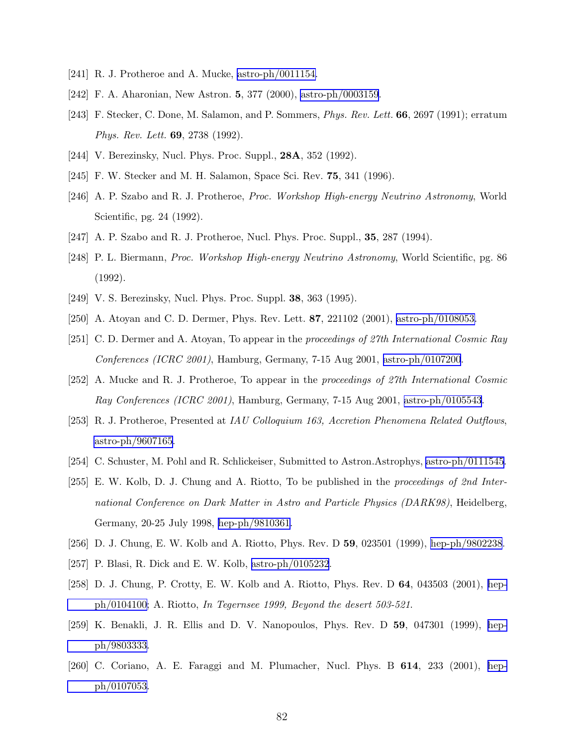- [241] R. J. Protheroe and A. Mucke, [astro-ph/0011154.](http://arXiv.org/abs/astro-ph/0011154)
- [242] F. A. Aharonian, New Astron. 5, 377 (2000), [astro-ph/0003159](http://arXiv.org/abs/astro-ph/0003159).
- [243] F. Stecker, C. Done, M. Salamon, and P. Sommers, *Phys. Rev. Lett.* 66, 2697 (1991); erratum *Phys. Rev. Lett.* 69, 2738 (1992).
- [244] V. Berezinsky, Nucl. Phys. Proc. Suppl., **28A**, 352 (1992).
- [245] F. W. Stecker and M. H. Salamon, Space Sci. Rev. 75, 341 (1996).
- [246] A. P. Szabo and R. J. Protheroe, *Proc. Workshop High-energy Neutrino Astronomy*, World Scientific, pg. 24 (1992).
- [247] A. P. Szabo and R. J. Protheroe, Nucl. Phys. Proc. Suppl., 35, 287 (1994).
- [248] P. L. Biermann, *Proc. Workshop High-energy Neutrino Astronomy*, World Scientific, pg. 86 (1992).
- [249] V. S. Berezinsky, Nucl. Phys. Proc. Suppl. **38**, 363 (1995).
- [250] A. Atoyan and C. D. Dermer, Phys. Rev. Lett. 87, 221102 (2001), [astro-ph/0108053.](http://arXiv.org/abs/astro-ph/0108053)
- [251] C. D. Dermer and A. Atoyan, To appear in the *proceedings of 27th International Cosmic Ray Conferences (ICRC 2001)*, Hamburg, Germany, 7-15 Aug 2001, [astro-ph/0107200](http://arXiv.org/abs/astro-ph/0107200).
- [252] A. Mucke and R. J. Protheroe, To appear in the *proceedings of 27th International Cosmic Ray Conferences (ICRC 2001)*, Hamburg, Germany, 7-15 Aug 2001, [astro-ph/0105543](http://arXiv.org/abs/astro-ph/0105543).
- [253] R. J. Protheroe, Presented at *IAU Colloquium 163, Accretion Phenomena Related Outflows*, [astro-ph/9607165](http://arXiv.org/abs/astro-ph/9607165).
- [254] C. Schuster, M. Pohl and R. Schlickeiser, Submitted to Astron.Astrophys, [astro-ph/0111545.](http://arXiv.org/abs/astro-ph/0111545)
- [255] E. W. Kolb, D. J. Chung and A. Riotto, To be published in the *proceedings of 2nd International Conference on Dark Matter in Astro and Particle Physics (DARK98)*, Heidelberg, Germany, 20-25 July 1998, [hep-ph/9810361.](http://arXiv.org/abs/hep-ph/9810361)
- [256] D. J. Chung, E. W. Kolb and A. Riotto, Phys. Rev. D 59, 023501 (1999), [hep-ph/9802238](http://arXiv.org/abs/hep-ph/9802238).
- [257] P. Blasi, R. Dick and E. W. Kolb, [astro-ph/0105232](http://arXiv.org/abs/astro-ph/0105232).
- [258] D. J. Chung, P. Crotty, E. W. Kolb and A. Riotto, Phys. Rev. D 64, 043503 (2001), [hep](http://arXiv.org/abs/hep-ph/0104100)[ph/0104100;](http://arXiv.org/abs/hep-ph/0104100) A. Riotto, *In Tegernsee 1999, Beyond the desert 503-521*.
- [259] K. Benakli, J. R. Ellis and D. V. Nanopoulos, Phys. Rev. D 59, 047301 (1999), [hep](http://arXiv.org/abs/hep-ph/9803333)[ph/9803333.](http://arXiv.org/abs/hep-ph/9803333)
- [260] C. Coriano, A. E. Faraggi and M. Plumacher, Nucl. Phys. B 614, 233 (2001), [hep](http://arXiv.org/abs/hep-ph/0107053)[ph/0107053.](http://arXiv.org/abs/hep-ph/0107053)